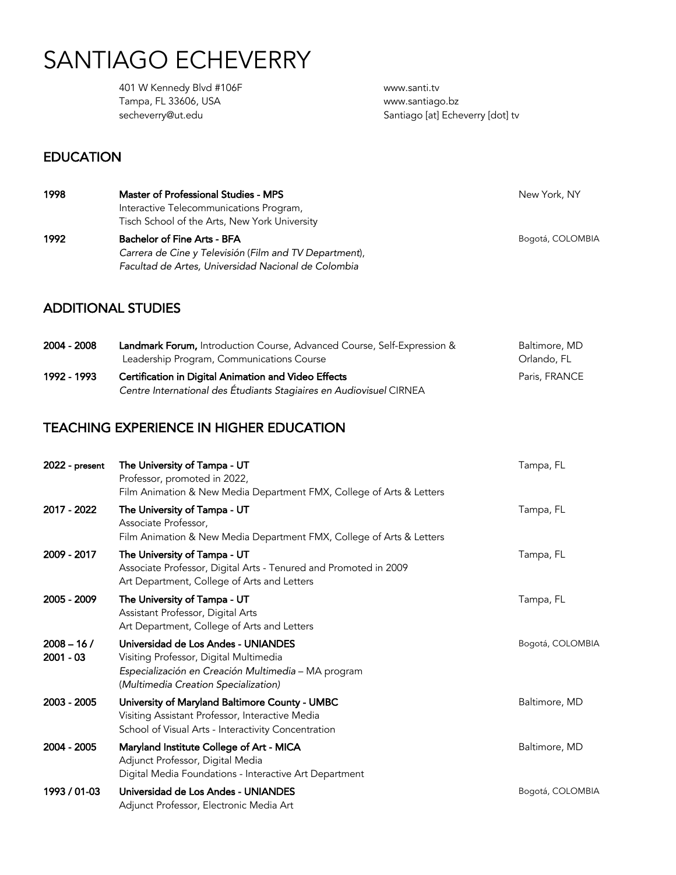# SANTIAGO ECHEVERRY

 401 W Kennedy Blvd #106F Tampa, FL 33606, USA secheverry@ut.edu

www.santi.tv www.santiago.bz Santiago [at] Echeverry [dot] tv

#### **EDUCATION**

| 1998 | Master of Professional Studies - MPS                                                     | New York, NY     |
|------|------------------------------------------------------------------------------------------|------------------|
|      | Interactive Telecommunications Program,<br>Tisch School of the Arts, New York University |                  |
| 1992 | <b>Bachelor of Fine Arts - BFA</b>                                                       | Bogotá, COLOMBIA |
|      | Carrera de Cine y Televisión (Film and TV Department),                                   |                  |

#### ADDITIONAL STUDIES

| 2004 - 2008 | Landmark Forum, Introduction Course, Advanced Course, Self-Expression &<br>Leadership Program, Communications Course | Baltimore, MD<br>Orlando, FL |
|-------------|----------------------------------------------------------------------------------------------------------------------|------------------------------|
| 1992 - 1993 | Certification in Digital Animation and Video Effects                                                                 | Paris, FRANCE                |
|             | Centre International des Étudiants Stagiaires en Audiovisuel CIRNEA                                                  |                              |

#### TEACHING EXPERIENCE IN HIGHER EDUCATION

*Facultad de Artes, Universidad Nacional de Colombia* 

| $2022$ - present            | The University of Tampa - UT<br>Professor, promoted in 2022,<br>Film Animation & New Media Department FMX, College of Arts & Letters                                         | Tampa, FL        |
|-----------------------------|------------------------------------------------------------------------------------------------------------------------------------------------------------------------------|------------------|
| 2017 - 2022                 | The University of Tampa - UT<br>Associate Professor.<br>Film Animation & New Media Department FMX, College of Arts & Letters                                                 | Tampa, FL        |
| 2009 - 2017                 | The University of Tampa - UT<br>Associate Professor, Digital Arts - Tenured and Promoted in 2009<br>Art Department, College of Arts and Letters                              | Tampa, FL        |
| 2005 - 2009                 | The University of Tampa - UT<br>Assistant Professor, Digital Arts<br>Art Department, College of Arts and Letters                                                             | Tampa, FL        |
| $2008 - 16/$<br>$2001 - 03$ | Universidad de Los Andes - UNIANDES<br>Visiting Professor, Digital Multimedia<br>Especialización en Creación Multimedia - MA program<br>(Multimedia Creation Specialization) | Bogotá, COLOMBIA |
| 2003 - 2005                 | University of Maryland Baltimore County - UMBC<br>Visiting Assistant Professor, Interactive Media<br>School of Visual Arts - Interactivity Concentration                     | Baltimore, MD    |
| 2004 - 2005                 | Maryland Institute College of Art - MICA<br>Adjunct Professor, Digital Media<br>Digital Media Foundations - Interactive Art Department                                       | Baltimore, MD    |
| 1993 / 01-03                | Universidad de Los Andes - UNIANDES<br>Adjunct Professor, Electronic Media Art                                                                                               | Bogotá, COLOMBIA |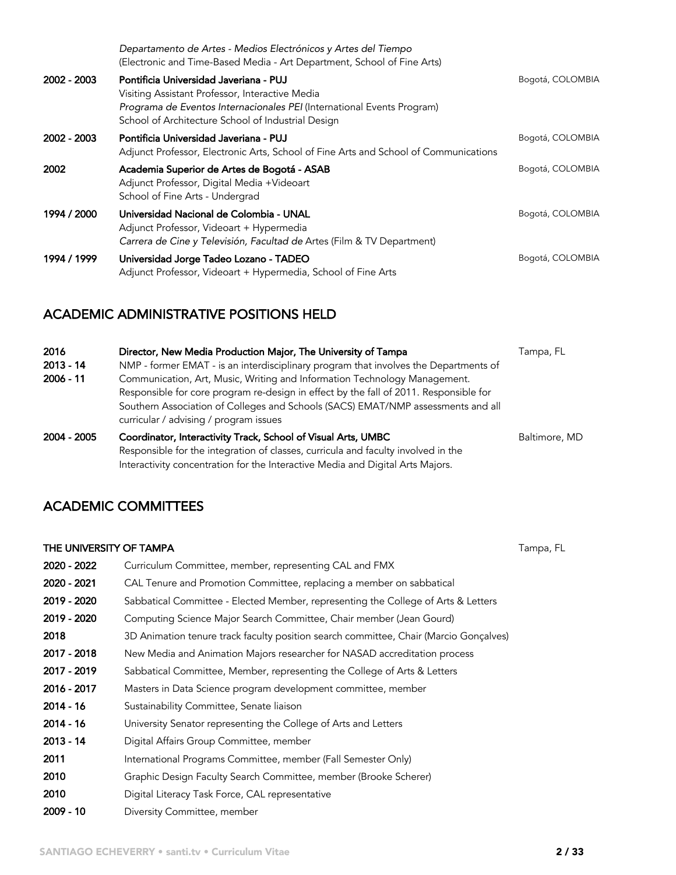|             | Departamento de Artes - Medios Electrónicos y Artes del Tiempo<br>(Electronic and Time-Based Media - Art Department, School of Fine Arts)                                                                                 |                  |
|-------------|---------------------------------------------------------------------------------------------------------------------------------------------------------------------------------------------------------------------------|------------------|
| 2002 - 2003 | Pontificia Universidad Javeriana - PUJ<br>Visiting Assistant Professor, Interactive Media<br>Programa de Eventos Internacionales PEI (International Events Program)<br>School of Architecture School of Industrial Design | Bogotá, COLOMBIA |
| 2002 - 2003 | Pontificia Universidad Javeriana - PUJ<br>Adjunct Professor, Electronic Arts, School of Fine Arts and School of Communications                                                                                            | Bogotá, COLOMBIA |
| 2002        | Academia Superior de Artes de Bogotá - ASAB<br>Adjunct Professor, Digital Media +Videoart<br>School of Fine Arts - Undergrad                                                                                              | Bogotá, COLOMBIA |
| 1994 / 2000 | Universidad Nacional de Colombia - UNAL<br>Adjunct Professor, Videoart + Hypermedia<br>Carrera de Cine y Televisión, Facultad de Artes (Film & TV Department)                                                             | Bogotá, COLOMBIA |
| 1994 / 1999 | Universidad Jorge Tadeo Lozano - TADEO<br>Adjunct Professor, Videoart + Hypermedia, School of Fine Arts                                                                                                                   | Bogotá, COLOMBIA |

#### ACADEMIC ADMINISTRATIVE POSITIONS HELD

| 2016        | Director, New Media Production Major, The University of Tampa                                                                                                                                                                        | Tampa, FL     |
|-------------|--------------------------------------------------------------------------------------------------------------------------------------------------------------------------------------------------------------------------------------|---------------|
| $2013 - 14$ | NMP - former EMAT - is an interdisciplinary program that involves the Departments of                                                                                                                                                 |               |
| $2006 - 11$ | Communication, Art, Music, Writing and Information Technology Management.                                                                                                                                                            |               |
|             | Responsible for core program re-design in effect by the fall of 2011. Responsible for<br>Southern Association of Colleges and Schools (SACS) EMAT/NMP assessments and all<br>curricular / advising / program issues                  |               |
| 2004 - 2005 | Coordinator, Interactivity Track, School of Visual Arts, UMBC<br>Responsible for the integration of classes, curricula and faculty involved in the<br>Interactivity concentration for the Interactive Media and Digital Arts Majors. | Baltimore, MD |

#### ACADEMIC COMMITTEES

## **THE UNIVERSITY OF TAMPA** TAMP TAMP TAMP TAND TO CONSUMING THE UNIVERSITY OF TAMPA TAMPA TAMPA TAMPA TAMPA TAMPA 2020 - 2022 Curriculum Committee, member, representing CAL and FMX 2020 - 2021 CAL Tenure and Promotion Committee, replacing a member on sabbatical 2019 - 2020 Sabbatical Committee - Elected Member, representing the College of Arts & Letters 2019 - 2020 Computing Science Major Search Committee, Chair member (Jean Gourd) 2018 3D Animation tenure track faculty position search committee, Chair (Marcio Gonçalves) 2017 - 2018 New Media and Animation Majors researcher for NASAD accreditation process 2017 - 2019 Sabbatical Committee, Member, representing the College of Arts & Letters 2016 - 2017 Masters in Data Science program development committee, member 2014 - 16 Sustainability Committee, Senate liaison 2014 - 16 University Senator representing the College of Arts and Letters 2013 - 14 Digital Affairs Group Committee, member 2011 International Programs Committee, member (Fall Semester Only) 2010 Graphic Design Faculty Search Committee, member (Brooke Scherer) 2010 Digital Literacy Task Force, CAL representative 2009 - 10 Diversity Committee, member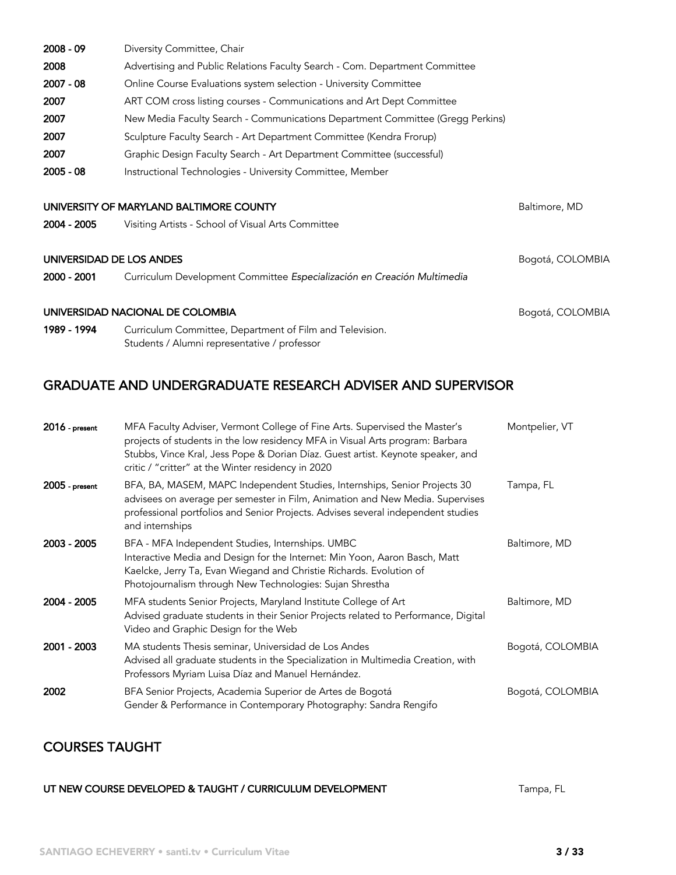| $2008 - 09$              | Diversity Committee, Chair                                                                               |                  |
|--------------------------|----------------------------------------------------------------------------------------------------------|------------------|
| 2008                     | Advertising and Public Relations Faculty Search - Com. Department Committee                              |                  |
| $2007 - 08$              | Online Course Evaluations system selection - University Committee                                        |                  |
| 2007                     | ART COM cross listing courses - Communications and Art Dept Committee                                    |                  |
| 2007                     | New Media Faculty Search - Communications Department Committee (Gregg Perkins)                           |                  |
| 2007                     | Sculpture Faculty Search - Art Department Committee (Kendra Frorup)                                      |                  |
| 2007                     | Graphic Design Faculty Search - Art Department Committee (successful)                                    |                  |
| $2005 - 08$              | Instructional Technologies - University Committee, Member                                                |                  |
|                          | UNIVERSITY OF MARYLAND BALTIMORE COUNTY                                                                  | Baltimore, MD    |
| 2004 - 2005              | Visiting Artists - School of Visual Arts Committee                                                       |                  |
| UNIVERSIDAD DE LOS ANDES |                                                                                                          | Bogotá, COLOMBIA |
| 2000 - 2001              | Curriculum Development Committee Especialización en Creación Multimedia                                  |                  |
|                          | UNIVERSIDAD NACIONAL DE COLOMBIA                                                                         | Bogotá, COLOMBIA |
| 1989 - 1994              | Curriculum Committee, Department of Film and Television.<br>Students / Alumni representative / professor |                  |

## GRADUATE AND UNDERGRADUATE RESEARCH ADVISER AND SUPERVISOR

| $2016$ - present | MFA Faculty Adviser, Vermont College of Fine Arts. Supervised the Master's<br>projects of students in the low residency MFA in Visual Arts program: Barbara<br>Stubbs, Vince Kral, Jess Pope & Dorian Díaz. Guest artist. Keynote speaker, and<br>critic / "critter" at the Winter residency in 2020 | Montpelier, VT   |
|------------------|------------------------------------------------------------------------------------------------------------------------------------------------------------------------------------------------------------------------------------------------------------------------------------------------------|------------------|
| $2005$ - present | BFA, BA, MASEM, MAPC Independent Studies, Internships, Senior Projects 30<br>advisees on average per semester in Film, Animation and New Media. Supervises<br>professional portfolios and Senior Projects. Advises several independent studies<br>and internships                                    | Tampa, FL        |
| 2003 - 2005      | BFA - MFA Independent Studies, Internships. UMBC<br>Interactive Media and Design for the Internet: Min Yoon, Aaron Basch, Matt<br>Kaelcke, Jerry Ta, Evan Wiegand and Christie Richards. Evolution of<br>Photojournalism through New Technologies: Sujan Shrestha                                    | Baltimore, MD    |
| 2004 - 2005      | MFA students Senior Projects, Maryland Institute College of Art<br>Advised graduate students in their Senior Projects related to Performance, Digital<br>Video and Graphic Design for the Web                                                                                                        | Baltimore, MD    |
| 2001 - 2003      | MA students Thesis seminar, Universidad de Los Andes<br>Advised all graduate students in the Specialization in Multimedia Creation, with<br>Professors Myriam Luisa Díaz and Manuel Hernández.                                                                                                       | Bogotá, COLOMBIA |
| 2002             | BFA Senior Projects, Academia Superior de Artes de Bogotá<br>Gender & Performance in Contemporary Photography: Sandra Rengifo                                                                                                                                                                        | Bogotá, COLOMBIA |

## COURSES TAUGHT

UT NEW COURSE DEVELOPED & TAUGHT / CURRICULUM DEVELOPMENT TAMPA, FL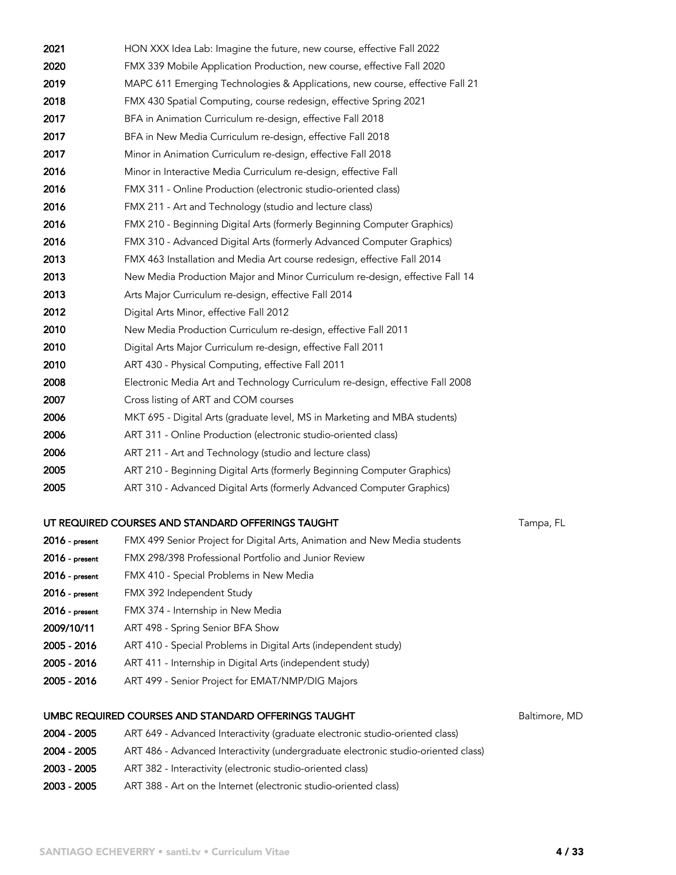| 2021           | HON XXX Idea Lab: Imagine the future, new course, effective Fall 2022         |           |
|----------------|-------------------------------------------------------------------------------|-----------|
| 2020           | FMX 339 Mobile Application Production, new course, effective Fall 2020        |           |
| 2019           | MAPC 611 Emerging Technologies & Applications, new course, effective Fall 21  |           |
| 2018           | FMX 430 Spatial Computing, course redesign, effective Spring 2021             |           |
| 2017           | BFA in Animation Curriculum re-design, effective Fall 2018                    |           |
| 2017           | BFA in New Media Curriculum re-design, effective Fall 2018                    |           |
| 2017           | Minor in Animation Curriculum re-design, effective Fall 2018                  |           |
| 2016           | Minor in Interactive Media Curriculum re-design, effective Fall               |           |
| 2016           | FMX 311 - Online Production (electronic studio-oriented class)                |           |
| 2016           | FMX 211 - Art and Technology (studio and lecture class)                       |           |
| 2016           | FMX 210 - Beginning Digital Arts (formerly Beginning Computer Graphics)       |           |
| 2016           | FMX 310 - Advanced Digital Arts (formerly Advanced Computer Graphics)         |           |
| 2013           | FMX 463 Installation and Media Art course redesign, effective Fall 2014       |           |
| 2013           | New Media Production Major and Minor Curriculum re-design, effective Fall 14  |           |
| 2013           | Arts Major Curriculum re-design, effective Fall 2014                          |           |
| 2012           | Digital Arts Minor, effective Fall 2012                                       |           |
| 2010           | New Media Production Curriculum re-design, effective Fall 2011                |           |
| 2010           | Digital Arts Major Curriculum re-design, effective Fall 2011                  |           |
| 2010           | ART 430 - Physical Computing, effective Fall 2011                             |           |
| 2008           | Electronic Media Art and Technology Curriculum re-design, effective Fall 2008 |           |
| 2007           | Cross listing of ART and COM courses                                          |           |
| 2006           | MKT 695 - Digital Arts (graduate level, MS in Marketing and MBA students)     |           |
| 2006           | ART 311 - Online Production (electronic studio-oriented class)                |           |
| 2006           | ART 211 - Art and Technology (studio and lecture class)                       |           |
| 2005           | ART 210 - Beginning Digital Arts (formerly Beginning Computer Graphics)       |           |
| 2005           | ART 310 - Advanced Digital Arts (formerly Advanced Computer Graphics)         |           |
|                | UT REQUIRED COURSES AND STANDARD OFFERINGS TAUGHT                             | Tampa, FL |
| 2016 - present | FMX 499 Senior Project for Digital Arts, Animation and New Media students     |           |
| 2016 - present | FMX 298/398 Professional Portfolio and Junior Review                          |           |
| 2016 - present | FMX 410 - Special Problems in New Media                                       |           |

- 2016 present FMX 392 Independent Study
- 2016 present FMX 374 Internship in New Media
- 2009/10/11 ART 498 Spring Senior BFA Show
- 2005 2016 ART 410 Special Problems in Digital Arts (independent study)
- 2005 2016 ART 411 Internship in Digital Arts (independent study)
- 2005 2016 ART 499 Senior Project for EMAT/NMP/DIG Majors

#### UMBC REQUIRED COURSES AND STANDARD OFFERINGS TAUGHT **Baltimore**, MD

- 2004 2005 ART 649 Advanced Interactivity (graduate electronic studio-oriented class) 2004 - 2005 ART 486 - Advanced Interactivity (undergraduate electronic studio-oriented class) 2003 - 2005 ART 382 - Interactivity (electronic studio-oriented class)
- 2003 2005 ART 388 Art on the Internet (electronic studio-oriented class)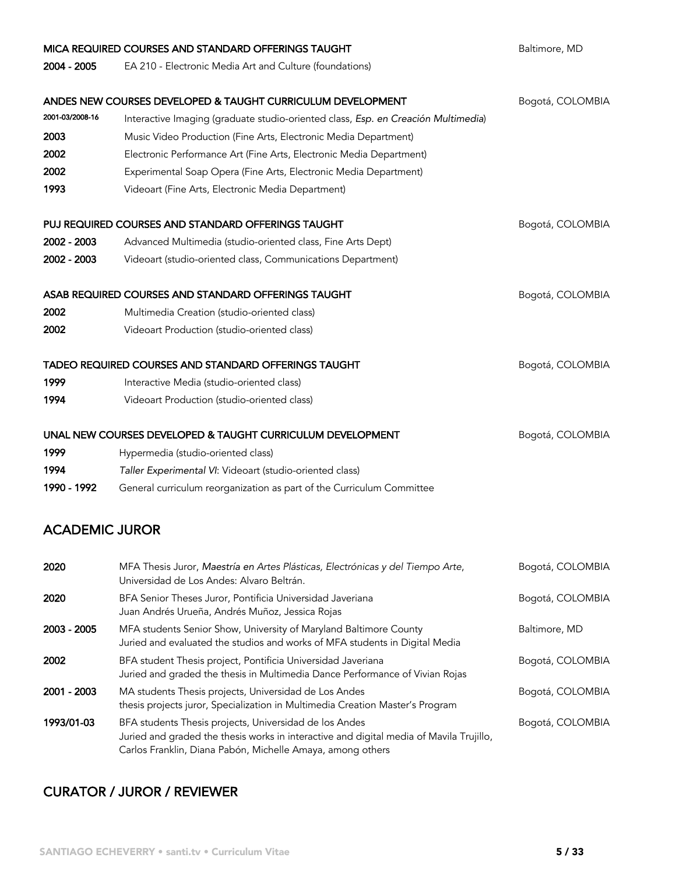|                       | MICA REQUIRED COURSES AND STANDARD OFFERINGS TAUGHT                                                                                                                                                             | Baltimore, MD    |
|-----------------------|-----------------------------------------------------------------------------------------------------------------------------------------------------------------------------------------------------------------|------------------|
| 2004 - 2005           | EA 210 - Electronic Media Art and Culture (foundations)                                                                                                                                                         |                  |
|                       |                                                                                                                                                                                                                 |                  |
|                       | ANDES NEW COURSES DEVELOPED & TAUGHT CURRICULUM DEVELOPMENT                                                                                                                                                     | Bogotá, COLOMBIA |
| 2001-03/2008-16       | Interactive Imaging (graduate studio-oriented class, Esp. en Creación Multimedia)                                                                                                                               |                  |
| 2003                  | Music Video Production (Fine Arts, Electronic Media Department)                                                                                                                                                 |                  |
| 2002                  | Electronic Performance Art (Fine Arts, Electronic Media Department)                                                                                                                                             |                  |
| 2002                  | Experimental Soap Opera (Fine Arts, Electronic Media Department)                                                                                                                                                |                  |
| 1993                  | Videoart (Fine Arts, Electronic Media Department)                                                                                                                                                               |                  |
|                       | PUJ REQUIRED COURSES AND STANDARD OFFERINGS TAUGHT                                                                                                                                                              | Bogotá, COLOMBIA |
| 2002 - 2003           | Advanced Multimedia (studio-oriented class, Fine Arts Dept)                                                                                                                                                     |                  |
| 2002 - 2003           | Videoart (studio-oriented class, Communications Department)                                                                                                                                                     |                  |
|                       |                                                                                                                                                                                                                 |                  |
|                       | ASAB REQUIRED COURSES AND STANDARD OFFERINGS TAUGHT                                                                                                                                                             | Bogotá, COLOMBIA |
| 2002                  | Multimedia Creation (studio-oriented class)                                                                                                                                                                     |                  |
| 2002                  | Videoart Production (studio-oriented class)                                                                                                                                                                     |                  |
|                       | <b>TADEO REQUIRED COURSES AND STANDARD OFFERINGS TAUGHT</b>                                                                                                                                                     | Bogotá, COLOMBIA |
| 1999                  | Interactive Media (studio-oriented class)                                                                                                                                                                       |                  |
| 1994                  | Videoart Production (studio-oriented class)                                                                                                                                                                     |                  |
|                       | UNAL NEW COURSES DEVELOPED & TAUGHT CURRICULUM DEVELOPMENT                                                                                                                                                      | Bogotá, COLOMBIA |
| 1999                  | Hypermedia (studio-oriented class)                                                                                                                                                                              |                  |
| 1994                  | Taller Experimental VI: Videoart (studio-oriented class)                                                                                                                                                        |                  |
| 1990 - 1992           | General curriculum reorganization as part of the Curriculum Committee                                                                                                                                           |                  |
|                       |                                                                                                                                                                                                                 |                  |
| <b>ACADEMIC JUROR</b> |                                                                                                                                                                                                                 |                  |
| 2020                  | MFA Thesis Juror, Maestría en Artes Plásticas, Electrónicas y del Tiempo Arte,<br>Universidad de Los Andes: Alvaro Beltrán.                                                                                     | Bogotá, COLOMBIA |
| 2020                  | BFA Senior Theses Juror, Pontificia Universidad Javeriana<br>Juan Andrés Urueña, Andrés Muñoz, Jessica Rojas                                                                                                    | Bogotá, COLOMBIA |
| 2003 - 2005           | MFA students Senior Show, University of Maryland Baltimore County<br>Juried and evaluated the studios and works of MFA students in Digital Media                                                                | Baltimore, MD    |
| 2002                  | BFA student Thesis project, Pontificia Universidad Javeriana<br>Juried and graded the thesis in Multimedia Dance Performance of Vivian Rojas                                                                    | Bogotá, COLOMBIA |
| 2001 - 2003           | MA students Thesis projects, Universidad de Los Andes<br>thesis projects juror, Specialization in Multimedia Creation Master's Program                                                                          | Bogotá, COLOMBIA |
| 1993/01-03            | BFA students Thesis projects, Universidad de los Andes<br>Juried and graded the thesis works in interactive and digital media of Mavila Trujillo,<br>Carlos Franklin, Diana Pabón, Michelle Amaya, among others | Bogotá, COLOMBIA |

## CURATOR / JUROR / REVIEWER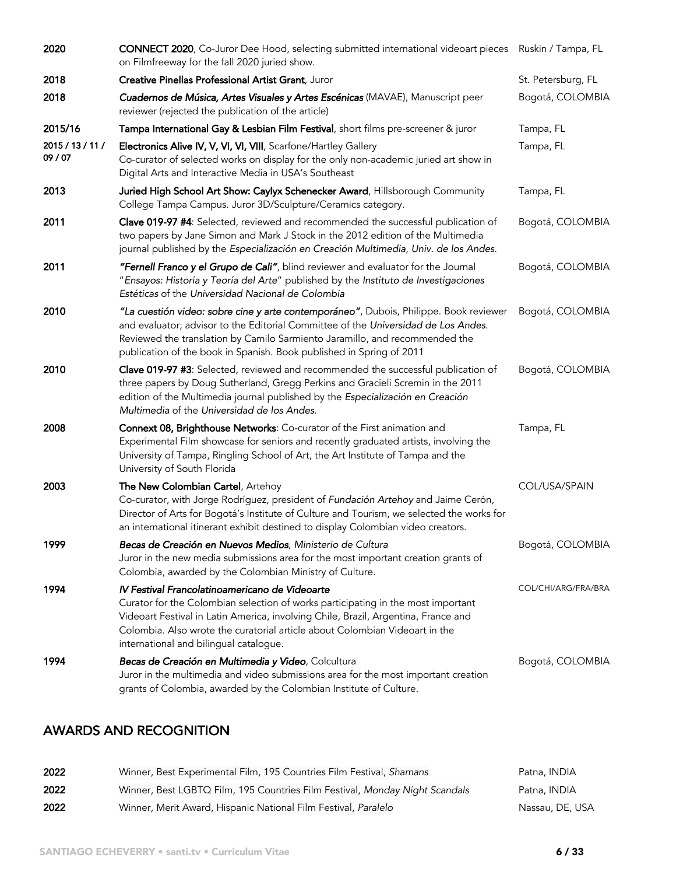| 2020                        | CONNECT 2020, Co-Juror Dee Hood, selecting submitted international videoart pieces Ruskin / Tampa, FL<br>on Filmfreeway for the fall 2020 juried show.                                                                                                                                                                                            |                     |
|-----------------------------|---------------------------------------------------------------------------------------------------------------------------------------------------------------------------------------------------------------------------------------------------------------------------------------------------------------------------------------------------|---------------------|
| 2018                        | Creative Pinellas Professional Artist Grant, Juror                                                                                                                                                                                                                                                                                                | St. Petersburg, FL  |
| 2018                        | Cuadernos de Música, Artes Visuales y Artes Escénicas (MAVAE), Manuscript peer<br>reviewer (rejected the publication of the article)                                                                                                                                                                                                              | Bogotá, COLOMBIA    |
| 2015/16                     | Tampa International Gay & Lesbian Film Festival, short films pre-screener & juror                                                                                                                                                                                                                                                                 | Tampa, FL           |
| 2015 / 13 / 11 /<br>09 / 07 | Electronics Alive IV, V, VI, VI, VIII, Scarfone/Hartley Gallery<br>Co-curator of selected works on display for the only non-academic juried art show in<br>Digital Arts and Interactive Media in USA's Southeast                                                                                                                                  | Tampa, FL           |
| 2013                        | Juried High School Art Show: Caylyx Schenecker Award, Hillsborough Community<br>College Tampa Campus. Juror 3D/Sculpture/Ceramics category.                                                                                                                                                                                                       | Tampa, FL           |
| 2011                        | Clave 019-97 #4: Selected, reviewed and recommended the successful publication of<br>two papers by Jane Simon and Mark J Stock in the 2012 edition of the Multimedia<br>journal published by the Especialización en Creación Multimedia, Univ. de los Andes.                                                                                      | Bogotá, COLOMBIA    |
| 2011                        | "Fernell Franco y el Grupo de Cali", blind reviewer and evaluator for the Journal<br>"Ensayos: Historia y Teoría del Arte" published by the Instituto de Investigaciones<br>Estéticas of the Universidad Nacional de Colombia                                                                                                                     | Bogotá, COLOMBIA    |
| 2010                        | "La cuestión video: sobre cine y arte contemporáneo", Dubois, Philippe. Book reviewer<br>and evaluator; advisor to the Editorial Committee of the Universidad de Los Andes.<br>Reviewed the translation by Camilo Sarmiento Jaramillo, and recommended the<br>publication of the book in Spanish. Book published in Spring of 2011                | Bogotá, COLOMBIA    |
| 2010                        | Clave 019-97 #3: Selected, reviewed and recommended the successful publication of<br>three papers by Doug Sutherland, Gregg Perkins and Gracieli Scremin in the 2011<br>edition of the Multimedia journal published by the Especialización en Creación<br>Multimedia of the Universidad de los Andes.                                             | Bogotá, COLOMBIA    |
| 2008                        | Connext 08, Brighthouse Networks: Co-curator of the First animation and<br>Experimental Film showcase for seniors and recently graduated artists, involving the<br>University of Tampa, Ringling School of Art, the Art Institute of Tampa and the<br>University of South Florida                                                                 | Tampa, FL           |
| 2003                        | The New Colombian Cartel, Artehoy<br>Co-curator, with Jorge Rodríguez, president of Fundación Artehoy and Jaime Cerón,<br>Director of Arts for Bogotá's Institute of Culture and Tourism, we selected the works for<br>an international itinerant exhibit destined to display Colombian video creators.                                           | COL/USA/SPAIN       |
| 1999                        | Becas de Creación en Nuevos Medios, Ministerio de Cultura<br>Juror in the new media submissions area for the most important creation grants of<br>Colombia, awarded by the Colombian Ministry of Culture.                                                                                                                                         | Bogotá, COLOMBIA    |
| 1994                        | IV Festival Francolatinoamericano de Videoarte<br>Curator for the Colombian selection of works participating in the most important<br>Videoart Festival in Latin America, involving Chile, Brazil, Argentina, France and<br>Colombia. Also wrote the curatorial article about Colombian Videoart in the<br>international and bilingual catalogue. | COL/CHI/ARG/FRA/BRA |
| 1994                        | Becas de Creación en Multimedia y Video, Colcultura<br>Juror in the multimedia and video submissions area for the most important creation<br>grants of Colombia, awarded by the Colombian Institute of Culture.                                                                                                                                   | Bogotá, COLOMBIA    |

# AWARDS AND RECOGNITION

| 2022 | Winner, Best Experimental Film, 195 Countries Film Festival, Shamans        | Patna, INDIA    |
|------|-----------------------------------------------------------------------------|-----------------|
| 2022 | Winner, Best LGBTQ Film, 195 Countries Film Festival, Monday Night Scandals | Patna, INDIA    |
| 2022 | Winner, Merit Award, Hispanic National Film Festival, Paralelo              | Nassau, DE, USA |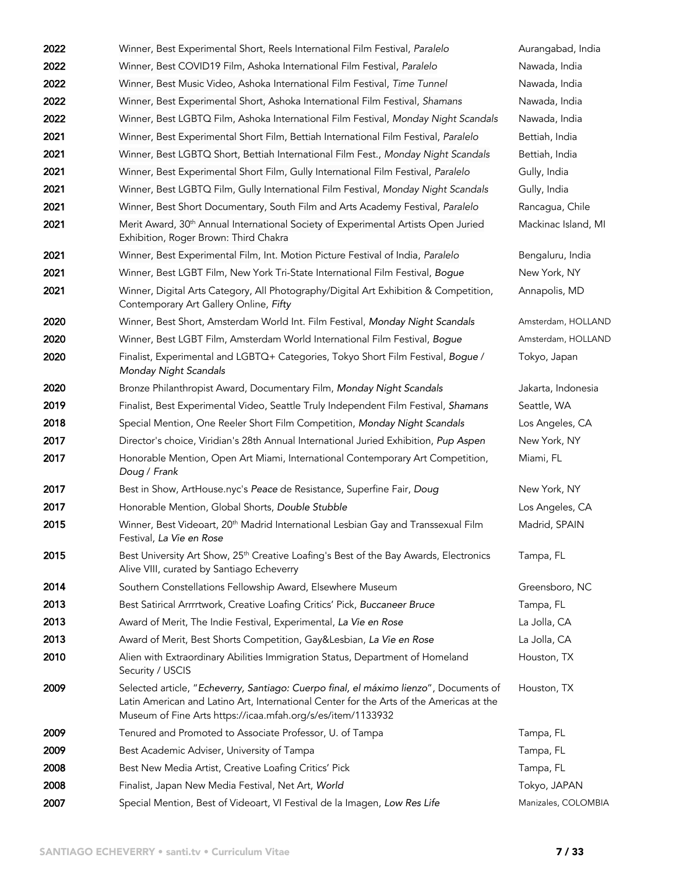| 2022 | Winner, Best Experimental Short, Reels International Film Festival, Paralelo                                                                                                                                                                    | Aurangabad, India   |
|------|-------------------------------------------------------------------------------------------------------------------------------------------------------------------------------------------------------------------------------------------------|---------------------|
| 2022 | Winner, Best COVID19 Film, Ashoka International Film Festival, Paralelo                                                                                                                                                                         | Nawada, India       |
| 2022 | Winner, Best Music Video, Ashoka International Film Festival, Time Tunnel                                                                                                                                                                       | Nawada, India       |
| 2022 | Winner, Best Experimental Short, Ashoka International Film Festival, Shamans                                                                                                                                                                    | Nawada, India       |
| 2022 | Winner, Best LGBTQ Film, Ashoka International Film Festival, Monday Night Scandals                                                                                                                                                              | Nawada, India       |
| 2021 | Winner, Best Experimental Short Film, Bettiah International Film Festival, Paralelo                                                                                                                                                             | Bettiah, India      |
| 2021 | Winner, Best LGBTQ Short, Bettiah International Film Fest., Monday Night Scandals                                                                                                                                                               | Bettiah, India      |
| 2021 | Winner, Best Experimental Short Film, Gully International Film Festival, Paralelo                                                                                                                                                               | Gully, India        |
| 2021 | Winner, Best LGBTQ Film, Gully International Film Festival, Monday Night Scandals                                                                                                                                                               | Gully, India        |
| 2021 | Winner, Best Short Documentary, South Film and Arts Academy Festival, Paralelo                                                                                                                                                                  | Rancagua, Chile     |
| 2021 | Merit Award, 30 <sup>th</sup> Annual International Society of Experimental Artists Open Juried<br>Exhibition, Roger Brown: Third Chakra                                                                                                         | Mackinac Island, MI |
| 2021 | Winner, Best Experimental Film, Int. Motion Picture Festival of India, Paralelo                                                                                                                                                                 | Bengaluru, India    |
| 2021 | Winner, Best LGBT Film, New York Tri-State International Film Festival, Bogue                                                                                                                                                                   | New York, NY        |
| 2021 | Winner, Digital Arts Category, All Photography/Digital Art Exhibition & Competition,<br>Contemporary Art Gallery Online, Fifty                                                                                                                  | Annapolis, MD       |
| 2020 | Winner, Best Short, Amsterdam World Int. Film Festival, Monday Night Scandals                                                                                                                                                                   | Amsterdam, HOLLAND  |
| 2020 | Winner, Best LGBT Film, Amsterdam World International Film Festival, Bogue                                                                                                                                                                      | Amsterdam, HOLLAND  |
| 2020 | Finalist, Experimental and LGBTQ+ Categories, Tokyo Short Film Festival, Bogue /<br>Monday Night Scandals                                                                                                                                       | Tokyo, Japan        |
| 2020 | Bronze Philanthropist Award, Documentary Film, Monday Night Scandals                                                                                                                                                                            | Jakarta, Indonesia  |
| 2019 | Finalist, Best Experimental Video, Seattle Truly Independent Film Festival, Shamans                                                                                                                                                             | Seattle, WA         |
| 2018 | Special Mention, One Reeler Short Film Competition, Monday Night Scandals                                                                                                                                                                       | Los Angeles, CA     |
| 2017 | Director's choice, Viridian's 28th Annual International Juried Exhibition, Pup Aspen                                                                                                                                                            | New York, NY        |
| 2017 | Honorable Mention, Open Art Miami, International Contemporary Art Competition,<br>Doug / Frank                                                                                                                                                  | Miami, FL           |
| 2017 | Best in Show, ArtHouse.nyc's Peace de Resistance, Superfine Fair, Doug                                                                                                                                                                          | New York, NY        |
| 2017 | Honorable Mention, Global Shorts, Double Stubble                                                                                                                                                                                                | Los Angeles, CA     |
| 2015 | Winner, Best Videoart, 20 <sup>th</sup> Madrid International Lesbian Gay and Transsexual Film<br>Festival. La Vie en Rose                                                                                                                       | Madrid, SPAIN       |
| 2015 | Best University Art Show, 25 <sup>th</sup> Creative Loafing's Best of the Bay Awards, Electronics<br>Alive VIII, curated by Santiago Echeverry                                                                                                  | Tampa, FL           |
| 2014 | Southern Constellations Fellowship Award, Elsewhere Museum                                                                                                                                                                                      | Greensboro, NC      |
| 2013 | Best Satirical Arrrrtwork, Creative Loafing Critics' Pick, Buccaneer Bruce                                                                                                                                                                      | Tampa, FL           |
| 2013 | Award of Merit, The Indie Festival, Experimental, La Vie en Rose                                                                                                                                                                                | La Jolla, CA        |
| 2013 | Award of Merit, Best Shorts Competition, Gay&Lesbian, La Vie en Rose                                                                                                                                                                            | La Jolla, CA        |
| 2010 | Alien with Extraordinary Abilities Immigration Status, Department of Homeland<br>Security / USCIS                                                                                                                                               | Houston, TX         |
| 2009 | Selected article, "Echeverry, Santiago: Cuerpo final, el máximo lienzo", Documents of<br>Latin American and Latino Art, International Center for the Arts of the Americas at the<br>Museum of Fine Arts https://icaa.mfah.org/s/es/item/1133932 | Houston, TX         |
| 2009 | Tenured and Promoted to Associate Professor, U. of Tampa                                                                                                                                                                                        | Tampa, FL           |
| 2009 | Best Academic Adviser, University of Tampa                                                                                                                                                                                                      | Tampa, FL           |
| 2008 | Best New Media Artist, Creative Loafing Critics' Pick                                                                                                                                                                                           | Tampa, FL           |
| 2008 | Finalist, Japan New Media Festival, Net Art, World                                                                                                                                                                                              | Tokyo, JAPAN        |
| 2007 | Special Mention, Best of Videoart, VI Festival de la Imagen, Low Res Life                                                                                                                                                                       | Manizales, COLOMBIA |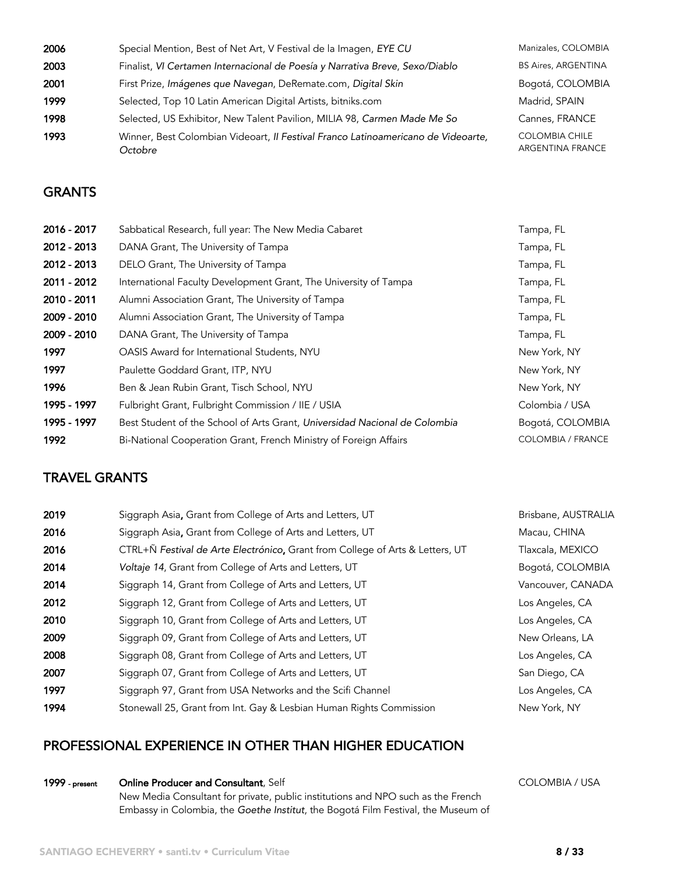| 2006 | Special Mention, Best of Net Art, V Festival de la Imagen, EYE CU                            | Manizales, COLOMBIA                       |
|------|----------------------------------------------------------------------------------------------|-------------------------------------------|
| 2003 | Finalist, VI Certamen Internacional de Poesía y Narrativa Breve, Sexo/Diablo                 | <b>BS Aires, ARGENTINA</b>                |
| 2001 | First Prize, Imágenes que Navegan, DeRemate.com, Digital Skin                                | Bogotá, COLOMBIA                          |
| 1999 | Selected, Top 10 Latin American Digital Artists, bitniks.com                                 | Madrid, SPAIN                             |
| 1998 | Selected, US Exhibitor, New Talent Pavilion, MILIA 98, Carmen Made Me So                     | Cannes, FRANCE                            |
| 1993 | Winner, Best Colombian Videoart, Il Festival Franco Latinoamericano de Videoarte,<br>Octobre | <b>COLOMBIA CHILE</b><br>ARGENTINA FRANCE |

#### **GRANTS**

| 2016 - 2017 | Sabbatical Research, full year: The New Media Cabaret                      | Tampa, FL                |
|-------------|----------------------------------------------------------------------------|--------------------------|
| 2012 - 2013 | DANA Grant, The University of Tampa                                        | Tampa, FL                |
| 2012 - 2013 | DELO Grant, The University of Tampa                                        | Tampa, FL                |
| 2011 - 2012 | International Faculty Development Grant, The University of Tampa           | Tampa, FL                |
| 2010 - 2011 | Alumni Association Grant, The University of Tampa                          | Tampa, FL                |
| 2009 - 2010 | Alumni Association Grant, The University of Tampa                          | Tampa, FL                |
| 2009 - 2010 | DANA Grant, The University of Tampa                                        | Tampa, FL                |
| 1997        | OASIS Award for International Students, NYU                                | New York, NY             |
| 1997        | Paulette Goddard Grant, ITP, NYU                                           | New York, NY             |
| 1996        | Ben & Jean Rubin Grant, Tisch School, NYU                                  | New York, NY             |
| 1995 - 1997 | Fulbright Grant, Fulbright Commission / IIE / USIA                         | Colombia / USA           |
| 1995 - 1997 | Best Student of the School of Arts Grant, Universidad Nacional de Colombia | Bogotá, COLOMBIA         |
| 1992        | Bi-National Cooperation Grant, French Ministry of Foreign Affairs          | <b>COLOMBIA / FRANCE</b> |

#### TRAVEL GRANTS

| 2019 | Siggraph Asia, Grant from College of Arts and Letters, UT                     | Brisbane, AUSTRALIA |
|------|-------------------------------------------------------------------------------|---------------------|
| 2016 | Siggraph Asia, Grant from College of Arts and Letters, UT                     | Macau, CHINA        |
| 2016 | CTRL+Ñ Festival de Arte Electrónico, Grant from College of Arts & Letters, UT | Tlaxcala, MEXICO    |
| 2014 | Voltaje 14, Grant from College of Arts and Letters, UT                        | Bogotá, COLOMBIA    |
| 2014 | Siggraph 14, Grant from College of Arts and Letters, UT                       | Vancouver, CANADA   |
| 2012 | Siggraph 12, Grant from College of Arts and Letters, UT                       | Los Angeles, CA     |
| 2010 | Siggraph 10, Grant from College of Arts and Letters, UT                       | Los Angeles, CA     |
| 2009 | Siggraph 09, Grant from College of Arts and Letters, UT                       | New Orleans, LA     |
| 2008 | Siggraph 08, Grant from College of Arts and Letters, UT                       | Los Angeles, CA     |
| 2007 | Siggraph 07, Grant from College of Arts and Letters, UT                       | San Diego, CA       |
| 1997 | Siggraph 97, Grant from USA Networks and the Scifi Channel                    | Los Angeles, CA     |
| 1994 | Stonewall 25, Grant from Int. Gay & Lesbian Human Rights Commission           | New York, NY        |

## PROFESSIONAL EXPERIENCE IN OTHER THAN HIGHER EDUCATION

1999 - present **Online Producer and Consultant**, Self

New Media Consultant for private, public institutions and NPO such as the French Embassy in Colombia, the *Goethe Institut*, the Bogotá Film Festival, the Museum of COLOMBIA / USA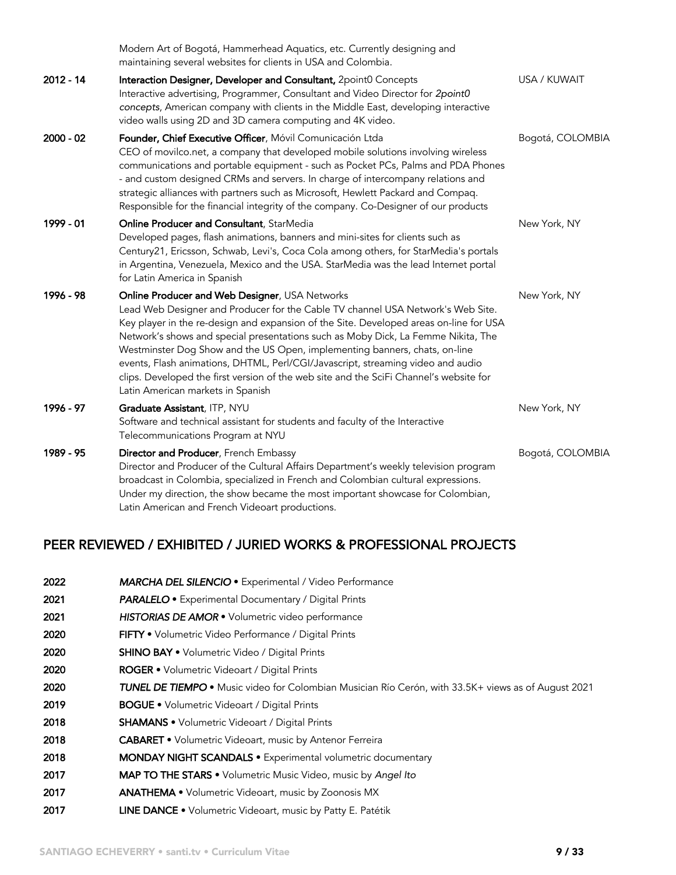|             | Modern Art of Bogotá, Hammerhead Aquatics, etc. Currently designing and<br>maintaining several websites for clients in USA and Colombia.                                                                                                                                                                                                                                                                                                                                                                                                                                                                         |                  |
|-------------|------------------------------------------------------------------------------------------------------------------------------------------------------------------------------------------------------------------------------------------------------------------------------------------------------------------------------------------------------------------------------------------------------------------------------------------------------------------------------------------------------------------------------------------------------------------------------------------------------------------|------------------|
| $2012 - 14$ | Interaction Designer, Developer and Consultant, 2point0 Concepts<br>Interactive advertising, Programmer, Consultant and Video Director for 2point0<br>concepts, American company with clients in the Middle East, developing interactive<br>video walls using 2D and 3D camera computing and 4K video.                                                                                                                                                                                                                                                                                                           | USA / KUWAIT     |
| $2000 - 02$ | Founder, Chief Executive Officer, Móvil Comunicación Ltda<br>CEO of movilco.net, a company that developed mobile solutions involving wireless<br>communications and portable equipment - such as Pocket PCs, Palms and PDA Phones<br>- and custom designed CRMs and servers. In charge of intercompany relations and<br>strategic alliances with partners such as Microsoft, Hewlett Packard and Compaq.<br>Responsible for the financial integrity of the company. Co-Designer of our products                                                                                                                  | Bogotá, COLOMBIA |
| 1999 - 01   | Online Producer and Consultant, StarMedia<br>Developed pages, flash animations, banners and mini-sites for clients such as<br>Century21, Ericsson, Schwab, Levi's, Coca Cola among others, for StarMedia's portals<br>in Argentina, Venezuela, Mexico and the USA. StarMedia was the lead Internet portal<br>for Latin America in Spanish                                                                                                                                                                                                                                                                        | New York, NY     |
| 1996 - 98   | Online Producer and Web Designer, USA Networks<br>Lead Web Designer and Producer for the Cable TV channel USA Network's Web Site.<br>Key player in the re-design and expansion of the Site. Developed areas on-line for USA<br>Network's shows and special presentations such as Moby Dick, La Femme Nikita, The<br>Westminster Dog Show and the US Open, implementing banners, chats, on-line<br>events, Flash animations, DHTML, Perl/CGI/Javascript, streaming video and audio<br>clips. Developed the first version of the web site and the SciFi Channel's website for<br>Latin American markets in Spanish | New York, NY     |
| 1996 - 97   | Graduate Assistant, ITP, NYU<br>Software and technical assistant for students and faculty of the Interactive<br>Telecommunications Program at NYU                                                                                                                                                                                                                                                                                                                                                                                                                                                                | New York, NY     |
| 1989 - 95   | Director and Producer, French Embassy<br>Director and Producer of the Cultural Affairs Department's weekly television program<br>broadcast in Colombia, specialized in French and Colombian cultural expressions.<br>Under my direction, the show became the most important showcase for Colombian,<br>Latin American and French Videoart productions.                                                                                                                                                                                                                                                           | Bogotá, COLOMBIA |

## PEER REVIEWED / EXHIBITED / JURIED WORKS & PROFESSIONAL PROJECTS

| 2022 | MARCHA DEL SILENCIO · Experimental / Video Performance                                                     |
|------|------------------------------------------------------------------------------------------------------------|
| 2021 | <b>PARALELO</b> • Experimental Documentary / Digital Prints                                                |
| 2021 | HISTORIAS DE AMOR · Volumetric video performance                                                           |
| 2020 | <b>FIFTY</b> • Volumetric Video Performance / Digital Prints                                               |
| 2020 | <b>SHINO BAY •</b> Volumetric Video / Digital Prints                                                       |
| 2020 | <b>ROGER •</b> Volumetric Videoart / Digital Prints                                                        |
| 2020 | <b>TUNEL DE TIEMPO</b> • Music video for Colombian Musician Río Cerón, with 33.5K+ views as of August 2021 |
| 2019 | <b>BOGUE •</b> Volumetric Videoart / Digital Prints                                                        |
| 2018 | <b>SHAMANS •</b> Volumetric Videoart / Digital Prints                                                      |
| 2018 | <b>CABARET</b> • Volumetric Videoart, music by Antenor Ferreira                                            |
| 2018 | <b>MONDAY NIGHT SCANDALS •</b> Experimental volumetric documentary                                         |
| 2017 | <b>MAP TO THE STARS •</b> Volumetric Music Video, music by Angel Ito                                       |
| 2017 | <b>ANATHEMA •</b> Volumetric Videoart, music by Zoonosis MX                                                |
| 2017 | LINE DANCE . Volumetric Videoart, music by Patty E. Patétik                                                |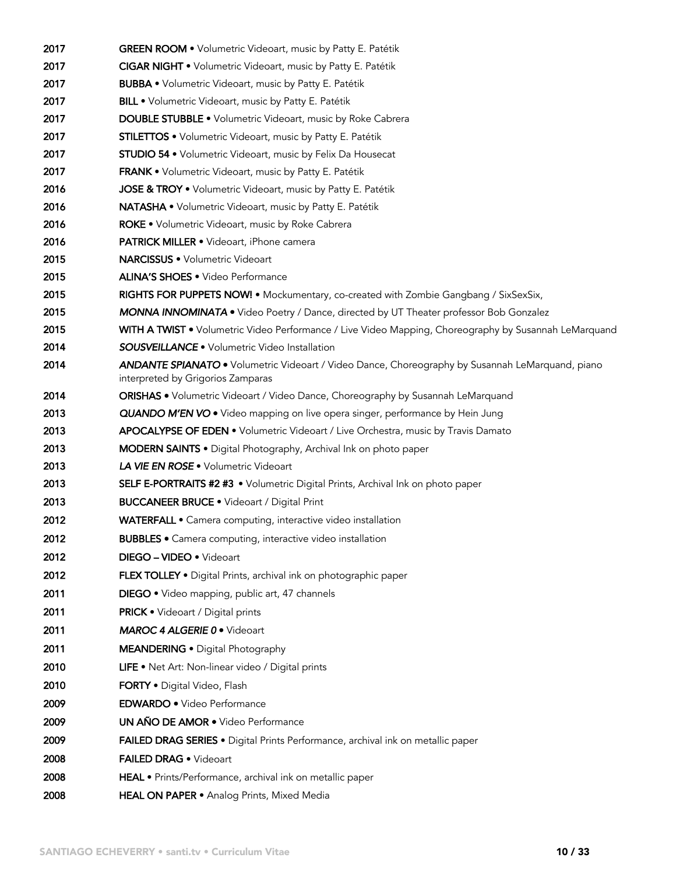| 2017 | GREEN ROOM . Volumetric Videoart, music by Patty E. Patétik                                                                                  |
|------|----------------------------------------------------------------------------------------------------------------------------------------------|
| 2017 | <b>CIGAR NIGHT •</b> Volumetric Videoart, music by Patty E. Patétik                                                                          |
| 2017 | <b>BUBBA •</b> Volumetric Videoart, music by Patty E. Patétik                                                                                |
| 2017 | BILL . Volumetric Videoart, music by Patty E. Patétik                                                                                        |
| 2017 | <b>DOUBLE STUBBLE .</b> Volumetric Videoart, music by Roke Cabrera                                                                           |
| 2017 | <b>STILETTOS •</b> Volumetric Videoart, music by Patty E. Patétik                                                                            |
| 2017 | <b>STUDIO 54 •</b> Volumetric Videoart, music by Felix Da Housecat                                                                           |
| 2017 | <b>FRANK •</b> Volumetric Videoart, music by Patty E. Patétik                                                                                |
| 2016 | JOSE & TROY . Volumetric Videoart, music by Patty E. Patétik                                                                                 |
| 2016 | NATASHA · Volumetric Videoart, music by Patty E. Patétik                                                                                     |
| 2016 | ROKE . Volumetric Videoart, music by Roke Cabrera                                                                                            |
| 2016 | <b>PATRICK MILLER •</b> Videoart, iPhone camera                                                                                              |
| 2015 | <b>NARCISSUS •</b> Volumetric Videoart                                                                                                       |
| 2015 | <b>ALINA'S SHOES .</b> Video Performance                                                                                                     |
| 2015 | RIGHTS FOR PUPPETS NOW! • Mockumentary, co-created with Zombie Gangbang / SixSexSix,                                                         |
| 2015 | <b>MONNA INNOMINATA</b> • Video Poetry / Dance, directed by UT Theater professor Bob Gonzalez                                                |
| 2015 | WITH A TWIST . Volumetric Video Performance / Live Video Mapping, Choreography by Susannah LeMarquand                                        |
| 2014 | <b>SOUSVEILLANCE</b> • Volumetric Video Installation                                                                                         |
| 2014 | <b>ANDANTE SPIANATO •</b> Volumetric Videoart / Video Dance, Choreography by Susannah LeMarquand, piano<br>interpreted by Grigorios Zamparas |
| 2014 | ORISHAS . Volumetric Videoart / Video Dance, Choreography by Susannah LeMarquand                                                             |
| 2013 | <b>QUANDO M'EN VO .</b> Video mapping on live opera singer, performance by Hein Jung                                                         |
| 2013 | <b>APOCALYPSE OF EDEN •</b> Volumetric Videoart / Live Orchestra, music by Travis Damato                                                     |
| 2013 | <b>MODERN SAINTS •</b> Digital Photography, Archival Ink on photo paper                                                                      |
| 2013 | LA VIE EN ROSE . Volumetric Videoart                                                                                                         |
| 2013 | SELF E-PORTRAITS #2 #3 • Volumetric Digital Prints, Archival Ink on photo paper                                                              |
| 2013 | <b>BUCCANEER BRUCE .</b> Videoart / Digital Print                                                                                            |
| 2012 | WATERFALL • Camera computing, interactive video installation                                                                                 |
| 2012 | <b>BUBBLES</b> • Camera computing, interactive video installation                                                                            |
| 2012 | DIEGO - VIDEO • Videoart                                                                                                                     |
| 2012 | FLEX TOLLEY . Digital Prints, archival ink on photographic paper                                                                             |
| 2011 | DIEGO . Video mapping, public art, 47 channels                                                                                               |
| 2011 | <b>PRICK</b> • Videoart / Digital prints                                                                                                     |
| 2011 | <b>MAROC 4 ALGERIE 0 · Videoart</b>                                                                                                          |
| 2011 | <b>MEANDERING .</b> Digital Photography                                                                                                      |
| 2010 | LIFE • Net Art: Non-linear video / Digital prints                                                                                            |
| 2010 | <b>FORTY •</b> Digital Video, Flash                                                                                                          |
| 2009 | <b>EDWARDO</b> . Video Performance                                                                                                           |
| 2009 | <b>UN AÑO DE AMOR •</b> Video Performance                                                                                                    |
| 2009 | FAILED DRAG SERIES . Digital Prints Performance, archival ink on metallic paper                                                              |
| 2008 | FAILED DRAG . Videoart                                                                                                                       |
| 2008 | HEAL • Prints/Performance, archival ink on metallic paper                                                                                    |
| 2008 | HEAL ON PAPER . Analog Prints, Mixed Media                                                                                                   |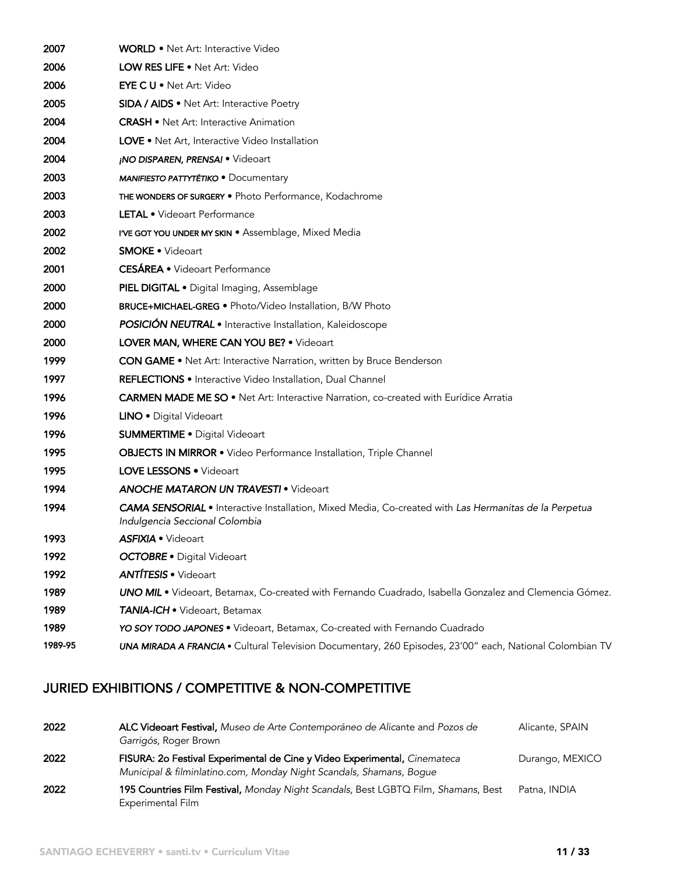| 2007    | <b>WORLD</b> • Net Art: Interactive Video                                                                                               |
|---------|-----------------------------------------------------------------------------------------------------------------------------------------|
| 2006    | LOW RES LIFE . Net Art: Video                                                                                                           |
| 2006    | <b>EYE C U • Net Art: Video</b>                                                                                                         |
| 2005    | <b>SIDA / AIDS •</b> Net Art: Interactive Poetry                                                                                        |
| 2004    | <b>CRASH •</b> Net Art: Interactive Animation                                                                                           |
| 2004    | <b>LOVE •</b> Net Art, Interactive Video Installation                                                                                   |
| 2004    | <b>NO DISPAREN, PRENSA! •</b> Videoart                                                                                                  |
| 2003    | <b>MANIFIESTO PATTYTÉTIKO · Documentary</b>                                                                                             |
| 2003    | THE WONDERS OF SURGERY . Photo Performance, Kodachrome                                                                                  |
| 2003    | <b>LETAL •</b> Videoart Performance                                                                                                     |
| 2002    | <b>I'VE GOT YOU UNDER MY SKIN •</b> Assemblage, Mixed Media                                                                             |
| 2002    | <b>SMOKE • Videoart</b>                                                                                                                 |
| 2001    | <b>CESÁREA</b> • Videoart Performance                                                                                                   |
| 2000    | PIEL DIGITAL . Digital Imaging, Assemblage                                                                                              |
| 2000    | <b>BRUCE+MICHAEL-GREG •</b> Photo/Video Installation, B/W Photo                                                                         |
| 2000    | <b>POSICIÓN NEUTRAL</b> · Interactive Installation, Kaleidoscope                                                                        |
| 2000    | LOVER MAN, WHERE CAN YOU BE? . Videoart                                                                                                 |
| 1999    | <b>CON GAME •</b> Net Art: Interactive Narration, written by Bruce Benderson                                                            |
| 1997    | <b>REFLECTIONS</b> • Interactive Video Installation, Dual Channel                                                                       |
| 1996    | CARMEN MADE ME SO . Net Art: Interactive Narration, co-created with Eurídice Arratia                                                    |
| 1996    | <b>LINO •</b> Digital Videoart                                                                                                          |
| 1996    | <b>SUMMERTIME •</b> Digital Videoart                                                                                                    |
| 1995    | <b>OBJECTS IN MIRROR •</b> Video Performance Installation, Triple Channel                                                               |
| 1995    | <b>LOVE LESSONS • Videoart</b>                                                                                                          |
| 1994    | <b>ANOCHE MATARON UN TRAVESTI • Videoart</b>                                                                                            |
| 1994    | CAMA SENSORIAL • Interactive Installation, Mixed Media, Co-created with Las Hermanitas de la Perpetua<br>Indulgencia Seccional Colombia |
| 1993    | <b>ASFIXIA •</b> Videoart                                                                                                               |
| 1992    | <b>OCTOBRE</b> · Digital Videoart                                                                                                       |
| 1992    | <b>ANTÍTESIS</b> • Videoart                                                                                                             |
| 1989    | UNO MIL . Videoart, Betamax, Co-created with Fernando Cuadrado, Isabella Gonzalez and Clemencia Gómez.                                  |
| 1989    | <b>TANIA-ICH •</b> Videoart, Betamax                                                                                                    |
| 1989    | YO SOY TODO JAPONES . Videoart, Betamax, Co-created with Fernando Cuadrado                                                              |
| 1989-95 | UNA MIRADA A FRANCIA . Cultural Television Documentary, 260 Episodes, 23'00" each, National Colombian TV                                |

## JURIED EXHIBITIONS / COMPETITIVE & NON-COMPETITIVE

| 2022 | ALC Videoart Festival, Museo de Arte Contemporáneo de Alicante and Pozos de<br>Garrigós, Roger Brown                                             | Alicante, SPAIN |
|------|--------------------------------------------------------------------------------------------------------------------------------------------------|-----------------|
| 2022 | FISURA: 20 Festival Experimental de Cine y Video Experimental, Cinemateca<br>Municipal & filminlatino.com, Monday Night Scandals, Shamans, Bogue | Durango, MEXICO |
| 2022 | 195 Countries Film Festival, Monday Night Scandals, Best LGBTQ Film, Shamans, Best<br>Experimental Film                                          | Patna, INDIA    |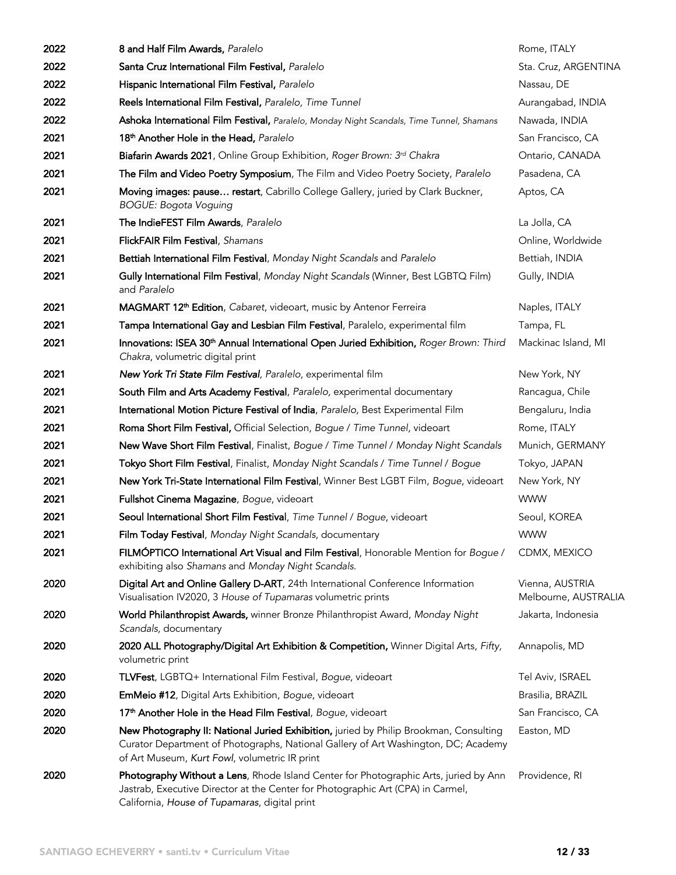| 2022 | 8 and Half Film Awards, Paralelo                                                                                                                                                                                             | Rome, ITALY                             |
|------|------------------------------------------------------------------------------------------------------------------------------------------------------------------------------------------------------------------------------|-----------------------------------------|
| 2022 | Santa Cruz International Film Festival, Paralelo                                                                                                                                                                             | Sta. Cruz, ARGENTINA                    |
| 2022 | Hispanic International Film Festival, Paralelo                                                                                                                                                                               | Nassau, DE                              |
| 2022 | Reels International Film Festival, Paralelo, Time Tunnel                                                                                                                                                                     | Aurangabad, INDIA                       |
| 2022 | Ashoka International Film Festival, Paralelo, Monday Night Scandals, Time Tunnel, Shamans                                                                                                                                    | Nawada, INDIA                           |
| 2021 | 18 <sup>th</sup> Another Hole in the Head, Paralelo                                                                                                                                                                          | San Francisco, CA                       |
| 2021 | Biafarin Awards 2021, Online Group Exhibition, Roger Brown: 3rd Chakra                                                                                                                                                       | Ontario, CANADA                         |
| 2021 | The Film and Video Poetry Symposium, The Film and Video Poetry Society, Paralelo                                                                                                                                             | Pasadena, CA                            |
| 2021 | Moving images: pause restart, Cabrillo College Gallery, juried by Clark Buckner,<br><b>BOGUE: Bogota Voguing</b>                                                                                                             | Aptos, CA                               |
| 2021 | The IndieFEST Film Awards, Paralelo                                                                                                                                                                                          | La Jolla, CA                            |
| 2021 | FlickFAIR Film Festival, Shamans                                                                                                                                                                                             | Online, Worldwide                       |
| 2021 | Bettiah International Film Festival, Monday Night Scandals and Paralelo                                                                                                                                                      | Bettiah, INDIA                          |
| 2021 | Gully International Film Festival, Monday Night Scandals (Winner, Best LGBTQ Film)<br>and Paralelo                                                                                                                           | Gully, INDIA                            |
| 2021 | MAGMART 12 <sup>th</sup> Edition, Cabaret, videoart, music by Antenor Ferreira                                                                                                                                               | Naples, ITALY                           |
| 2021 | Tampa International Gay and Lesbian Film Festival, Paralelo, experimental film                                                                                                                                               | Tampa, FL                               |
| 2021 | Innovations: ISEA 30 <sup>th</sup> Annual International Open Juried Exhibition, Roger Brown: Third<br>Chakra, volumetric digital print                                                                                       | Mackinac Island, MI                     |
| 2021 | New York Tri State Film Festival, Paralelo, experimental film                                                                                                                                                                | New York, NY                            |
| 2021 | South Film and Arts Academy Festival, Paralelo, experimental documentary                                                                                                                                                     | Rancagua, Chile                         |
| 2021 | International Motion Picture Festival of India, Paralelo, Best Experimental Film                                                                                                                                             | Bengaluru, India                        |
| 2021 | Roma Short Film Festival, Official Selection, Bogue / Time Tunnel, videoart                                                                                                                                                  | Rome, ITALY                             |
| 2021 | New Wave Short Film Festival, Finalist, Bogue / Time Tunnel / Monday Night Scandals                                                                                                                                          | Munich, GERMANY                         |
| 2021 | Tokyo Short Film Festival, Finalist, Monday Night Scandals / Time Tunnel / Bogue                                                                                                                                             | Tokyo, JAPAN                            |
| 2021 | New York Tri-State International Film Festival, Winner Best LGBT Film, Bogue, videoart                                                                                                                                       | New York, NY                            |
| 2021 | Fullshot Cinema Magazine, Bogue, videoart                                                                                                                                                                                    | <b>WWW</b>                              |
| 2021 | Seoul International Short Film Festival, Time Tunnel / Bogue, videoart                                                                                                                                                       | Seoul, KOREA                            |
| 2021 | Film Today Festival, Monday Night Scandals, documentary                                                                                                                                                                      | <b>WWW</b>                              |
| 2021 | FILMÓPTICO International Art Visual and Film Festival, Honorable Mention for Bogue /<br>exhibiting also Shamans and Monday Night Scandals.                                                                                   | CDMX, MEXICO                            |
| 2020 | Digital Art and Online Gallery D-ART, 24th International Conference Information<br>Visualisation IV2020, 3 House of Tupamaras volumetric prints                                                                              | Vienna, AUSTRIA<br>Melbourne, AUSTRALIA |
| 2020 | World Philanthropist Awards, winner Bronze Philanthropist Award, Monday Night<br>Scandals, documentary                                                                                                                       | Jakarta, Indonesia                      |
| 2020 | 2020 ALL Photography/Digital Art Exhibition & Competition, Winner Digital Arts, Fifty,<br>volumetric print                                                                                                                   | Annapolis, MD                           |
| 2020 | TLVFest, LGBTQ+ International Film Festival, Bogue, videoart                                                                                                                                                                 | Tel Aviv, ISRAEL                        |
| 2020 | <b>EmMeio #12, Digital Arts Exhibition, Bogue, videoart</b>                                                                                                                                                                  | Brasilia, BRAZIL                        |
| 2020 | 17 <sup>th</sup> Another Hole in the Head Film Festival, Bogue, videoart                                                                                                                                                     | San Francisco, CA                       |
| 2020 | New Photography II: National Juried Exhibition, juried by Philip Brookman, Consulting<br>Curator Department of Photographs, National Gallery of Art Washington, DC; Academy<br>of Art Museum, Kurt Fowl, volumetric IR print | Easton, MD                              |
| 2020 | Photography Without a Lens, Rhode Island Center for Photographic Arts, juried by Ann<br>Jastrab, Executive Director at the Center for Photographic Art (CPA) in Carmel,<br>California, House of Tupamaras, digital print     | Providence, RI                          |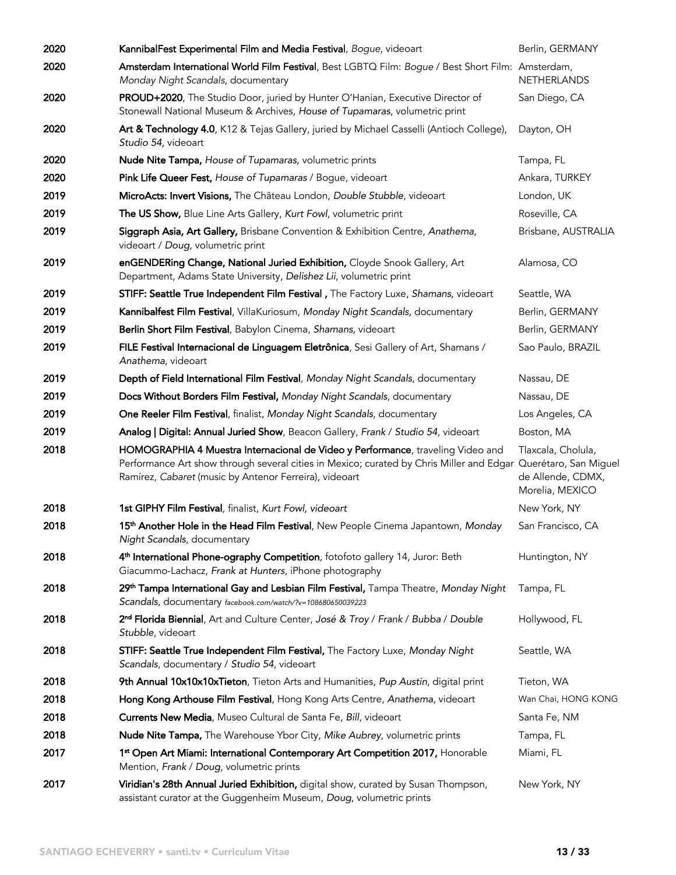| 2020 | KannibalFest Experimental Film and Media Festival, Bogue, videoart                                                                                                                                                                                          | Berlin, GERMANY                                            |
|------|-------------------------------------------------------------------------------------------------------------------------------------------------------------------------------------------------------------------------------------------------------------|------------------------------------------------------------|
| 2020 | Amsterdam International World Film Festival, Best LGBTQ Film: Bogue / Best Short Film: Amsterdam,<br>Monday Night Scandals, documentary                                                                                                                     | <b>NETHERLANDS</b>                                         |
| 2020 | PROUD+2020, The Studio Door, juried by Hunter O'Hanian, Executive Director of<br>Stonewall National Museum & Archives, House of Tupamaras, volumetric print                                                                                                 | San Diego, CA                                              |
| 2020 | Art & Technology 4.0, K12 & Tejas Gallery, juried by Michael Casselli (Antioch College),<br>Studio 54, videoart                                                                                                                                             | Dayton, OH                                                 |
| 2020 | Nude Nite Tampa, House of Tupamaras, volumetric prints                                                                                                                                                                                                      | Tampa, FL                                                  |
| 2020 | Pink Life Queer Fest, House of Tupamaras / Bogue, videoart                                                                                                                                                                                                  | Ankara, TURKEY                                             |
| 2019 | MicroActs: Invert Visions, The Château London, Double Stubble, videoart                                                                                                                                                                                     | London, UK                                                 |
| 2019 | The US Show, Blue Line Arts Gallery, Kurt Fowl, volumetric print                                                                                                                                                                                            | Roseville, CA                                              |
| 2019 | Siggraph Asia, Art Gallery, Brisbane Convention & Exhibition Centre, Anathema,<br>videoart / Doug, volumetric print                                                                                                                                         | Brisbane, AUSTRALIA                                        |
| 2019 | enGENDERing Change, National Juried Exhibition, Cloyde Snook Gallery, Art<br>Department, Adams State University, Delishez Lii, volumetric print                                                                                                             | Alamosa, CO                                                |
| 2019 | STIFF: Seattle True Independent Film Festival, The Factory Luxe, Shamans, videoart                                                                                                                                                                          | Seattle, WA                                                |
| 2019 | Kannibalfest Film Festival, VillaKuriosum, Monday Night Scandals, documentary                                                                                                                                                                               | Berlin, GERMANY                                            |
| 2019 | Berlin Short Film Festival, Babylon Cinema, Shamans, videoart                                                                                                                                                                                               | Berlin, GERMANY                                            |
| 2019 | FILE Festival Internacional de Linguagem Eletrônica, Sesi Gallery of Art, Shamans /<br>Anathema, videoart                                                                                                                                                   | Sao Paulo, BRAZIL                                          |
| 2019 | Depth of Field International Film Festival, Monday Night Scandals, documentary                                                                                                                                                                              | Nassau, DE                                                 |
| 2019 | Docs Without Borders Film Festival, Monday Night Scandals, documentary                                                                                                                                                                                      | Nassau, DE                                                 |
| 2019 | One Reeler Film Festival, finalist, Monday Night Scandals, documentary                                                                                                                                                                                      | Los Angeles, CA                                            |
| 2019 | Analog   Digital: Annual Juried Show, Beacon Gallery, Frank / Studio 54, videoart                                                                                                                                                                           | Boston, MA                                                 |
| 2018 | HOMOGRAPHIA 4 Muestra Internacional de Video y Performance, traveling Video and<br>Performance Art show through several cities in Mexico; curated by Chris Miller and Edgar Querétaro, San Miguel<br>Ramírez, Cabaret (music by Antenor Ferreira), videoart | Tlaxcala, Cholula,<br>de Allende, CDMX,<br>Morelia, MEXICO |
| 2018 | 1st GIPHY Film Festival, finalist, Kurt Fowl, videoart                                                                                                                                                                                                      | New York, NY                                               |
| 2018 | 15 <sup>th</sup> Another Hole in the Head Film Festival, New People Cinema Japantown, Monday<br>Night Scandals, documentary                                                                                                                                 | San Francisco, CA                                          |
| 2018 | 4 <sup>th</sup> International Phone-ography Competition, fotofoto gallery 14, Juror: Beth<br>Giacummo-Lachacz, Frank at Hunters, iPhone photography                                                                                                         | Huntington, NY                                             |
| 2018 | 29 <sup>th</sup> Tampa International Gay and Lesbian Film Festival, Tampa Theatre, Monday Night<br>Scandals, documentary facebook.com/watch/?v=108680650039223                                                                                              | Tampa, FL                                                  |
| 2018 | 2 <sup>nd</sup> Florida Biennial, Art and Culture Center, José & Troy / Frank / Bubba / Double<br>Stubble, videoart                                                                                                                                         | Hollywood, FL                                              |
| 2018 | STIFF: Seattle True Independent Film Festival, The Factory Luxe, Monday Night<br>Scandals, documentary / Studio 54, videoart                                                                                                                                | Seattle, WA                                                |
| 2018 | 9th Annual 10x10x10xTieton, Tieton Arts and Humanities, Pup Austin, digital print                                                                                                                                                                           | Tieton, WA                                                 |
| 2018 | Hong Kong Arthouse Film Festival, Hong Kong Arts Centre, Anathema, videoart                                                                                                                                                                                 | Wan Chai, HONG KONG                                        |
| 2018 | Currents New Media, Museo Cultural de Santa Fe, Bill, videoart                                                                                                                                                                                              | Santa Fe, NM                                               |
| 2018 | Nude Nite Tampa, The Warehouse Ybor City, Mike Aubrey, volumetric prints                                                                                                                                                                                    | Tampa, FL                                                  |
| 2017 | 1st Open Art Miami: International Contemporary Art Competition 2017, Honorable<br>Mention, Frank / Doug, volumetric prints                                                                                                                                  | Miami, FL                                                  |
| 2017 | Viridian's 28th Annual Juried Exhibition, digital show, curated by Susan Thompson,<br>assistant curator at the Guggenheim Museum, Doug, volumetric prints                                                                                                   | New York, NY                                               |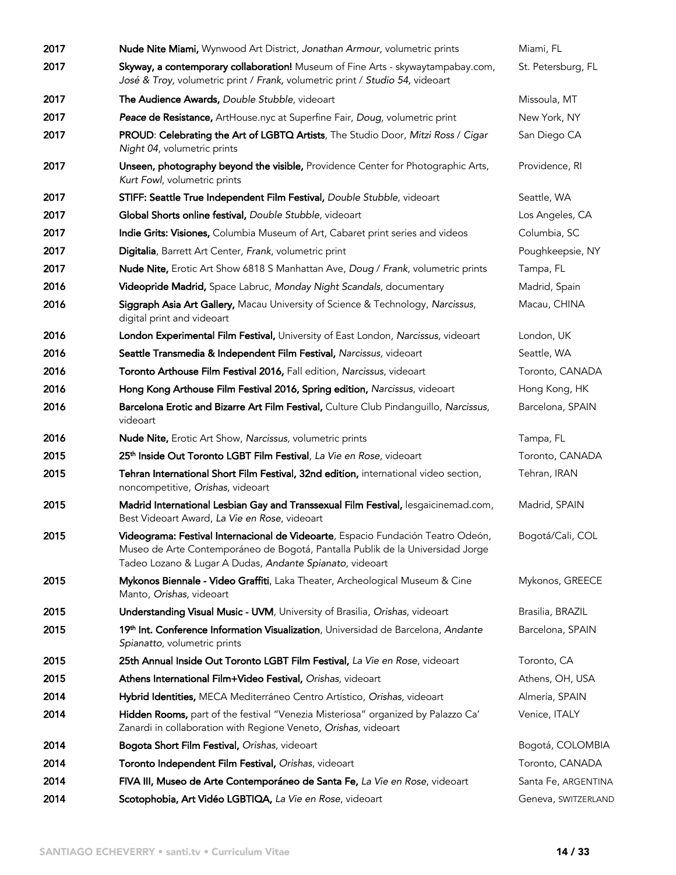| 2017 | Nude Nite Miami, Wynwood Art District, Jonathan Armour, volumetric prints                                                                                                                                                      | Miami, FL           |
|------|--------------------------------------------------------------------------------------------------------------------------------------------------------------------------------------------------------------------------------|---------------------|
| 2017 | Skyway, a contemporary collaboration! Museum of Fine Arts - skywaytampabay.com,<br>José & Troy, volumetric print / Frank, volumetric print / Studio 54, videoart                                                               | St. Petersburg, FL  |
| 2017 | The Audience Awards, Double Stubble, videoart                                                                                                                                                                                  | Missoula, MT        |
| 2017 | Peace de Resistance, ArtHouse.nyc at Superfine Fair, Doug, volumetric print                                                                                                                                                    | New York, NY        |
| 2017 | PROUD: Celebrating the Art of LGBTQ Artists, The Studio Door, Mitzi Ross / Cigar<br>Night 04, volumetric prints                                                                                                                | San Diego CA        |
| 2017 | Unseen, photography beyond the visible, Providence Center for Photographic Arts,<br>Kurt Fowl, volumetric prints                                                                                                               | Providence, RI      |
| 2017 | STIFF: Seattle True Independent Film Festival, Double Stubble, videoart                                                                                                                                                        | Seattle, WA         |
| 2017 | Global Shorts online festival, Double Stubble, videoart                                                                                                                                                                        | Los Angeles, CA     |
| 2017 | Indie Grits: Visiones, Columbia Museum of Art, Cabaret print series and videos                                                                                                                                                 | Columbia, SC        |
| 2017 | Digitalia, Barrett Art Center, Frank, volumetric print                                                                                                                                                                         | Poughkeepsie, NY    |
| 2017 | <b>Nude Nite, Enatic Art Show 6818 S Manhattan Ave, Doug / Frank, volumetric prints</b>                                                                                                                                        | Tampa, FL           |
| 2016 | Videopride Madrid, Space Labruc, Monday Night Scandals, documentary                                                                                                                                                            | Madrid, Spain       |
| 2016 | Siggraph Asia Art Gallery, Macau University of Science & Technology, Narcissus,<br>digital print and videoart                                                                                                                  | Macau, CHINA        |
| 2016 | London Experimental Film Festival, University of East London, Narcissus, videoart                                                                                                                                              | London, UK          |
| 2016 | Seattle Transmedia & Independent Film Festival, Narcissus, videoart                                                                                                                                                            | Seattle, WA         |
| 2016 | Toronto Arthouse Film Festival 2016, Fall edition, Narcissus, videoart                                                                                                                                                         | Toronto, CANADA     |
| 2016 | Hong Kong Arthouse Film Festival 2016, Spring edition, Narcissus, videoart                                                                                                                                                     | Hong Kong, HK       |
| 2016 | Barcelona Erotic and Bizarre Art Film Festival, Culture Club Pindanguillo, Narcissus,<br>videoart                                                                                                                              | Barcelona, SPAIN    |
| 2016 | Nude Nite, Erotic Art Show, Narcissus, volumetric prints                                                                                                                                                                       | Tampa, FL           |
| 2015 | 25 <sup>th</sup> Inside Out Toronto LGBT Film Festival, La Vie en Rose, videoart                                                                                                                                               | Toronto, CANADA     |
| 2015 | Tehran International Short Film Festival, 32nd edition, international video section,<br>noncompetitive, Orishas, videoart                                                                                                      | Tehran, IRAN        |
| 2015 | Madrid International Lesbian Gay and Transsexual Film Festival, lesgaicinemad.com,<br>Best Videoart Award, La Vie en Rose, videoart                                                                                            | Madrid, SPAIN       |
| 2015 | Videograma: Festival Internacional de Videoarte, Espacio Fundación Teatro Odeón,<br>Museo de Arte Contemporáneo de Bogotá, Pantalla Publik de la Universidad Jorge<br>Tadeo Lozano & Lugar A Dudas, Andante Spianato, videoart | Bogotá/Cali, COL    |
| 2015 | Mykonos Biennale - Video Graffiti, Laka Theater, Archeological Museum & Cine<br>Manto, Orishas, videoart                                                                                                                       | Mykonos, GREECE     |
| 2015 | Understanding Visual Music - UVM, University of Brasilia, Orishas, videoart                                                                                                                                                    | Brasilia, BRAZIL    |
| 2015 | 19th Int. Conference Information Visualization, Universidad de Barcelona, Andante<br>Spianatto, volumetric prints                                                                                                              | Barcelona, SPAIN    |
| 2015 | 25th Annual Inside Out Toronto LGBT Film Festival, La Vie en Rose, videoart                                                                                                                                                    | Toronto, CA         |
| 2015 | Athens International Film+Video Festival, Orishas, videoart                                                                                                                                                                    | Athens, OH, USA     |
| 2014 | Hybrid Identities, MECA Mediterráneo Centro Artístico, Orishas, videoart                                                                                                                                                       | Almería, SPAIN      |
| 2014 | Hidden Rooms, part of the festival "Venezia Misteriosa" organized by Palazzo Ca'<br>Zanardi in collaboration with Regione Veneto, Orishas, videoart                                                                            | Venice, ITALY       |
| 2014 | Bogota Short Film Festival, Orishas, videoart                                                                                                                                                                                  | Bogotá, COLOMBIA    |
| 2014 | Toronto Independent Film Festival, Orishas, videoart                                                                                                                                                                           | Toronto, CANADA     |
| 2014 | FIVA III, Museo de Arte Contemporáneo de Santa Fe, La Vie en Rose, videoart                                                                                                                                                    | Santa Fe, ARGENTINA |
| 2014 | Scotophobia, Art Vidéo LGBTIQA, La Vie en Rose, videoart                                                                                                                                                                       | Geneva, SWITZERLAND |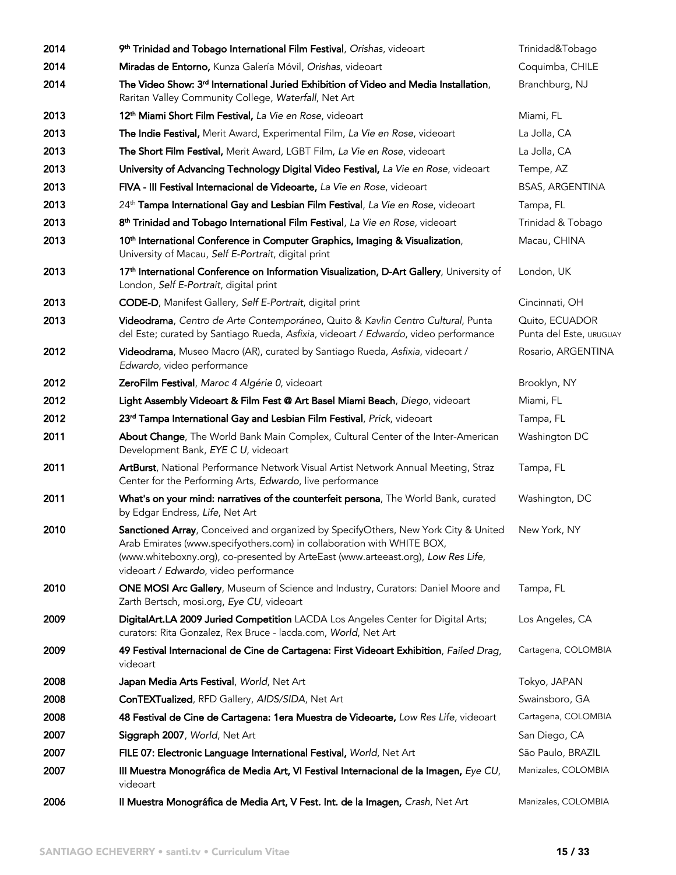| 2014 | 9 <sup>th</sup> Trinidad and Tobago International Film Festival, Orishas, videoart                                                                                                                                                                                                        | Trinidad&Tobago                           |
|------|-------------------------------------------------------------------------------------------------------------------------------------------------------------------------------------------------------------------------------------------------------------------------------------------|-------------------------------------------|
| 2014 | Miradas de Entorno, Kunza Galería Móvil, Orishas, videoart                                                                                                                                                                                                                                | Coquimba, CHILE                           |
| 2014 | The Video Show: 3 <sup>rd</sup> International Juried Exhibition of Video and Media Installation,<br>Raritan Valley Community College, Waterfall, Net Art                                                                                                                                  | Branchburg, NJ                            |
| 2013 | 12 <sup>th</sup> Miami Short Film Festival, La Vie en Rose, videoart                                                                                                                                                                                                                      | Miami, FL                                 |
| 2013 | The Indie Festival, Merit Award, Experimental Film, La Vie en Rose, videoart                                                                                                                                                                                                              | La Jolla, CA                              |
| 2013 | The Short Film Festival, Merit Award, LGBT Film, La Vie en Rose, videoart                                                                                                                                                                                                                 | La Jolla, CA                              |
| 2013 | University of Advancing Technology Digital Video Festival, La Vie en Rose, videoart                                                                                                                                                                                                       | Tempe, AZ                                 |
| 2013 | FIVA - III Festival Internacional de Videoarte, La Vie en Rose, videoart                                                                                                                                                                                                                  | <b>BSAS, ARGENTINA</b>                    |
| 2013 | 24 <sup>th</sup> Tampa International Gay and Lesbian Film Festival, La Vie en Rose, videoart                                                                                                                                                                                              | Tampa, FL                                 |
| 2013 | 8 <sup>th</sup> Trinidad and Tobago International Film Festival, La Vie en Rose, videoart                                                                                                                                                                                                 | Trinidad & Tobago                         |
| 2013 | 10 <sup>th</sup> International Conference in Computer Graphics, Imaging & Visualization,<br>University of Macau, Self E-Portrait, digital print                                                                                                                                           | Macau, CHINA                              |
| 2013 | 17 <sup>th</sup> International Conference on Information Visualization, D-Art Gallery, University of<br>London, Self E-Portrait, digital print                                                                                                                                            | London, UK                                |
| 2013 | CODE-D, Manifest Gallery, Self E-Portrait, digital print                                                                                                                                                                                                                                  | Cincinnati, OH                            |
| 2013 | Videodrama, Centro de Arte Contemporáneo, Quito & Kavlin Centro Cultural, Punta<br>del Este; curated by Santiago Rueda, Asfixia, videoart / Edwardo, video performance                                                                                                                    | Quito, ECUADOR<br>Punta del Este, URUGUAY |
| 2012 | Videodrama, Museo Macro (AR), curated by Santiago Rueda, Asfixia, videoart /<br>Edwardo, video performance                                                                                                                                                                                | Rosario, ARGENTINA                        |
| 2012 | ZeroFilm Festival, Maroc 4 Algérie 0, videoart                                                                                                                                                                                                                                            | Brooklyn, NY                              |
| 2012 | Light Assembly Videoart & Film Fest @ Art Basel Miami Beach, Diego, videoart                                                                                                                                                                                                              | Miami, FL                                 |
| 2012 | 23rd Tampa International Gay and Lesbian Film Festival, Prick, videoart                                                                                                                                                                                                                   | Tampa, FL                                 |
| 2011 | About Change, The World Bank Main Complex, Cultural Center of the Inter-American<br>Development Bank, EYE C U, videoart                                                                                                                                                                   | Washington DC                             |
| 2011 | ArtBurst, National Performance Network Visual Artist Network Annual Meeting, Straz<br>Center for the Performing Arts, Edwardo, live performance                                                                                                                                           | Tampa, FL                                 |
| 2011 | What's on your mind: narratives of the counterfeit persona, The World Bank, curated<br>by Edgar Endress, Life, Net Art                                                                                                                                                                    | Washington, DC                            |
| 2010 | Sanctioned Array, Conceived and organized by SpecifyOthers, New York City & United<br>Arab Emirates (www.specifyothers.com) in collaboration with WHITE BOX,<br>(www.whiteboxny.org), co-presented by ArteEast (www.arteeast.org), Low Res Life,<br>videoart / Edwardo, video performance | New York, NY                              |
| 2010 | ONE MOSI Arc Gallery, Museum of Science and Industry, Curators: Daniel Moore and<br>Zarth Bertsch, mosi.org, Eye CU, videoart                                                                                                                                                             | Tampa, FL                                 |
| 2009 | DigitalArt.LA 2009 Juried Competition LACDA Los Angeles Center for Digital Arts;<br>curators: Rita Gonzalez, Rex Bruce - lacda.com, World, Net Art                                                                                                                                        | Los Angeles, CA                           |
| 2009 | 49 Festival Internacional de Cine de Cartagena: First Videoart Exhibition, Failed Drag,<br>videoart                                                                                                                                                                                       | Cartagena, COLOMBIA                       |
| 2008 | Japan Media Arts Festival, World, Net Art                                                                                                                                                                                                                                                 | Tokyo, JAPAN                              |
| 2008 | ConTEXTualized, RFD Gallery, AIDS/SIDA, Net Art                                                                                                                                                                                                                                           | Swainsboro, GA                            |
| 2008 | 48 Festival de Cine de Cartagena: 1era Muestra de Videoarte, Low Res Life, videoart                                                                                                                                                                                                       | Cartagena, COLOMBIA                       |
| 2007 | Siggraph 2007, World, Net Art                                                                                                                                                                                                                                                             | San Diego, CA                             |
| 2007 | FILE 07: Electronic Language International Festival, World, Net Art                                                                                                                                                                                                                       | São Paulo, BRAZIL                         |
| 2007 | III Muestra Monográfica de Media Art, VI Festival Internacional de la Imagen, Eye CU,<br>videoart                                                                                                                                                                                         | Manizales, COLOMBIA                       |
| 2006 | Il Muestra Monográfica de Media Art, V Fest. Int. de la Imagen, Crash, Net Art                                                                                                                                                                                                            | Manizales, COLOMBIA                       |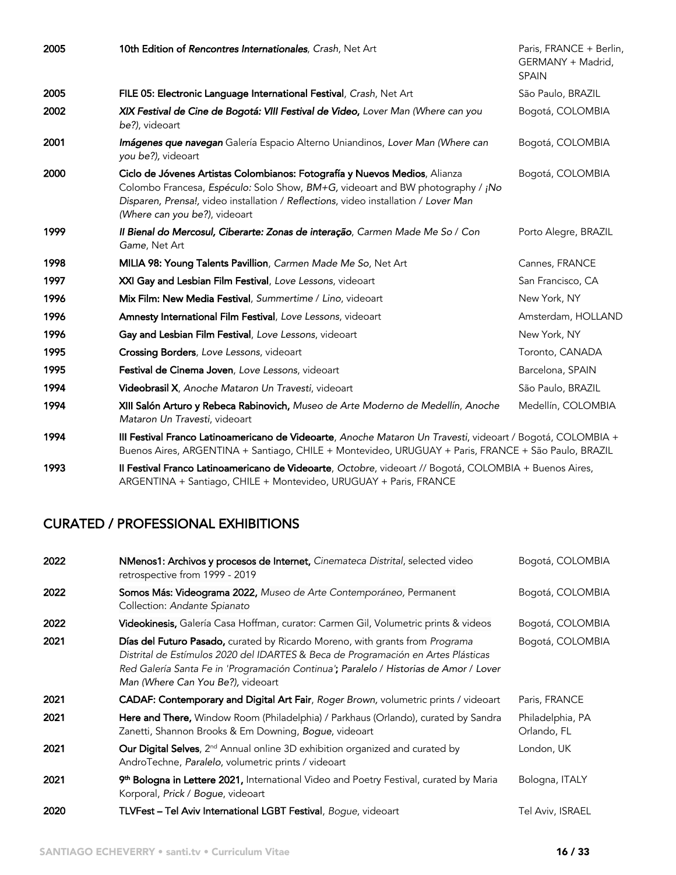| 2005 | 10th Edition of Rencontres Internationales, Crash, Net Art                                                                                                                                                                                                                           | Paris, FRANCE + Berlin,<br>GERMANY + Madrid,<br><b>SPAIN</b> |
|------|--------------------------------------------------------------------------------------------------------------------------------------------------------------------------------------------------------------------------------------------------------------------------------------|--------------------------------------------------------------|
| 2005 | FILE 05: Electronic Language International Festival, Crash, Net Art                                                                                                                                                                                                                  | São Paulo, BRAZIL                                            |
| 2002 | XIX Festival de Cine de Bogotá: VIII Festival de Video, Lover Man (Where can you<br>be?), videoart                                                                                                                                                                                   | Bogotá, COLOMBIA                                             |
| 2001 | Imágenes que navegan Galería Espacio Alterno Uniandinos, Lover Man (Where can<br>you be?), videoart                                                                                                                                                                                  | Bogotá, COLOMBIA                                             |
| 2000 | Ciclo de Jóvenes Artistas Colombianos: Fotografía y Nuevos Medios, Alianza<br>Colombo Francesa, Espéculo: Solo Show, BM+G, videoart and BW photography / ¡No<br>Disparen, Prensa!, video installation / Reflections, video installation / Lover Man<br>(Where can you be?), videoart | Bogotá, COLOMBIA                                             |
| 1999 | Il Bienal do Mercosul, Ciberarte: Zonas de interação, Carmen Made Me So / Con<br>Game, Net Art                                                                                                                                                                                       | Porto Alegre, BRAZIL                                         |
| 1998 | MILIA 98: Young Talents Pavillion, Carmen Made Me So, Net Art                                                                                                                                                                                                                        | Cannes, FRANCE                                               |
| 1997 | XXI Gay and Lesbian Film Festival, Love Lessons, videoart                                                                                                                                                                                                                            | San Francisco, CA                                            |
| 1996 | Mix Film: New Media Festival, Summertime / Lino, videoart                                                                                                                                                                                                                            | New York, NY                                                 |
| 1996 | Amnesty International Film Festival, Love Lessons, videoart                                                                                                                                                                                                                          | Amsterdam, HOLLAND                                           |
| 1996 | Gay and Lesbian Film Festival, Love Lessons, videoart                                                                                                                                                                                                                                | New York, NY                                                 |
| 1995 | Crossing Borders, Love Lessons, videoart                                                                                                                                                                                                                                             | Toronto, CANADA                                              |
| 1995 | Festival de Cinema Joven, Love Lessons, videoart                                                                                                                                                                                                                                     | Barcelona, SPAIN                                             |
| 1994 | Videobrasil X, Anoche Mataron Un Travesti, videoart                                                                                                                                                                                                                                  | São Paulo, BRAZIL                                            |
| 1994 | XIII Salón Arturo y Rebeca Rabinovich, Museo de Arte Moderno de Medellín, Anoche<br>Mataron Un Travesti, videoart                                                                                                                                                                    | Medellín, COLOMBIA                                           |
| 1994 | III Festival Franco Latinoamericano de Videoarte, Anoche Mataron Un Travesti, videoart / Bogotá, COLOMBIA +<br>Buenos Aires, ARGENTINA + Santiago, CHILE + Montevideo, URUGUAY + Paris, FRANCE + São Paulo, BRAZIL                                                                   |                                                              |
| 1993 | Il Festival Franco Latinoamericano de Videoarte, Octobre, videoart // Bogotá, COLOMBIA + Buenos Aires,                                                                                                                                                                               |                                                              |

#### ARGENTINA + Santiago, CHILE + Montevideo, URUGUAY + Paris, FRANCE

# CURATED / PROFESSIONAL EXHIBITIONS

| 2022 | NMenos1: Archivos y procesos de Internet, Cinemateca Distrital, selected video<br>retrospective from 1999 - 2019                                                                                                                                                                                | Bogotá, COLOMBIA                |
|------|-------------------------------------------------------------------------------------------------------------------------------------------------------------------------------------------------------------------------------------------------------------------------------------------------|---------------------------------|
| 2022 | Somos Más: Videograma 2022, Museo de Arte Contemporáneo, Permanent<br>Collection: Andante Spianato                                                                                                                                                                                              | Bogotá, COLOMBIA                |
| 2022 | Videokinesis, Galería Casa Hoffman, curator: Carmen Gil, Volumetric prints & videos                                                                                                                                                                                                             | Bogotá, COLOMBIA                |
| 2021 | Días del Futuro Pasado, curated by Ricardo Moreno, with grants from Programa<br>Distrital de Estímulos 2020 del IDARTES & Beca de Programación en Artes Plásticas<br>Red Galería Santa Fe in 'Programación Continua'; Paralelo / Historias de Amor / Lover<br>Man (Where Can You Be?), videoart | Bogotá, COLOMBIA                |
| 2021 | CADAF: Contemporary and Digital Art Fair, Roger Brown, volumetric prints / videoart                                                                                                                                                                                                             | Paris, FRANCE                   |
| 2021 | Here and There, Window Room (Philadelphia) / Parkhaus (Orlando), curated by Sandra<br>Zanetti, Shannon Brooks & Em Downing, Bogue, videoart                                                                                                                                                     | Philadelphia, PA<br>Orlando, FL |
| 2021 | Our Digital Selves, 2 <sup>nd</sup> Annual online 3D exhibition organized and curated by<br>AndroTechne, Paralelo, volumetric prints / videoart                                                                                                                                                 | London, UK                      |
| 2021 | 9 <sup>th</sup> Bologna in Lettere 2021, International Video and Poetry Festival, curated by Maria<br>Korporal, Prick / Bogue, videoart                                                                                                                                                         | Bologna, ITALY                  |
| 2020 | TLVFest - Tel Aviv International LGBT Festival, Bogue, videoart                                                                                                                                                                                                                                 | Tel Aviv, ISRAEL                |
|      |                                                                                                                                                                                                                                                                                                 |                                 |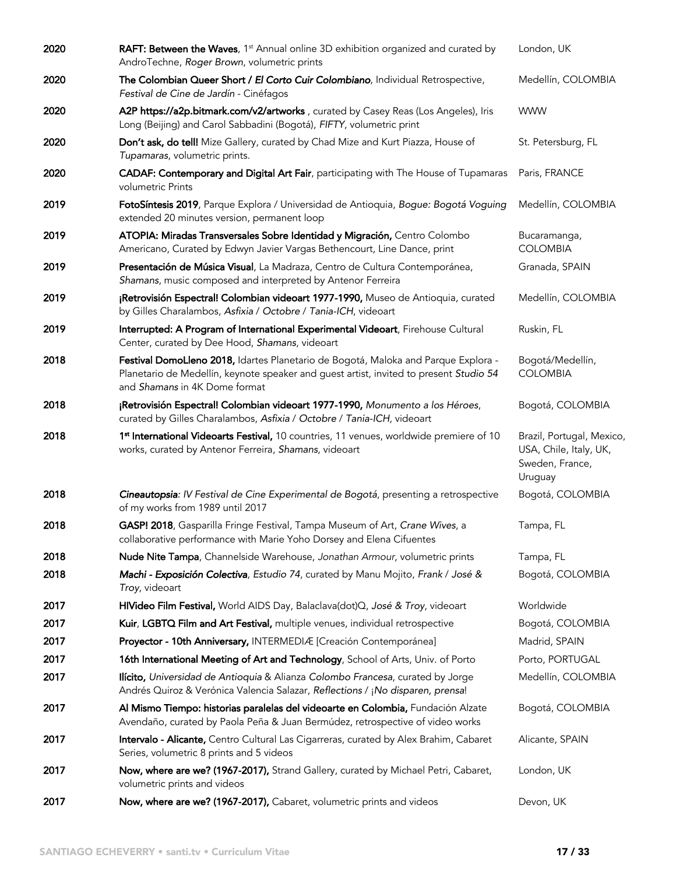| 2020 | <b>RAFT: Between the Waves</b> , 1 <sup>st</sup> Annual online 3D exhibition organized and curated by<br>AndroTechne, Roger Brown, volumetric prints                                                          | London, UK                                                                        |
|------|---------------------------------------------------------------------------------------------------------------------------------------------------------------------------------------------------------------|-----------------------------------------------------------------------------------|
| 2020 | The Colombian Queer Short / El Corto Cuir Colombiano, Individual Retrospective,<br>Festival de Cine de Jardín - Cinéfagos                                                                                     | Medellín, COLOMBIA                                                                |
| 2020 | A2P https://a2p.bitmark.com/v2/artworks, curated by Casey Reas (Los Angeles), Iris<br>Long (Beijing) and Carol Sabbadini (Bogotá), FIFTY, volumetric print                                                    | <b>WWW</b>                                                                        |
| 2020 | Don't ask, do tell! Mize Gallery, curated by Chad Mize and Kurt Piazza, House of<br>Tupamaras, volumetric prints.                                                                                             | St. Petersburg, FL                                                                |
| 2020 | <b>CADAF: Contemporary and Digital Art Fair</b> , participating with The House of Tupamaras<br>volumetric Prints                                                                                              | Paris, FRANCE                                                                     |
| 2019 | FotoSíntesis 2019, Parque Explora / Universidad de Antioquia, Bogue: Bogotá Voguing<br>extended 20 minutes version, permanent loop                                                                            | Medellín, COLOMBIA                                                                |
| 2019 | ATOPIA: Miradas Transversales Sobre Identidad y Migración, Centro Colombo<br>Americano, Curated by Edwyn Javier Vargas Bethencourt, Line Dance, print                                                         | Bucaramanga,<br><b>COLOMBIA</b>                                                   |
| 2019 | Presentación de Música Visual, La Madraza, Centro de Cultura Contemporánea,<br>Shamans, music composed and interpreted by Antenor Ferreira                                                                    | Granada, SPAIN                                                                    |
| 2019 | ¡Retrovisión Espectral! Colombian videoart 1977-1990, Museo de Antioquia, curated<br>by Gilles Charalambos, Asfixia / Octobre / Tania-ICH, videoart                                                           | Medellín, COLOMBIA                                                                |
| 2019 | Interrupted: A Program of International Experimental Videoart, Firehouse Cultural<br>Center, curated by Dee Hood, Shamans, videoart                                                                           | Ruskin, FL                                                                        |
| 2018 | Festival DomoLleno 2018, Idartes Planetario de Bogotá, Maloka and Parque Explora -<br>Planetario de Medellín, keynote speaker and guest artist, invited to present Studio 54<br>and Shamans in 4K Dome format | Bogotá/Medellín,<br><b>COLOMBIA</b>                                               |
| 2018 | ¡Retrovisión Espectral! Colombian videoart 1977-1990, Monumento a los Héroes,<br>curated by Gilles Charalambos, Asfixia / Octobre / Tania-ICH, videoart                                                       | Bogotá, COLOMBIA                                                                  |
| 2018 | 1st International Videoarts Festival, 10 countries, 11 venues, worldwide premiere of 10<br>works, curated by Antenor Ferreira, Shamans, videoart                                                              | Brazil, Portugal, Mexico,<br>USA, Chile, Italy, UK,<br>Sweden, France,<br>Uruguay |
| 2018 | Cineautopsia: IV Festival de Cine Experimental de Bogotá, presenting a retrospective<br>of my works from 1989 until 2017                                                                                      | Bogotá, COLOMBIA                                                                  |
| 2018 | GASP! 2018, Gasparilla Fringe Festival, Tampa Museum of Art, Crane Wives, a<br>collaborative performance with Marie Yoho Dorsey and Elena Cifuentes                                                           | Tampa, FL                                                                         |
| 2018 | Nude Nite Tampa, Channelside Warehouse, Jonathan Armour, volumetric prints                                                                                                                                    | Tampa, FL                                                                         |
| 2018 | Machi - Exposición Colectiva, Estudio 74, curated by Manu Mojito, Frank / José &<br>Troy, videoart                                                                                                            | Bogotá, COLOMBIA                                                                  |
| 2017 | HIVideo Film Festival, World AIDS Day, Balaclava(dot)Q, José & Troy, videoart                                                                                                                                 | Worldwide                                                                         |
| 2017 | Kuir, LGBTQ Film and Art Festival, multiple venues, individual retrospective                                                                                                                                  | Bogotá, COLOMBIA                                                                  |
| 2017 | Proyector - 10th Anniversary, INTERMEDIÆ [Creación Contemporánea]                                                                                                                                             | Madrid, SPAIN                                                                     |
| 2017 | 16th International Meeting of Art and Technology, School of Arts, Univ. of Porto                                                                                                                              | Porto, PORTUGAL                                                                   |
| 2017 | Ilícito, Universidad de Antioquia & Alianza Colombo Francesa, curated by Jorge<br>Andrés Quiroz & Verónica Valencia Salazar, Reflections / ¡No disparen, prensa!                                              | Medellín, COLOMBIA                                                                |
| 2017 | Al Mismo Tiempo: historias paralelas del videoarte en Colombia, Fundación Alzate<br>Avendaño, curated by Paola Peña & Juan Bermúdez, retrospective of video works                                             | Bogotá, COLOMBIA                                                                  |
| 2017 | Intervalo - Alicante, Centro Cultural Las Cigarreras, curated by Alex Brahim, Cabaret<br>Series, volumetric 8 prints and 5 videos                                                                             | Alicante, SPAIN                                                                   |
| 2017 | Now, where are we? (1967-2017), Strand Gallery, curated by Michael Petri, Cabaret,<br>volumetric prints and videos                                                                                            | London, UK                                                                        |
| 2017 | Now, where are we? (1967-2017), Cabaret, volumetric prints and videos                                                                                                                                         | Devon, UK                                                                         |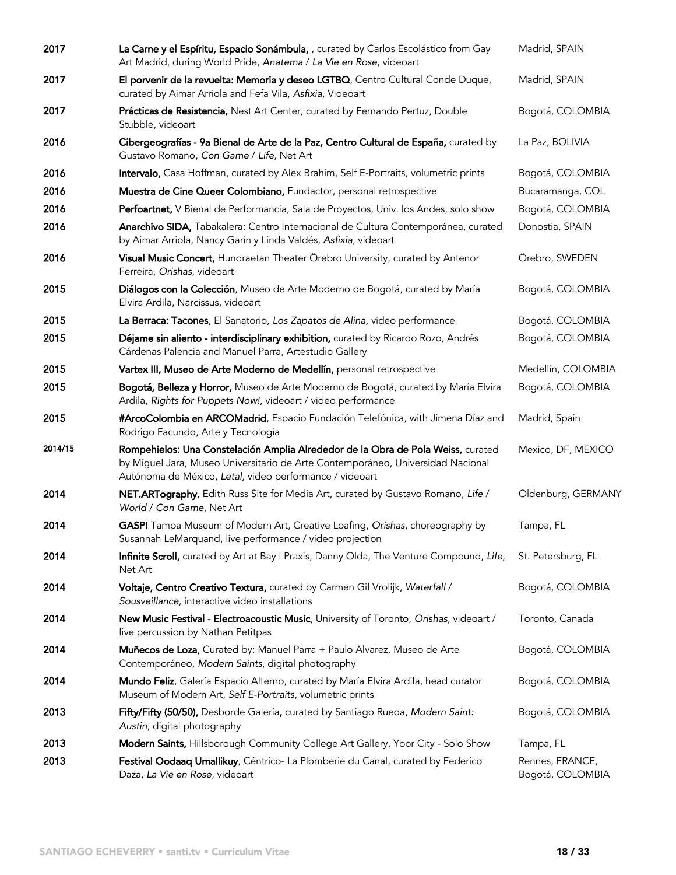| 2017    | La Carne y el Espíritu, Espacio Sonámbula, , curated by Carlos Escolástico from Gay<br>Art Madrid, during World Pride, Anatema / La Vie en Rose, videoart                                                                      | Madrid, SPAIN      |
|---------|--------------------------------------------------------------------------------------------------------------------------------------------------------------------------------------------------------------------------------|--------------------|
| 2017    | El porvenir de la revuelta: Memoria y deseo LGTBQ, Centro Cultural Conde Duque,<br>curated by Aimar Arriola and Fefa Vila, Asfixia, Videoart                                                                                   | Madrid, SPAIN      |
| 2017    | Prácticas de Resistencia, Nest Art Center, curated by Fernando Pertuz, Double<br>Stubble, videoart                                                                                                                             | Bogotá, COLOMBIA   |
| 2016    | Cibergeografías - 9a Bienal de Arte de la Paz, Centro Cultural de España, curated by<br>Gustavo Romano, Con Game / Life, Net Art                                                                                               | La Paz, BOLIVIA    |
| 2016    | Intervalo, Casa Hoffman, curated by Alex Brahim, Self E-Portraits, volumetric prints                                                                                                                                           | Bogotá, COLOMBIA   |
| 2016    | Muestra de Cine Queer Colombiano, Fundactor, personal retrospective                                                                                                                                                            | Bucaramanga, COL   |
| 2016    | Perfoartnet, V Bienal de Performancia, Sala de Proyectos, Univ. los Andes, solo show                                                                                                                                           | Bogotá, COLOMBIA   |
| 2016    | Anarchivo SIDA, Tabakalera: Centro Internacional de Cultura Contemporánea, curated<br>by Aimar Arriola, Nancy Garín y Linda Valdés, Asfixia, videoart                                                                          | Donostia, SPAIN    |
| 2016    | Visual Music Concert, Hundraetan Theater Örebro University, curated by Antenor<br>Ferreira, Orishas, videoart                                                                                                                  | Örebro, SWEDEN     |
| 2015    | Diálogos con la Colección, Museo de Arte Moderno de Bogotá, curated by María<br>Elvira Ardila, Narcissus, videoart                                                                                                             | Bogotá, COLOMBIA   |
| 2015    | La Berraca: Tacones, El Sanatorio, Los Zapatos de Alina, video performance                                                                                                                                                     | Bogotá, COLOMBIA   |
| 2015    | Déjame sin aliento - interdisciplinary exhibition, curated by Ricardo Rozo, Andrés<br>Cárdenas Palencia and Manuel Parra, Artestudio Gallery                                                                                   | Bogotá, COLOMBIA   |
| 2015    | Vartex III, Museo de Arte Moderno de Medellín, personal retrospective                                                                                                                                                          | Medellín, COLOMBIA |
| 2015    | Bogotá, Belleza y Horror, Museo de Arte Moderno de Bogotá, curated by María Elvira<br>Ardila, Rights for Puppets Now!, videoart / video performance                                                                            | Bogotá, COLOMBIA   |
| 2015    | #ArcoColombia en ARCOMadrid, Espacio Fundación Telefónica, with Jimena Díaz and<br>Rodrigo Facundo, Arte y Tecnología                                                                                                          | Madrid, Spain      |
| 2014/15 | Rompehielos: Una Constelación Amplia Alrededor de la Obra de Pola Weiss, curated<br>by Miguel Jara, Museo Universitario de Arte Contemporáneo, Universidad Nacional<br>Autónoma de México, Letal, video performance / videoart | Mexico, DF, MEXICO |
| 2014    | NET.ARTography, Edith Russ Site for Media Art, curated by Gustavo Romano, Life /<br>World / Con Game, Net Art                                                                                                                  | Oldenburg, GERMANY |
| 2014    | GASP! Tampa Museum of Modern Art, Creative Loafing, Orishas, choreography by<br>Susannah LeMarquand, live performance / video projection                                                                                       | Tampa, FL          |
| 2014    | Infinite Scroll, curated by Art at Bay   Praxis, Danny Olda, The Venture Compound, Life,<br>Net Art                                                                                                                            | St. Petersburg, FL |
| 2014    | Voltaje, Centro Creativo Textura, curated by Carmen Gil Vrolijk, Waterfall /<br>Sousveillance, interactive video installations                                                                                                 | Bogotá, COLOMBIA   |
| 2014    | New Music Festival - Electroacoustic Music, University of Toronto, Orishas, videoart /<br>live percussion by Nathan Petitpas                                                                                                   | Toronto, Canada    |
| 2014    | Muñecos de Loza, Curated by: Manuel Parra + Paulo Alvarez, Museo de Arte<br>Contemporáneo, Modern Saints, digital photography                                                                                                  | Bogotá, COLOMBIA   |
| 2014    | Mundo Feliz, Galería Espacio Alterno, curated by María Elvira Ardila, head curator<br>Museum of Modern Art, Self E-Portraits, volumetric prints                                                                                | Bogotá, COLOMBIA   |
| 2013    | Fifty/Fifty (50/50), Desborde Galería, curated by Santiago Rueda, Modern Saint:<br>Austin, digital photography                                                                                                                 | Bogotá, COLOMBIA   |
| 2013    | Modern Saints, Hillsborough Community College Art Gallery, Ybor City - Solo Show                                                                                                                                               | Tampa, FL          |
| 2013    | Festival Oodaaq Umallikuy, Céntrico- La Plomberie du Canal, curated by Federico                                                                                                                                                | Rennes, FRANCE,    |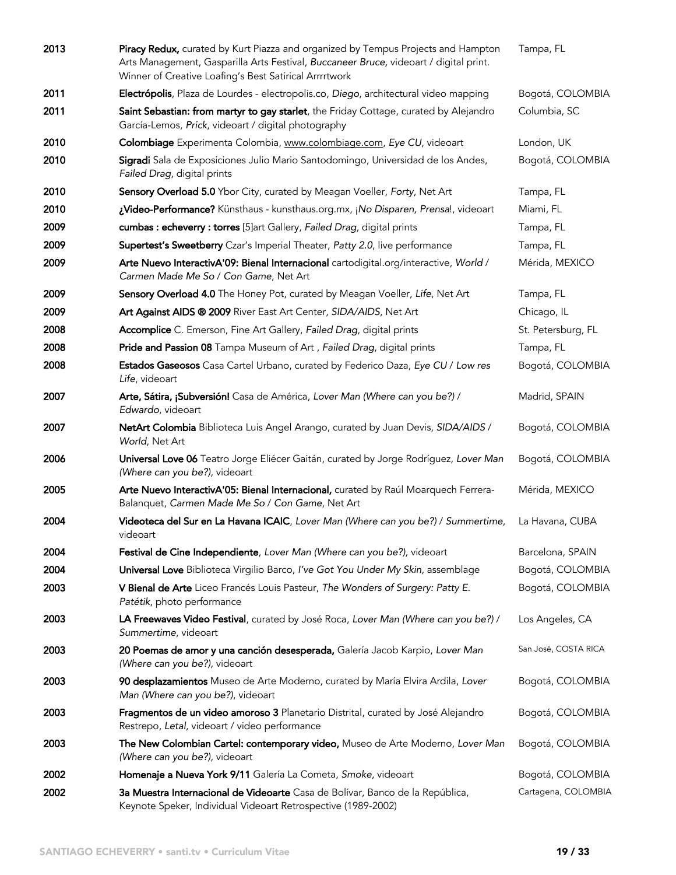| 2013 | Piracy Redux, curated by Kurt Piazza and organized by Tempus Projects and Hampton<br>Arts Management, Gasparilla Arts Festival, Buccaneer Bruce, videoart / digital print.<br>Winner of Creative Loafing's Best Satirical Arrrrtwork | Tampa, FL            |
|------|--------------------------------------------------------------------------------------------------------------------------------------------------------------------------------------------------------------------------------------|----------------------|
| 2011 | Electrópolis, Plaza de Lourdes - electropolis.co, Diego, architectural video mapping                                                                                                                                                 | Bogotá, COLOMBIA     |
| 2011 | Saint Sebastian: from martyr to gay starlet, the Friday Cottage, curated by Alejandro<br>García-Lemos, Prick, videoart / digital photography                                                                                         | Columbia, SC         |
| 2010 | Colombiage Experimenta Colombia, www.colombiage.com, Eye CU, videoart                                                                                                                                                                | London, UK           |
| 2010 | Sigradi Sala de Exposiciones Julio Mario Santodomingo, Universidad de los Andes,<br>Failed Drag, digital prints                                                                                                                      | Bogotá, COLOMBIA     |
| 2010 | Sensory Overload 5.0 Ybor City, curated by Meagan Voeller, Forty, Net Art                                                                                                                                                            | Tampa, FL            |
| 2010 | ¿Video-Performance? Künsthaus - kunsthaus.org.mx, ¡No Disparen, Prensa!, videoart                                                                                                                                                    | Miami, FL            |
| 2009 | cumbas : echeverry : torres [5]art Gallery, Failed Drag, digital prints                                                                                                                                                              | Tampa, FL            |
| 2009 | Supertest's Sweetberry Czar's Imperial Theater, Patty 2.0, live performance                                                                                                                                                          | Tampa, FL            |
| 2009 | Arte Nuevo InteractivA'09: Bienal Internacional cartodigital.org/interactive, World /<br>Carmen Made Me So / Con Game, Net Art                                                                                                       | Mérida, MEXICO       |
| 2009 | Sensory Overload 4.0 The Honey Pot, curated by Meagan Voeller, Life, Net Art                                                                                                                                                         | Tampa, FL            |
| 2009 | Art Against AIDS ® 2009 River East Art Center, SIDA/AIDS, Net Art                                                                                                                                                                    | Chicago, IL          |
| 2008 | Accomplice C. Emerson, Fine Art Gallery, Failed Drag, digital prints                                                                                                                                                                 | St. Petersburg, FL   |
| 2008 | Pride and Passion 08 Tampa Museum of Art, Failed Drag, digital prints                                                                                                                                                                | Tampa, FL            |
| 2008 | Estados Gaseosos Casa Cartel Urbano, curated by Federico Daza, Eye CU / Low res<br>Life, videoart                                                                                                                                    | Bogotá, COLOMBIA     |
| 2007 | Arte, Sátira, ¡Subversión! Casa de América, Lover Man (Where can you be?) /<br>Edwardo, videoart                                                                                                                                     | Madrid, SPAIN        |
| 2007 | NetArt Colombia Biblioteca Luis Angel Arango, curated by Juan Devis, SIDA/AIDS /<br>World, Net Art                                                                                                                                   | Bogotá, COLOMBIA     |
| 2006 | Universal Love 06 Teatro Jorge Eliécer Gaitán, curated by Jorge Rodríguez, Lover Man<br>(Where can you be?), videoart                                                                                                                | Bogotá, COLOMBIA     |
| 2005 | Arte Nuevo InteractivA'05: Bienal Internacional, curated by Raúl Moarquech Ferrera-<br>Balanquet, Carmen Made Me So / Con Game, Net Art                                                                                              | Mérida, MEXICO       |
| 2004 | Videoteca del Sur en La Havana ICAIC, Lover Man (Where can you be?) / Summertime,<br>videoart                                                                                                                                        | La Havana, CUBA      |
| 2004 | Festival de Cine Independiente, Lover Man (Where can you be?), videoart                                                                                                                                                              | Barcelona, SPAIN     |
| 2004 | Universal Love Biblioteca Virgilio Barco, I've Got You Under My Skin, assemblage                                                                                                                                                     | Bogotá, COLOMBIA     |
| 2003 | V Bienal de Arte Liceo Francés Louis Pasteur, The Wonders of Surgery: Patty E.<br>Patétik, photo performance                                                                                                                         | Bogotá, COLOMBIA     |
| 2003 | LA Freewaves Video Festival, curated by José Roca, Lover Man (Where can you be?) /<br>Summertime, videoart                                                                                                                           | Los Angeles, CA      |
| 2003 | 20 Poemas de amor y una canción desesperada, Galería Jacob Karpio, Lover Man<br>(Where can you be?), videoart                                                                                                                        | San José, COSTA RICA |
| 2003 | 90 desplazamientos Museo de Arte Moderno, curated by María Elvira Ardila, Lover<br>Man (Where can you be?), videoart                                                                                                                 | Bogotá, COLOMBIA     |
| 2003 | Fragmentos de un video amoroso 3 Planetario Distrital, curated by José Alejandro<br>Restrepo, Letal, videoart / video performance                                                                                                    | Bogotá, COLOMBIA     |
| 2003 | The New Colombian Cartel: contemporary video, Museo de Arte Moderno, Lover Man<br>(Where can you be?), videoart                                                                                                                      | Bogotá, COLOMBIA     |
| 2002 | Homenaje a Nueva York 9/11 Galería La Cometa, Smoke, videoart                                                                                                                                                                        | Bogotá, COLOMBIA     |
| 2002 | 3a Muestra Internacional de Videoarte Casa de Bolívar, Banco de la República,<br>Keynote Speker, Individual Videoart Retrospective (1989-2002)                                                                                       | Cartagena, COLOMBIA  |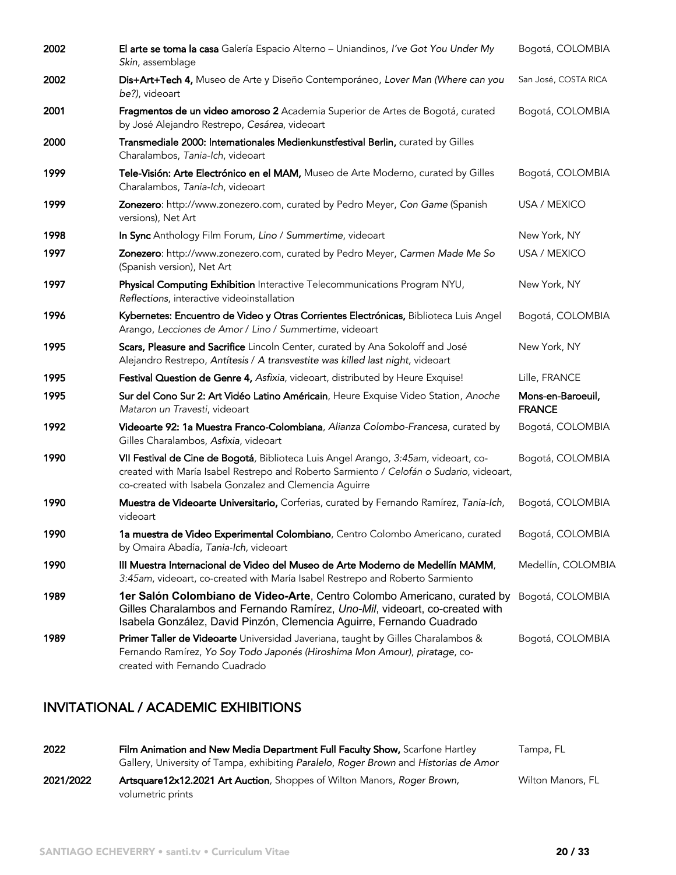| 2002 | El arte se toma la casa Galería Espacio Alterno - Uniandinos, l've Got You Under My<br>Skin, assemblage                                                                                                                                  | Bogotá, COLOMBIA                   |
|------|------------------------------------------------------------------------------------------------------------------------------------------------------------------------------------------------------------------------------------------|------------------------------------|
| 2002 | Dis+Art+Tech 4, Museo de Arte y Diseño Contemporáneo, Lover Man (Where can you<br>be?), videoart                                                                                                                                         | San José, COSTA RICA               |
| 2001 | Fragmentos de un video amoroso 2 Academia Superior de Artes de Bogotá, curated<br>by José Alejandro Restrepo, Cesárea, videoart                                                                                                          | Bogotá, COLOMBIA                   |
| 2000 | Transmediale 2000: Internationales Medienkunstfestival Berlin, curated by Gilles<br>Charalambos, Tania-Ich, videoart                                                                                                                     |                                    |
| 1999 | Tele-Visión: Arte Electrónico en el MAM, Museo de Arte Moderno, curated by Gilles<br>Charalambos, Tania-Ich, videoart                                                                                                                    | Bogotá, COLOMBIA                   |
| 1999 | Zonezero: http://www.zonezero.com, curated by Pedro Meyer, Con Game (Spanish<br>versions), Net Art                                                                                                                                       | USA / MEXICO                       |
| 1998 | In Sync Anthology Film Forum, Lino / Summertime, videoart                                                                                                                                                                                | New York, NY                       |
| 1997 | Zonezero: http://www.zonezero.com, curated by Pedro Meyer, Carmen Made Me So<br>(Spanish version), Net Art                                                                                                                               | USA / MEXICO                       |
| 1997 | Physical Computing Exhibition Interactive Telecommunications Program NYU,<br>Reflections, interactive videoinstallation                                                                                                                  | New York, NY                       |
| 1996 | Kybernetes: Encuentro de Video y Otras Corrientes Electrónicas, Biblioteca Luis Angel<br>Arango, Lecciones de Amor / Lino / Summertime, videoart                                                                                         | Bogotá, COLOMBIA                   |
| 1995 | Scars, Pleasure and Sacrifice Lincoln Center, curated by Ana Sokoloff and José<br>Alejandro Restrepo, Antítesis / A transvestite was killed last night, videoart                                                                         | New York, NY                       |
| 1995 | Festival Question de Genre 4, Asfixia, videoart, distributed by Heure Exquise!                                                                                                                                                           | Lille, FRANCE                      |
| 1995 | Sur del Cono Sur 2: Art Vidéo Latino Américain, Heure Exquise Video Station, Anoche<br>Mataron un Travesti, videoart                                                                                                                     | Mons-en-Baroeuil,<br><b>FRANCE</b> |
| 1992 | Videoarte 92: 1a Muestra Franco-Colombiana, Alianza Colombo-Francesa, curated by<br>Gilles Charalambos, Asfixia, videoart                                                                                                                | Bogotá, COLOMBIA                   |
| 1990 | VII Festival de Cine de Bogotá, Biblioteca Luis Angel Arango, 3:45am, videoart, co-<br>created with María Isabel Restrepo and Roberto Sarmiento / Celofán o Sudario, videoart,<br>co-created with Isabela Gonzalez and Clemencia Aguirre | Bogotá, COLOMBIA                   |
| 1990 | Muestra de Videoarte Universitario, Corferias, curated by Fernando Ramírez, Tania-Ich,<br>videoart                                                                                                                                       | Bogotá, COLOMBIA                   |
| 1990 | 1a muestra de Video Experimental Colombiano, Centro Colombo Americano, curated<br>by Omaira Abadía, Tania-Ich, videoart                                                                                                                  | Bogotá, COLOMBIA                   |
| 1990 | III Muestra Internacional de Video del Museo de Arte Moderno de Medellín MAMM,<br>3:45am, videoart, co-created with María Isabel Restrepo and Roberto Sarmiento                                                                          | Medellín, COLOMBIA                 |
| 1989 | 1er Salón Colombiano de Video-Arte, Centro Colombo Americano, curated by<br>Gilles Charalambos and Fernando Ramírez, Uno-Mil, videoart, co-created with<br>Isabela González, David Pinzón, Clemencia Aguirre, Fernando Cuadrado          | Bogotá, COLOMBIA                   |
| 1989 | Primer Taller de Videoarte Universidad Javeriana, taught by Gilles Charalambos &<br>Fernando Ramírez, Yo Soy Todo Japonés (Hiroshima Mon Amour), piratage, co-<br>created with Fernando Cuadrado                                         | Bogotá, COLOMBIA                   |

## INVITATIONAL / ACADEMIC EXHIBITIONS

| 2022      | Film Animation and New Media Department Full Faculty Show, Scarfone Hartley<br>Gallery, University of Tampa, exhibiting Paralelo, Roger Brown and Historias de Amor | Tampa, FL         |
|-----------|---------------------------------------------------------------------------------------------------------------------------------------------------------------------|-------------------|
| 2021/2022 | Artsquare12x12.2021 Art Auction, Shoppes of Wilton Manors, Roger Brown,<br>volumetric prints                                                                        | Wilton Manors, FL |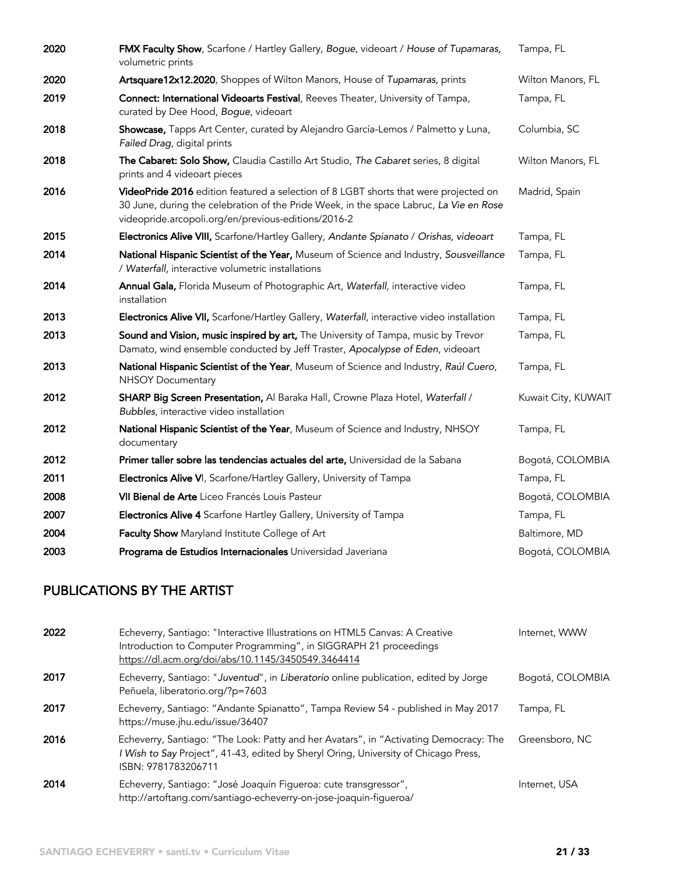| 2020 | FMX Faculty Show, Scarfone / Hartley Gallery, Bogue, videoart / House of Tupamaras,<br>volumetric prints                                                                                                                              | Tampa, FL           |
|------|---------------------------------------------------------------------------------------------------------------------------------------------------------------------------------------------------------------------------------------|---------------------|
| 2020 | Artsquare12x12.2020, Shoppes of Wilton Manors, House of Tupamaras, prints                                                                                                                                                             | Wilton Manors, FL   |
| 2019 | Connect: International Videoarts Festival, Reeves Theater, University of Tampa,<br>curated by Dee Hood, Bogue, videoart                                                                                                               | Tampa, FL           |
| 2018 | Showcase, Tapps Art Center, curated by Alejandro García-Lemos / Palmetto y Luna,<br>Failed Drag, digital prints                                                                                                                       | Columbia, SC        |
| 2018 | The Cabaret: Solo Show, Claudia Castillo Art Studio, The Cabaret series, 8 digital<br>prints and 4 videoart pieces                                                                                                                    | Wilton Manors, FL   |
| 2016 | VideoPride 2016 edition featured a selection of 8 LGBT shorts that were projected on<br>30 June, during the celebration of the Pride Week, in the space Labruc, La Vie en Rose<br>videopride.arcopoli.org/en/previous-editions/2016-2 | Madrid, Spain       |
| 2015 | Electronics Alive VIII, Scarfone/Hartley Gallery, Andante Spianato / Orishas, videoart                                                                                                                                                | Tampa, FL           |
| 2014 | National Hispanic Scientist of the Year, Museum of Science and Industry, Sousveillance<br>/ Waterfall, interactive volumetric installations                                                                                           | Tampa, FL           |
| 2014 | Annual Gala, Florida Museum of Photographic Art, Waterfall, interactive video<br>installation                                                                                                                                         | Tampa, FL           |
| 2013 | Electronics Alive VII, Scarfone/Hartley Gallery, Waterfall, interactive video installation                                                                                                                                            | Tampa, FL           |
| 2013 | Sound and Vision, music inspired by art, The University of Tampa, music by Trevor<br>Damato, wind ensemble conducted by Jeff Traster, Apocalypse of Eden, videoart                                                                    | Tampa, FL           |
| 2013 | National Hispanic Scientist of the Year, Museum of Science and Industry, Raúl Cuero,<br><b>NHSOY Documentary</b>                                                                                                                      | Tampa, FL           |
| 2012 | SHARP Big Screen Presentation, Al Baraka Hall, Crowne Plaza Hotel, Waterfall /<br>Bubbles, interactive video installation                                                                                                             | Kuwait City, KUWAIT |
| 2012 | National Hispanic Scientist of the Year, Museum of Science and Industry, NHSOY<br>documentary                                                                                                                                         | Tampa, FL           |
| 2012 | Primer taller sobre las tendencias actuales del arte, Universidad de la Sabana                                                                                                                                                        | Bogotá, COLOMBIA    |
| 2011 | Electronics Alive VI, Scarfone/Hartley Gallery, University of Tampa                                                                                                                                                                   | Tampa, FL           |
| 2008 | VII Bienal de Arte Liceo Francés Louis Pasteur                                                                                                                                                                                        | Bogotá, COLOMBIA    |
| 2007 | <b>Electronics Alive 4</b> Scarfone Hartley Gallery, University of Tampa                                                                                                                                                              | Tampa, FL           |
| 2004 | Faculty Show Maryland Institute College of Art                                                                                                                                                                                        | Baltimore, MD       |
| 2003 | Programa de Estudios Internacionales Universidad Javeriana                                                                                                                                                                            | Bogotá, COLOMBIA    |

# PUBLICATIONS BY THE ARTIST

| 2022 | Echeverry, Santiago: "Interactive Illustrations on HTML5 Canvas: A Creative<br>Introduction to Computer Programming", in SIGGRAPH 21 proceedings<br>https://dl.acm.org/doi/abs/10.1145/3450549.3464414 | Internet, WWW    |
|------|--------------------------------------------------------------------------------------------------------------------------------------------------------------------------------------------------------|------------------|
| 2017 | Echeverry, Santiago: "Juventud", in Liberatorio online publication, edited by Jorge<br>Peñuela, liberatorio.org/?p=7603                                                                                | Bogotá, COLOMBIA |
| 2017 | Echeverry, Santiago: "Andante Spianatto", Tampa Review 54 - published in May 2017<br>https://muse.jhu.edu/issue/36407                                                                                  | Tampa, FL        |
| 2016 | Echeverry, Santiago: "The Look: Patty and her Avatars", in "Activating Democracy: The<br>I Wish to Say Project", 41-43, edited by Sheryl Oring, University of Chicago Press,<br>ISBN: 9781783206711    | Greensboro, NC   |
| 2014 | Echeverry, Santiago: "José Joaquín Figueroa: cute transgressor",<br>http://artoftang.com/santiago-echeverry-on-jose-joaquin-figueroa/                                                                  | Internet, USA    |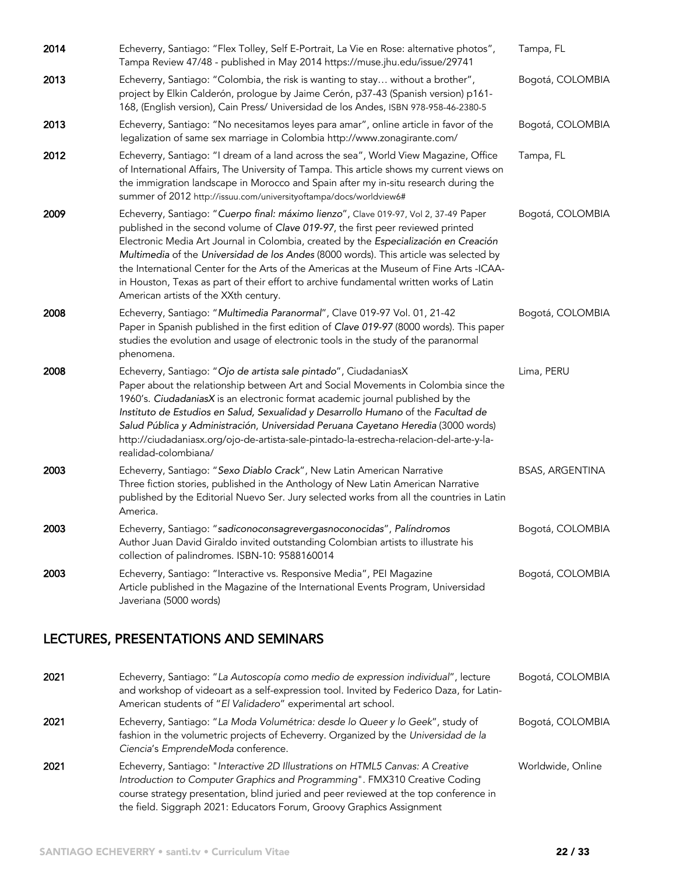| 2014 | Echeverry, Santiago: "Flex Tolley, Self E-Portrait, La Vie en Rose: alternative photos",<br>Tampa Review 47/48 - published in May 2014 https://muse.jhu.edu/issue/29741                                                                                                                                                                                                                                                                                                                                                                                                                 | Tampa, FL              |
|------|-----------------------------------------------------------------------------------------------------------------------------------------------------------------------------------------------------------------------------------------------------------------------------------------------------------------------------------------------------------------------------------------------------------------------------------------------------------------------------------------------------------------------------------------------------------------------------------------|------------------------|
| 2013 | Echeverry, Santiago: "Colombia, the risk is wanting to stay without a brother",<br>project by Elkin Calderón, prologue by Jaime Cerón, p37-43 (Spanish version) p161-<br>168, (English version), Cain Press/ Universidad de los Andes, ISBN 978-958-46-2380-5                                                                                                                                                                                                                                                                                                                           | Bogotá, COLOMBIA       |
| 2013 | Echeverry, Santiago: "No necesitamos leyes para amar", online article in favor of the<br>legalization of same sex marriage in Colombia http://www.zonagirante.com/                                                                                                                                                                                                                                                                                                                                                                                                                      | Bogotá, COLOMBIA       |
| 2012 | Echeverry, Santiago: "I dream of a land across the sea", World View Magazine, Office<br>of International Affairs, The University of Tampa. This article shows my current views on<br>the immigration landscape in Morocco and Spain after my in-situ research during the<br>summer of 2012 http://issuu.com/universityoftampa/docs/worldview6#                                                                                                                                                                                                                                          | Tampa, FL              |
| 2009 | Echeverry, Santiago: "Cuerpo final: máximo lienzo", Clave 019-97, Vol 2, 37-49 Paper<br>published in the second volume of Clave 019-97, the first peer reviewed printed<br>Electronic Media Art Journal in Colombia, created by the Especialización en Creación<br>Multimedia of the Universidad de los Andes (8000 words). This article was selected by<br>the International Center for the Arts of the Americas at the Museum of Fine Arts -ICAA-<br>in Houston, Texas as part of their effort to archive fundamental written works of Latin<br>American artists of the XXth century. | Bogotá, COLOMBIA       |
| 2008 | Echeverry, Santiago: "Multimedia Paranormal", Clave 019-97 Vol. 01, 21-42<br>Paper in Spanish published in the first edition of Clave 019-97 (8000 words). This paper<br>studies the evolution and usage of electronic tools in the study of the paranormal<br>phenomena.                                                                                                                                                                                                                                                                                                               | Bogotá, COLOMBIA       |
| 2008 | Echeverry, Santiago: "Ojo de artista sale pintado", CiudadaniasX<br>Paper about the relationship between Art and Social Movements in Colombia since the<br>1960's. CiudadaniasX is an electronic format academic journal published by the<br>Instituto de Estudios en Salud, Sexualidad y Desarrollo Humano of the Facultad de<br>Salud Pública y Administración, Universidad Peruana Cayetano Heredia (3000 words)<br>http://ciudadaniasx.org/ojo-de-artista-sale-pintado-la-estrecha-relacion-del-arte-y-la-<br>realidad-colombiana/                                                  | Lima, PERU             |
| 2003 | Echeverry, Santiago: "Sexo Diablo Crack", New Latin American Narrative<br>Three fiction stories, published in the Anthology of New Latin American Narrative<br>published by the Editorial Nuevo Ser. Jury selected works from all the countries in Latin<br>America.                                                                                                                                                                                                                                                                                                                    | <b>BSAS, ARGENTINA</b> |
| 2003 | Echeverry, Santiago: "sadiconoconsagrevergasnoconocidas", Palíndromos<br>Author Juan David Giraldo invited outstanding Colombian artists to illustrate his<br>collection of palindromes. ISBN-10: 9588160014                                                                                                                                                                                                                                                                                                                                                                            | Bogotá, COLOMBIA       |
| 2003 | Echeverry, Santiago: "Interactive vs. Responsive Media", PEI Magazine<br>Article published in the Magazine of the International Events Program, Universidad<br>Javeriana (5000 words)                                                                                                                                                                                                                                                                                                                                                                                                   | Bogotá, COLOMBIA       |

## LECTURES, PRESENTATIONS AND SEMINARS

| 2021 | Echeverry, Santiago: "La Autoscopía como medio de expression individual", lecture<br>and workshop of videoart as a self-expression tool. Invited by Federico Daza, for Latin-<br>American students of "El Validadero" experimental art school.                                                                                 | Bogotá, COLOMBIA  |
|------|--------------------------------------------------------------------------------------------------------------------------------------------------------------------------------------------------------------------------------------------------------------------------------------------------------------------------------|-------------------|
| 2021 | Echeverry, Santiago: "La Moda Volumétrica: desde lo Queer y lo Geek", study of<br>fashion in the volumetric projects of Echeverry. Organized by the Universidad de la<br>Ciencia's EmprendeModa conference.                                                                                                                    | Bogotá, COLOMBIA  |
| 2021 | Echeverry, Santiago: "Interactive 2D Illustrations on HTML5 Canvas: A Creative<br>Introduction to Computer Graphics and Programming". FMX310 Creative Coding<br>course strategy presentation, blind juried and peer reviewed at the top conference in<br>the field. Siggraph 2021: Educators Forum, Groovy Graphics Assignment | Worldwide, Online |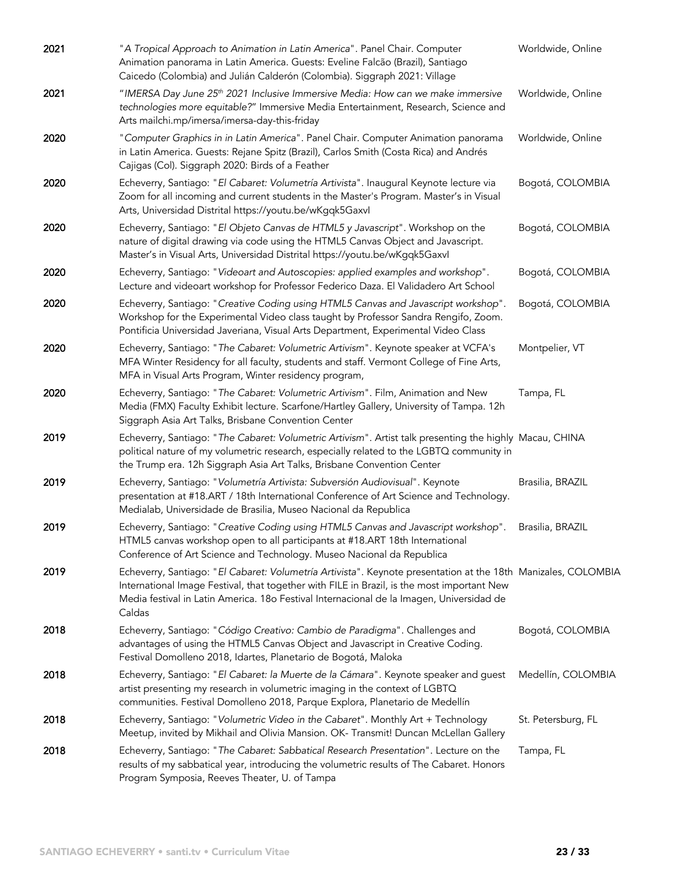| 2021 | "A Tropical Approach to Animation in Latin America". Panel Chair. Computer<br>Animation panorama in Latin America. Guests: Eveline Falcão (Brazil), Santiago<br>Caicedo (Colombia) and Julián Calderón (Colombia). Siggraph 2021: Village                                                                         | Worldwide, Online  |
|------|-------------------------------------------------------------------------------------------------------------------------------------------------------------------------------------------------------------------------------------------------------------------------------------------------------------------|--------------------|
| 2021 | "IMERSA Day June 25th 2021 Inclusive Immersive Media: How can we make immersive<br>technologies more equitable?" Immersive Media Entertainment, Research, Science and<br>Arts mailchi.mp/imersa/imersa-day-this-friday                                                                                            | Worldwide, Online  |
| 2020 | "Computer Graphics in in Latin America". Panel Chair. Computer Animation panorama<br>in Latin America. Guests: Rejane Spitz (Brazil), Carlos Smith (Costa Rica) and Andrés<br>Cajigas (Col). Siggraph 2020: Birds of a Feather                                                                                    | Worldwide, Online  |
| 2020 | Echeverry, Santiago: "El Cabaret: Volumetría Artivista". Inaugural Keynote lecture via<br>Zoom for all incoming and current students in the Master's Program. Master's in Visual<br>Arts, Universidad Distrital https://youtu.be/wKgqk5Gaxvl                                                                      | Bogotá, COLOMBIA   |
| 2020 | Echeverry, Santiago: "El Objeto Canvas de HTML5 y Javascript". Workshop on the<br>nature of digital drawing via code using the HTML5 Canvas Object and Javascript.<br>Master's in Visual Arts, Universidad Distrital https://youtu.be/wKgqk5Gaxvl                                                                 | Bogotá, COLOMBIA   |
| 2020 | Echeverry, Santiago: "Videoart and Autoscopies: applied examples and workshop".<br>Lecture and videoart workshop for Professor Federico Daza. El Validadero Art School                                                                                                                                            | Bogotá, COLOMBIA   |
| 2020 | Echeverry, Santiago: "Creative Coding using HTML5 Canvas and Javascript workshop".<br>Workshop for the Experimental Video class taught by Professor Sandra Rengifo, Zoom.<br>Pontificia Universidad Javeriana, Visual Arts Department, Experimental Video Class                                                   | Bogotá, COLOMBIA   |
| 2020 | Echeverry, Santiago: "The Cabaret: Volumetric Artivism". Keynote speaker at VCFA's<br>MFA Winter Residency for all faculty, students and staff. Vermont College of Fine Arts,<br>MFA in Visual Arts Program, Winter residency program,                                                                            | Montpelier, VT     |
| 2020 | Echeverry, Santiago: "The Cabaret: Volumetric Artivism". Film, Animation and New<br>Media (FMX) Faculty Exhibit lecture. Scarfone/Hartley Gallery, University of Tampa. 12h<br>Siggraph Asia Art Talks, Brisbane Convention Center                                                                                | Tampa, FL          |
| 2019 | Echeverry, Santiago: "The Cabaret: Volumetric Artivism". Artist talk presenting the highly Macau, CHINA<br>political nature of my volumetric research, especially related to the LGBTQ community in<br>the Trump era. 12h Siggraph Asia Art Talks, Brisbane Convention Center                                     |                    |
| 2019 | Echeverry, Santiago: "Volumetría Artivista: Subversión Audiovisual". Keynote<br>presentation at #18.ART / 18th International Conference of Art Science and Technology.<br>Medialab, Universidade de Brasilia, Museo Nacional da Republica                                                                         | Brasilia, BRAZIL   |
| 2019 | Echeverry, Santiago: "Creative Coding using HTML5 Canvas and Javascript workshop".<br>HTML5 canvas workshop open to all participants at #18.ART 18th International<br>Conference of Art Science and Technology. Museo Nacional da Republica                                                                       | Brasilia, BRAZIL   |
| 2019 | Echeverry, Santiago: "El Cabaret: Volumetría Artivista". Keynote presentation at the 18th Manizales, COLOMBIA<br>International Image Festival, that together with FILE in Brazil, is the most important New<br>Media festival in Latin America. 180 Festival Internacional de la Imagen, Universidad de<br>Caldas |                    |
| 2018 | Echeverry, Santiago: "Código Creativo: Cambio de Paradigma". Challenges and<br>advantages of using the HTML5 Canvas Object and Javascript in Creative Coding.<br>Festival Domolleno 2018, Idartes, Planetario de Bogotá, Maloka                                                                                   | Bogotá, COLOMBIA   |
| 2018 | Echeverry, Santiago: "El Cabaret: la Muerte de la Cámara". Keynote speaker and guest<br>artist presenting my research in volumetric imaging in the context of LGBTQ<br>communities. Festival Domolleno 2018, Parque Explora, Planetario de Medellín                                                               | Medellín, COLOMBIA |
| 2018 | Echeverry, Santiago: "Volumetric Video in the Cabaret". Monthly Art + Technology<br>Meetup, invited by Mikhail and Olivia Mansion. OK- Transmit! Duncan McLellan Gallery                                                                                                                                          | St. Petersburg, FL |
| 2018 | Echeverry, Santiago: "The Cabaret: Sabbatical Research Presentation". Lecture on the<br>results of my sabbatical year, introducing the volumetric results of The Cabaret. Honors<br>Program Symposia, Reeves Theater, U. of Tampa                                                                                 | Tampa, FL          |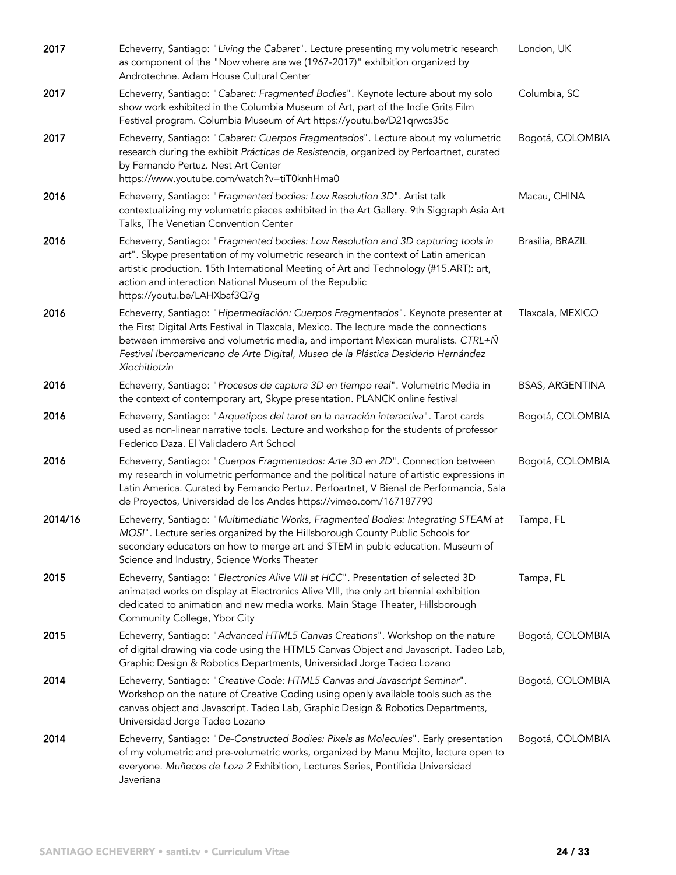| 2017    | Echeverry, Santiago: "Living the Cabaret". Lecture presenting my volumetric research<br>as component of the "Now where are we (1967-2017)" exhibition organized by<br>Androtechne. Adam House Cultural Center                                                                                                                                                       | London, UK             |
|---------|---------------------------------------------------------------------------------------------------------------------------------------------------------------------------------------------------------------------------------------------------------------------------------------------------------------------------------------------------------------------|------------------------|
| 2017    | Echeverry, Santiago: "Cabaret: Fragmented Bodies". Keynote lecture about my solo<br>show work exhibited in the Columbia Museum of Art, part of the Indie Grits Film<br>Festival program. Columbia Museum of Art https://youtu.be/D21qrwcs35c                                                                                                                        | Columbia, SC           |
| 2017    | Echeverry, Santiago: "Cabaret: Cuerpos Fragmentados". Lecture about my volumetric<br>research during the exhibit Prácticas de Resistencia, organized by Perfoartnet, curated<br>by Fernando Pertuz. Nest Art Center<br>https://www.youtube.com/watch?v=tiT0knhHma0                                                                                                  | Bogotá, COLOMBIA       |
| 2016    | Echeverry, Santiago: "Fragmented bodies: Low Resolution 3D". Artist talk<br>contextualizing my volumetric pieces exhibited in the Art Gallery. 9th Siggraph Asia Art<br>Talks, The Venetian Convention Center                                                                                                                                                       | Macau, CHINA           |
| 2016    | Echeverry, Santiago: "Fragmented bodies: Low Resolution and 3D capturing tools in<br>art". Skype presentation of my volumetric research in the context of Latin american<br>artistic production. 15th International Meeting of Art and Technology (#15.ART): art,<br>action and interaction National Museum of the Republic<br>https://youtu.be/LAHXbaf3Q7g         | Brasilia, BRAZIL       |
| 2016    | Echeverry, Santiago: "Hipermediación: Cuerpos Fragmentados". Keynote presenter at<br>the First Digital Arts Festival in Tlaxcala, Mexico. The lecture made the connections<br>between immersive and volumetric media, and important Mexican muralists. CTRL+Ñ<br>Festival Iberoamericano de Arte Digital, Museo de la Plástica Desiderio Hernández<br>Xiochitiotzin | Tlaxcala, MEXICO       |
| 2016    | Echeverry, Santiago: "Procesos de captura 3D en tiempo real". Volumetric Media in<br>the context of contemporary art, Skype presentation. PLANCK online festival                                                                                                                                                                                                    | <b>BSAS, ARGENTINA</b> |
| 2016    | Echeverry, Santiago: "Arquetipos del tarot en la narración interactiva". Tarot cards<br>used as non-linear narrative tools. Lecture and workshop for the students of professor<br>Federico Daza. El Validadero Art School                                                                                                                                           | Bogotá, COLOMBIA       |
| 2016    | Echeverry, Santiago: "Cuerpos Fragmentados: Arte 3D en 2D". Connection between<br>my research in volumetric performance and the political nature of artistic expressions in<br>Latin America. Curated by Fernando Pertuz. Perfoartnet, V Bienal de Performancia, Sala<br>de Proyectos, Universidad de los Andes https://vimeo.com/167187790                         | Bogotá, COLOMBIA       |
| 2014/16 | Echeverry, Santiago: "Multimediatic Works, Fragmented Bodies: Integrating STEAM at<br>MOSI". Lecture series organized by the Hillsborough County Public Schools for<br>secondary educators on how to merge art and STEM in publc education. Museum of<br>Science and Industry, Science Works Theater                                                                | Tampa, FL              |
| 2015    | Echeverry, Santiago: "Electronics Alive VIII at HCC". Presentation of selected 3D<br>animated works on display at Electronics Alive VIII, the only art biennial exhibition<br>dedicated to animation and new media works. Main Stage Theater, Hillsborough<br>Community College, Ybor City                                                                          | Tampa, FL              |
| 2015    | Echeverry, Santiago: "Advanced HTML5 Canvas Creations". Workshop on the nature<br>of digital drawing via code using the HTML5 Canvas Object and Javascript. Tadeo Lab,<br>Graphic Design & Robotics Departments, Universidad Jorge Tadeo Lozano                                                                                                                     | Bogotá, COLOMBIA       |
| 2014    | Echeverry, Santiago: "Creative Code: HTML5 Canvas and Javascript Seminar".<br>Workshop on the nature of Creative Coding using openly available tools such as the<br>canvas object and Javascript. Tadeo Lab, Graphic Design & Robotics Departments,<br>Universidad Jorge Tadeo Lozano                                                                               | Bogotá, COLOMBIA       |
| 2014    | Echeverry, Santiago: "De-Constructed Bodies: Pixels as Molecules". Early presentation<br>of my volumetric and pre-volumetric works, organized by Manu Mojito, lecture open to<br>everyone. Muñecos de Loza 2 Exhibition, Lectures Series, Pontificia Universidad<br>Javeriana                                                                                       | Bogotá, COLOMBIA       |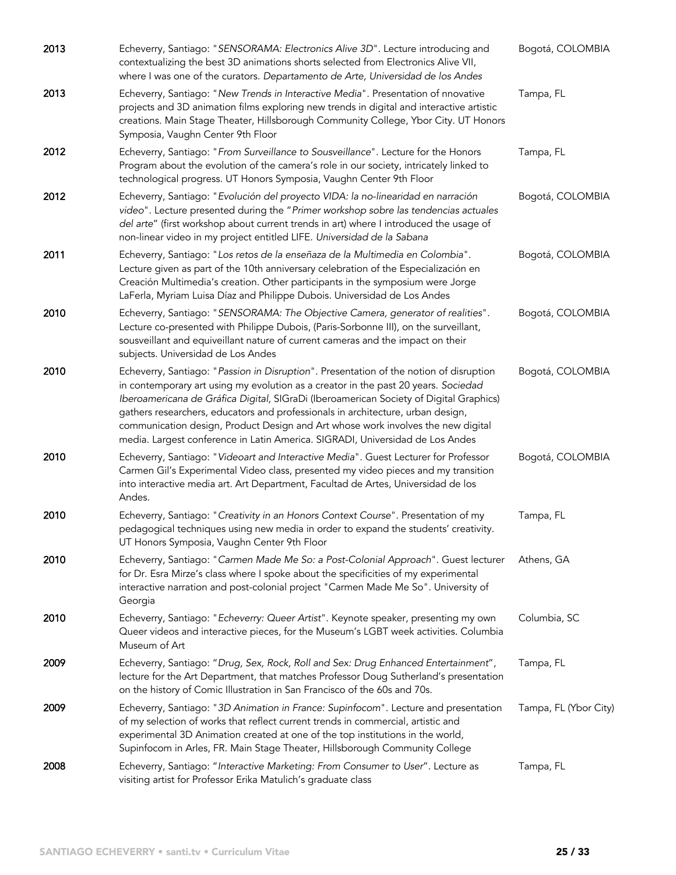| 2013 | Echeverry, Santiago: "SENSORAMA: Electronics Alive 3D". Lecture introducing and<br>contextualizing the best 3D animations shorts selected from Electronics Alive VII,<br>where I was one of the curators. Departamento de Arte, Universidad de los Andes                                                                                                                                                                                                                                                                       | Bogotá, COLOMBIA      |
|------|--------------------------------------------------------------------------------------------------------------------------------------------------------------------------------------------------------------------------------------------------------------------------------------------------------------------------------------------------------------------------------------------------------------------------------------------------------------------------------------------------------------------------------|-----------------------|
| 2013 | Echeverry, Santiago: "New Trends in Interactive Media". Presentation of nnovative<br>projects and 3D animation films exploring new trends in digital and interactive artistic<br>creations. Main Stage Theater, Hillsborough Community College, Ybor City. UT Honors<br>Symposia, Vaughn Center 9th Floor                                                                                                                                                                                                                      | Tampa, FL             |
| 2012 | Echeverry, Santiago: "From Surveillance to Sousveillance". Lecture for the Honors<br>Program about the evolution of the camera's role in our society, intricately linked to<br>technological progress. UT Honors Symposia, Vaughn Center 9th Floor                                                                                                                                                                                                                                                                             | Tampa, FL             |
| 2012 | Echeverry, Santiago: "Evolución del proyecto VIDA: la no-linearidad en narración<br>video". Lecture presented during the "Primer workshop sobre las tendencias actuales<br>del arte" (first workshop about current trends in art) where I introduced the usage of<br>non-linear video in my project entitled LIFE. Universidad de la Sabana                                                                                                                                                                                    | Bogotá, COLOMBIA      |
| 2011 | Echeverry, Santiago: "Los retos de la enseñaza de la Multimedia en Colombia".<br>Lecture given as part of the 10th anniversary celebration of the Especialización en<br>Creación Multimedia's creation. Other participants in the symposium were Jorge<br>LaFerla, Myriam Luisa Díaz and Philippe Dubois. Universidad de Los Andes                                                                                                                                                                                             | Bogotá, COLOMBIA      |
| 2010 | Echeverry, Santiago: "SENSORAMA: The Objective Camera, generator of realities".<br>Lecture co-presented with Philippe Dubois, (Paris-Sorbonne III), on the surveillant,<br>sousveillant and equiveillant nature of current cameras and the impact on their<br>subjects. Universidad de Los Andes                                                                                                                                                                                                                               | Bogotá, COLOMBIA      |
| 2010 | Echeverry, Santiago: "Passion in Disruption". Presentation of the notion of disruption<br>in contemporary art using my evolution as a creator in the past 20 years. Sociedad<br>Iberoamericana de Gráfica Digital, SIGraDi (Iberoamerican Society of Digital Graphics)<br>gathers researchers, educators and professionals in architecture, urban design,<br>communication design, Product Design and Art whose work involves the new digital<br>media. Largest conference in Latin America. SIGRADI, Universidad de Los Andes | Bogotá, COLOMBIA      |
| 2010 | Echeverry, Santiago: "Videoart and Interactive Media". Guest Lecturer for Professor<br>Carmen Gil's Experimental Video class, presented my video pieces and my transition<br>into interactive media art. Art Department, Facultad de Artes, Universidad de los<br>Andes.                                                                                                                                                                                                                                                       | Bogotá, COLOMBIA      |
| 2010 | Echeverry, Santiago: "Creativity in an Honors Context Course". Presentation of my<br>pedagogical techniques using new media in order to expand the students' creativity.<br>UT Honors Symposia, Vaughn Center 9th Floor                                                                                                                                                                                                                                                                                                        | Tampa, FL             |
| 2010 | Echeverry, Santiago: "Carmen Made Me So: a Post-Colonial Approach". Guest lecturer<br>for Dr. Esra Mirze's class where I spoke about the specificities of my experimental<br>interactive narration and post-colonial project "Carmen Made Me So". University of<br>Georgia                                                                                                                                                                                                                                                     | Athens, GA            |
| 2010 | Echeverry, Santiago: "Echeverry: Queer Artist". Keynote speaker, presenting my own<br>Queer videos and interactive pieces, for the Museum's LGBT week activities. Columbia<br>Museum of Art                                                                                                                                                                                                                                                                                                                                    | Columbia, SC          |
| 2009 | Echeverry, Santiago: "Drug, Sex, Rock, Roll and Sex: Drug Enhanced Entertainment",<br>lecture for the Art Department, that matches Professor Doug Sutherland's presentation<br>on the history of Comic Illustration in San Francisco of the 60s and 70s.                                                                                                                                                                                                                                                                       | Tampa, FL             |
| 2009 | Echeverry, Santiago: "3D Animation in France: Supinfocom". Lecture and presentation<br>of my selection of works that reflect current trends in commercial, artistic and<br>experimental 3D Animation created at one of the top institutions in the world,<br>Supinfocom in Arles, FR. Main Stage Theater, Hillsborough Community College                                                                                                                                                                                       | Tampa, FL (Ybor City) |
| 2008 | Echeverry, Santiago: "Interactive Marketing: From Consumer to User". Lecture as<br>visiting artist for Professor Erika Matulich's graduate class                                                                                                                                                                                                                                                                                                                                                                               | Tampa, FL             |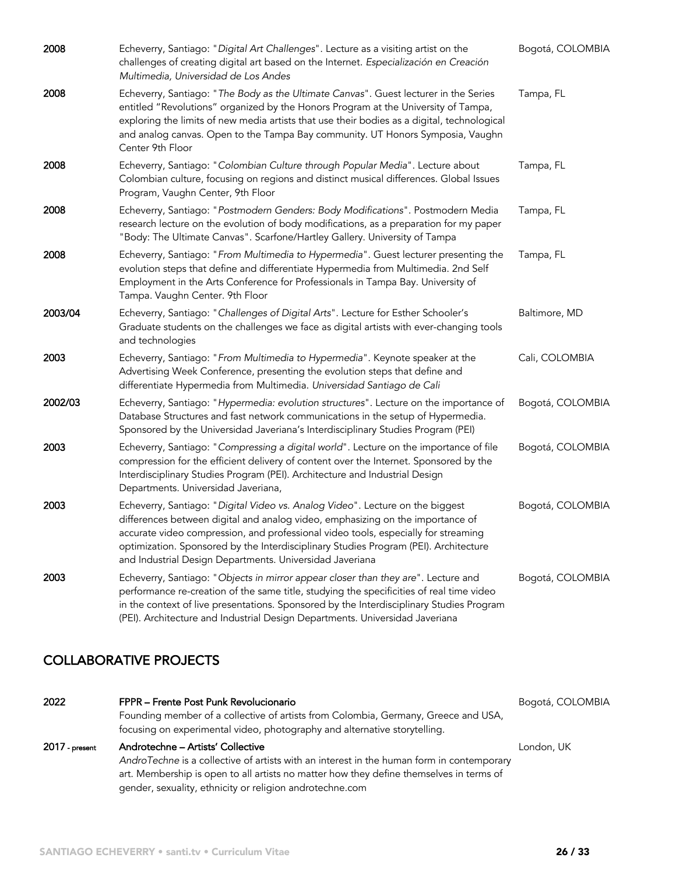| 2008    | Echeverry, Santiago: "Digital Art Challenges". Lecture as a visiting artist on the<br>challenges of creating digital art based on the Internet. Especialización en Creación<br>Multimedia, Universidad de Los Andes                                                                                                                                                                                       | Bogotá, COLOMBIA |
|---------|-----------------------------------------------------------------------------------------------------------------------------------------------------------------------------------------------------------------------------------------------------------------------------------------------------------------------------------------------------------------------------------------------------------|------------------|
| 2008    | Echeverry, Santiago: "The Body as the Ultimate Canvas". Guest lecturer in the Series<br>entitled "Revolutions" organized by the Honors Program at the University of Tampa,<br>exploring the limits of new media artists that use their bodies as a digital, technological<br>and analog canvas. Open to the Tampa Bay community. UT Honors Symposia, Vaughn<br>Center 9th Floor                           | Tampa, FL        |
| 2008    | Echeverry, Santiago: "Colombian Culture through Popular Media". Lecture about<br>Colombian culture, focusing on regions and distinct musical differences. Global Issues<br>Program, Vaughn Center, 9th Floor                                                                                                                                                                                              | Tampa, FL        |
| 2008    | Echeverry, Santiago: "Postmodern Genders: Body Modifications". Postmodern Media<br>research lecture on the evolution of body modifications, as a preparation for my paper<br>"Body: The Ultimate Canvas". Scarfone/Hartley Gallery. University of Tampa                                                                                                                                                   | Tampa, FL        |
| 2008    | Echeverry, Santiago: "From Multimedia to Hypermedia". Guest lecturer presenting the<br>evolution steps that define and differentiate Hypermedia from Multimedia. 2nd Self<br>Employment in the Arts Conference for Professionals in Tampa Bay. University of<br>Tampa. Vaughn Center. 9th Floor                                                                                                           | Tampa, FL        |
| 2003/04 | Echeverry, Santiago: "Challenges of Digital Arts". Lecture for Esther Schooler's<br>Graduate students on the challenges we face as digital artists with ever-changing tools<br>and technologies                                                                                                                                                                                                           | Baltimore, MD    |
| 2003    | Echeverry, Santiago: "From Multimedia to Hypermedia". Keynote speaker at the<br>Advertising Week Conference, presenting the evolution steps that define and<br>differentiate Hypermedia from Multimedia. Universidad Santiago de Cali                                                                                                                                                                     | Cali, COLOMBIA   |
| 2002/03 | Echeverry, Santiago: "Hypermedia: evolution structures". Lecture on the importance of<br>Database Structures and fast network communications in the setup of Hypermedia.<br>Sponsored by the Universidad Javeriana's Interdisciplinary Studies Program (PEI)                                                                                                                                              | Bogotá, COLOMBIA |
| 2003    | Echeverry, Santiago: "Compressing a digital world". Lecture on the importance of file<br>compression for the efficient delivery of content over the Internet. Sponsored by the<br>Interdisciplinary Studies Program (PEI). Architecture and Industrial Design<br>Departments. Universidad Javeriana,                                                                                                      | Bogotá, COLOMBIA |
| 2003    | Echeverry, Santiago: "Digital Video vs. Analog Video". Lecture on the biggest<br>differences between digital and analog video, emphasizing on the importance of<br>accurate video compression, and professional video tools, especially for streaming<br>optimization. Sponsored by the Interdisciplinary Studies Program (PEI). Architecture<br>and Industrial Design Departments. Universidad Javeriana | Bogotá, COLOMBIA |
| 2003    | Echeverry, Santiago: "Objects in mirror appear closer than they are". Lecture and<br>performance re-creation of the same title, studying the specificities of real time video<br>in the context of live presentations. Sponsored by the Interdisciplinary Studies Program<br>(PEI). Architecture and Industrial Design Departments. Universidad Javeriana                                                 | Bogotá, COLOMBIA |

# COLLABORATIVE PROJECTS

| 2022           | FPPR - Frente Post Punk Revolucionario<br>Founding member of a collective of artists from Colombia, Germany, Greece and USA,<br>focusing on experimental video, photography and alternative storytelling.                                                                             | Bogotá, COLOMBIA |
|----------------|---------------------------------------------------------------------------------------------------------------------------------------------------------------------------------------------------------------------------------------------------------------------------------------|------------------|
| 2017 - present | Androtechne - Artists' Collective<br>AndroTechne is a collective of artists with an interest in the human form in contemporary<br>art. Membership is open to all artists no matter how they define themselves in terms of<br>gender, sexuality, ethnicity or religion androtechne.com | London, UK       |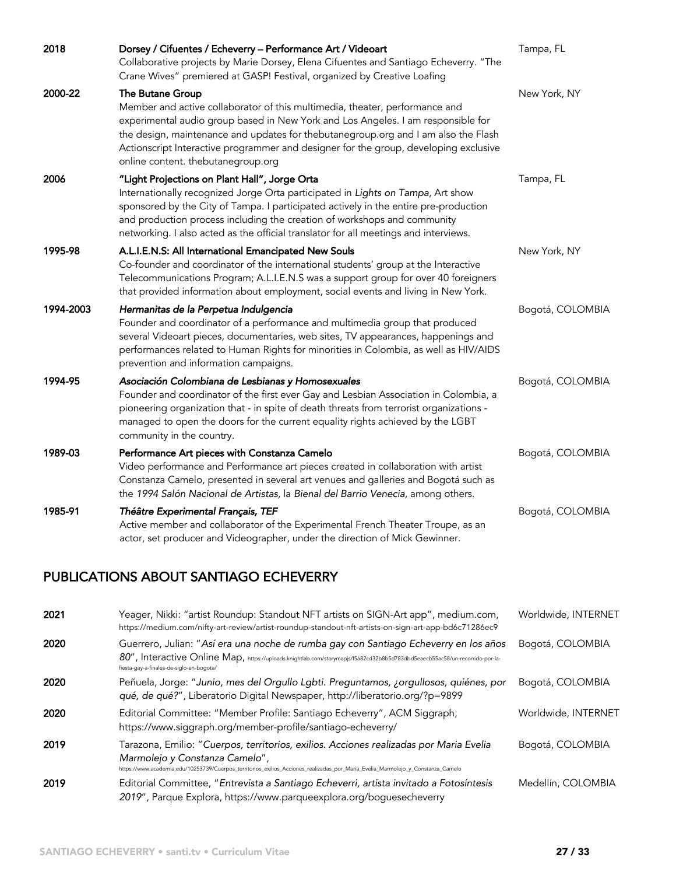| 2018      | Dorsey / Cifuentes / Echeverry - Performance Art / Videoart<br>Collaborative projects by Marie Dorsey, Elena Cifuentes and Santiago Echeverry. "The<br>Crane Wives" premiered at GASP! Festival, organized by Creative Loafing                                                                                                                                                                          | Tampa, FL        |
|-----------|---------------------------------------------------------------------------------------------------------------------------------------------------------------------------------------------------------------------------------------------------------------------------------------------------------------------------------------------------------------------------------------------------------|------------------|
| 2000-22   | The Butane Group<br>Member and active collaborator of this multimedia, theater, performance and<br>experimental audio group based in New York and Los Angeles. I am responsible for<br>the design, maintenance and updates for thebutanegroup.org and I am also the Flash<br>Actionscript Interactive programmer and designer for the group, developing exclusive<br>online content. thebutanegroup.org | New York, NY     |
| 2006      | "Light Projections on Plant Hall", Jorge Orta<br>Internationally recognized Jorge Orta participated in Lights on Tampa, Art show<br>sponsored by the City of Tampa. I participated actively in the entire pre-production<br>and production process including the creation of workshops and community<br>networking. I also acted as the official translator for all meetings and interviews.            | Tampa, FL        |
| 1995-98   | A.L.I.E.N.S: All International Emancipated New Souls<br>Co-founder and coordinator of the international students' group at the Interactive<br>Telecommunications Program; A.L.I.E.N.S was a support group for over 40 foreigners<br>that provided information about employment, social events and living in New York.                                                                                   | New York, NY     |
| 1994-2003 | Hermanitas de la Perpetua Indulgencia<br>Founder and coordinator of a performance and multimedia group that produced<br>several Videoart pieces, documentaries, web sites, TV appearances, happenings and<br>performances related to Human Rights for minorities in Colombia, as well as HIV/AIDS<br>prevention and information campaigns.                                                              | Bogotá, COLOMBIA |
| 1994-95   | Asociación Colombiana de Lesbianas y Homosexuales<br>Founder and coordinator of the first ever Gay and Lesbian Association in Colombia, a<br>pioneering organization that - in spite of death threats from terrorist organizations -<br>managed to open the doors for the current equality rights achieved by the LGBT<br>community in the country.                                                     | Bogotá, COLOMBIA |
| 1989-03   | Performance Art pieces with Constanza Camelo<br>Video performance and Performance art pieces created in collaboration with artist<br>Constanza Camelo, presented in several art venues and galleries and Bogotá such as<br>the 1994 Salón Nacional de Artistas, la Bienal del Barrio Venecia, among others.                                                                                             | Bogotá, COLOMBIA |
| 1985-91   | Théâtre Experimental Français, TEF<br>Active member and collaborator of the Experimental French Theater Troupe, as an<br>actor, set producer and Videographer, under the direction of Mick Gewinner.                                                                                                                                                                                                    | Bogotá, COLOMBIA |

# PUBLICATIONS ABOUT SANTIAGO ECHEVERRY

| 2021 | Yeager, Nikki: "artist Roundup: Standout NFT artists on SIGN-Art app", medium.com,<br>https://medium.com/nifty-art-review/artist-roundup-standout-nft-artists-on-sign-art-app-bd6c71286ec9                                                                      | Worldwide, INTERNET |
|------|-----------------------------------------------------------------------------------------------------------------------------------------------------------------------------------------------------------------------------------------------------------------|---------------------|
| 2020 | Guerrero, Julian: "Así era una noche de rumba gay con Santiago Echeverry en los años<br>80", Interactive Online Map, https://uploads.knightlab.com/storymapjs/f5a82cd32b8b5d783dbd5eaecb55ac58/un-recorrido-por-la-<br>fiesta-gay-a-finales-de-siglo-en-bogota/ | Bogotá, COLOMBIA    |
| 2020 | Peñuela, Jorge: "Junio, mes del Orgullo Lgbti. Preguntamos, ¿orgullosos, quiénes, por<br>qué, de qué?", Liberatorio Digital Newspaper, http://liberatorio.org/?p=9899                                                                                           | Bogotá, COLOMBIA    |
| 2020 | Editorial Committee: "Member Profile: Santiago Echeverry", ACM Siggraph,<br>https://www.siggraph.org/member-profile/santiago-echeverry/                                                                                                                         | Worldwide, INTERNET |
| 2019 | Tarazona, Emilio: "Cuerpos, territorios, exilios. Acciones realizadas por Maria Evelia<br>Marmolejo y Constanza Camelo",<br>https://www.academia.edu/10253739/Cuerpos_territorios_exilios_Acciones_realizadas_por_Maria_Evelia_Marmolejo_y_Constanza_Camelo     | Bogotá, COLOMBIA    |
| 2019 | Editorial Committee, "Entrevista a Santiago Echeverri, artista invitado a Fotosíntesis<br>2019", Parque Explora, https://www.parqueexplora.org/boguesecheverry                                                                                                  | Medellín, COLOMBIA  |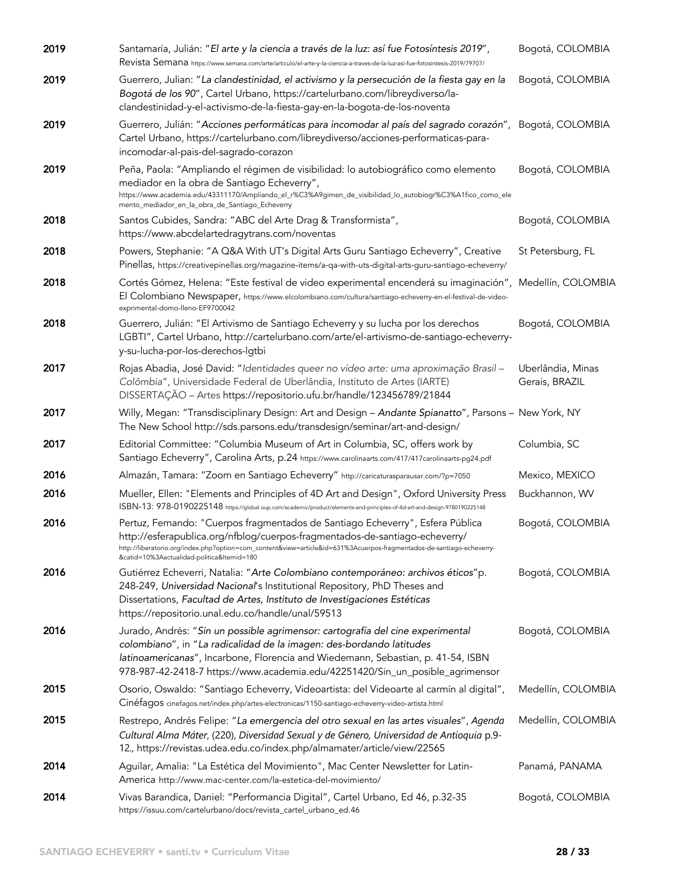| 2019 | Santamaría, Julián: "El arte y la ciencia a través de la luz: así fue Fotosíntesis 2019",<br>Revista Semana https://www.semana.com/arte/articulo/el-arte-y-la-ciencia-a-traves-de-la-luz-asi-fue-fotosintesis-2019/79707/                                                                                                            | Bogotá, COLOMBIA                    |
|------|--------------------------------------------------------------------------------------------------------------------------------------------------------------------------------------------------------------------------------------------------------------------------------------------------------------------------------------|-------------------------------------|
| 2019 | Guerrero, Julian: "La clandestinidad, el activismo y la persecución de la fiesta gay en la<br>Bogotá de los 90", Cartel Urbano, https://cartelurbano.com/libreydiverso/la-<br>clandestinidad-y-el-activismo-de-la-fiesta-gay-en-la-bogota-de-los-noventa                                                                             | Bogotá, COLOMBIA                    |
| 2019 | Guerrero, Julián: "Acciones performáticas para incomodar al país del sagrado corazón", Bogotá, COLOMBIA<br>Cartel Urbano, https://cartelurbano.com/libreydiverso/acciones-performaticas-para-<br>incomodar-al-pais-del-sagrado-corazon                                                                                               |                                     |
| 2019 | Peña, Paola: "Ampliando el régimen de visibilidad: lo autobiográfico como elemento<br>mediador en la obra de Santiago Echeverry",<br>https://www.academia.edu/43311170/Ampliando_el_r%C3%A9gimen_de_visibilidad_lo_autobiogr%C3%A1fico_como_ele<br>mento_mediador_en_la_obra_de_Santiago_Echeverry                                   | Bogotá, COLOMBIA                    |
| 2018 | Santos Cubides, Sandra: "ABC del Arte Drag & Transformista",<br>https://www.abcdelartedragytrans.com/noventas                                                                                                                                                                                                                        | Bogotá, COLOMBIA                    |
| 2018 | Powers, Stephanie: "A Q&A With UT's Digital Arts Guru Santiago Echeverry", Creative<br>Pinellas, https://creativepinellas.org/magazine-items/a-qa-with-uts-digital-arts-guru-santiago-echeverry/                                                                                                                                     | St Petersburg, FL                   |
| 2018 | Cortés Gómez, Helena: "Este festival de video experimental encenderá su imaginación", Medellín, COLOMBIA<br>El Colombiano Newspaper, https://www.elcolombiano.com/cultura/santiago-echeverry-en-el-festival-de-video-<br>exprimental-domo-lleno-EF9700042                                                                            |                                     |
| 2018 | Guerrero, Julián: "El Artivismo de Santiago Echeverry y su lucha por los derechos<br>LGBTI", Cartel Urbano, http://cartelurbano.com/arte/el-artivismo-de-santiago-echeverry-<br>y-su-lucha-por-los-derechos-lgtbi                                                                                                                    | Bogotá, COLOMBIA                    |
| 2017 | Rojas Abadia, José David: "Identidades queer no vídeo arte: uma aproximação Brasil -<br>Colômbia", Universidade Federal de Uberlândia, Instituto de Artes (IARTE)<br>DISSERTAÇÃO - Artes https://repositorio.ufu.br/handle/123456789/21844                                                                                           | Uberlândia, Minas<br>Gerais, BRAZIL |
| 2017 | Willy, Megan: "Transdisciplinary Design: Art and Design - Andante Spianatto", Parsons - New York, NY<br>The New School http://sds.parsons.edu/transdesign/seminar/art-and-design/                                                                                                                                                    |                                     |
| 2017 | Editorial Committee: "Columbia Museum of Art in Columbia, SC, offers work by<br>Santiago Echeverry", Carolina Arts, p.24 https://www.carolinaarts.com/417/417carolinaarts-pg24.pdf                                                                                                                                                   | Columbia, SC                        |
| 2016 | Almazán, Tamara: "Zoom en Santiago Echeverry" http://caricaturasparausar.com/?p=7050                                                                                                                                                                                                                                                 | Mexico, MEXICO                      |
| 2016 | Mueller, Ellen: "Elements and Principles of 4D Art and Design", Oxford University Press<br>ISBN-13: 978-0190225148 https://global.oup.com/academic/product/elements-and-principles-of-4d-art-and-design-9780190225148                                                                                                                | Buckhannon, WV                      |
| 2016 | Pertuz, Fernando: "Cuerpos fragmentados de Santiago Echeverry", Esfera Pública<br>http://esferapublica.org/nfblog/cuerpos-fragmentados-de-santiago-echeverry/<br>http://liberatorio.org/index.php?option=com_content&view=article&id=631%3Acuerpos-fragmentados-de-santiago-echeverry-<br>&catid=10%3Aactualidad-politica&Itemid=180 | Bogotá, COLOMBIA                    |
| 2016 | Gutiérrez Echeverri, Natalia: "Arte Colombiano contemporáneo: archivos éticos"p.<br>248-249, Universidad Nacional's Institutional Repository, PhD Theses and<br>Dissertations, Facultad de Artes, Instituto de Investigaciones Estéticas<br>https://repositorio.unal.edu.co/handle/unal/59513                                        | Bogotá, COLOMBIA                    |
| 2016 | Jurado, Andrés: "Sin un possible agrimensor: cartografía del cine experimental<br>colombiano", in "La radicalidad de la imagen: des-bordando latitudes<br>latinoamericanas", Incarbone, Florencia and Wiedemann, Sebastian, p. 41-54, ISBN<br>978-987-42-2418-7 https://www.academia.edu/42251420/Sin_un_posible_agrimensor          | Bogotá, COLOMBIA                    |
| 2015 | Osorio, Oswaldo: "Santiago Echeverry, Videoartista: del Videoarte al carmín al digital",<br>Cinéfagos cinefagos.net/index.php/artes-electronicas/1150-santiago-echeverry-video-artista.html                                                                                                                                          | Medellín, COLOMBIA                  |
| 2015 | Restrepo, Andrés Felipe: "La emergencia del otro sexual en las artes visuales", Agenda<br>Cultural Alma Máter, (220), Diversidad Sexual y de Género, Universidad de Antioquia p.9-<br>12., https://revistas.udea.edu.co/index.php/almamater/article/view/22565                                                                       | Medellín, COLOMBIA                  |
| 2014 | Aguilar, Amalia: "La Estética del Movimiento", Mac Center Newsletter for Latin-<br>America http://www.mac-center.com/la-estetica-del-movimiento/                                                                                                                                                                                     | Panamá, PANAMA                      |
| 2014 | Vivas Barandica, Daniel: "Performancia Digital", Cartel Urbano, Ed 46, p.32-35<br>https://issuu.com/cartelurbano/docs/revista_cartel_urbano_ed.46                                                                                                                                                                                    | Bogotá, COLOMBIA                    |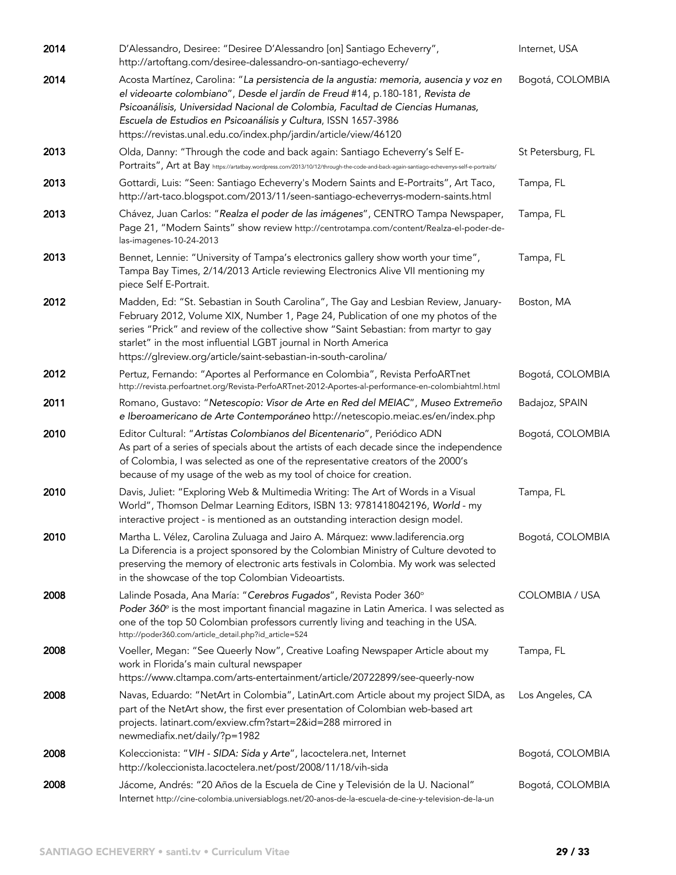| 2014 | D'Alessandro, Desiree: "Desiree D'Alessandro [on] Santiago Echeverry",<br>http://artoftang.com/desiree-dalessandro-on-santiago-echeverry/                                                                                                                                                                                                                                                              | Internet, USA         |
|------|--------------------------------------------------------------------------------------------------------------------------------------------------------------------------------------------------------------------------------------------------------------------------------------------------------------------------------------------------------------------------------------------------------|-----------------------|
| 2014 | Acosta Martínez, Carolina: "La persistencia de la angustia: memoria, ausencia y voz en<br>el videoarte colombiano", Desde el jardín de Freud #14, p.180-181, Revista de<br>Psicoanálisis, Universidad Nacional de Colombia, Facultad de Ciencias Humanas,<br>Escuela de Estudios en Psicoanálisis y Cultura, ISSN 1657-3986<br>https://revistas.unal.edu.co/index.php/jardin/article/view/46120        | Bogotá, COLOMBIA      |
| 2013 | Olda, Danny: "Through the code and back again: Santiago Echeverry's Self E-<br>POrtraits", Art at Bay https://artatbay.wordpress.com/2013/10/12/through-the-code-and-back-again-santiago-echeverrys-self-e-portraits/                                                                                                                                                                                  | St Petersburg, FL     |
| 2013 | Gottardi, Luis: "Seen: Santiago Echeverry's Modern Saints and E-Portraits", Art Taco,<br>http://art-taco.blogspot.com/2013/11/seen-santiago-echeverrys-modern-saints.html                                                                                                                                                                                                                              | Tampa, FL             |
| 2013 | Chávez, Juan Carlos: "Realza el poder de las imágenes", CENTRO Tampa Newspaper,<br>Page 21, "Modern Saints" show review http://centrotampa.com/content/Realza-el-poder-de-<br>las-imagenes-10-24-2013                                                                                                                                                                                                  | Tampa, FL             |
| 2013 | Bennet, Lennie: "University of Tampa's electronics gallery show worth your time",<br>Tampa Bay Times, 2/14/2013 Article reviewing Electronics Alive VII mentioning my<br>piece Self E-Portrait.                                                                                                                                                                                                        | Tampa, FL             |
| 2012 | Madden, Ed: "St. Sebastian in South Carolina", The Gay and Lesbian Review, January-<br>February 2012, Volume XIX, Number 1, Page 24, Publication of one my photos of the<br>series "Prick" and review of the collective show "Saint Sebastian: from martyr to gay<br>starlet" in the most influential LGBT journal in North America<br>https://glreview.org/article/saint-sebastian-in-south-carolina/ | Boston, MA            |
| 2012 | Pertuz, Fernando: "Aportes al Performance en Colombia", Revista PerfoARTnet<br>http://revista.perfoartnet.org/Revista-PerfoARTnet-2012-Aportes-al-performance-en-colombiahtml.html                                                                                                                                                                                                                     | Bogotá, COLOMBIA      |
| 2011 | Romano, Gustavo: "Netescopio: Visor de Arte en Red del MEIAC", Museo Extremeño<br>e Iberoamericano de Arte Contemporáneo http://netescopio.meiac.es/en/index.php                                                                                                                                                                                                                                       | Badajoz, SPAIN        |
| 2010 | Editor Cultural: "Artistas Colombianos del Bicentenario", Periódico ADN<br>As part of a series of specials about the artists of each decade since the independence<br>of Colombia, I was selected as one of the representative creators of the 2000's<br>because of my usage of the web as my tool of choice for creation.                                                                             | Bogotá, COLOMBIA      |
| 2010 | Davis, Juliet: "Exploring Web & Multimedia Writing: The Art of Words in a Visual<br>World", Thomson Delmar Learning Editors, ISBN 13: 9781418042196, World - my<br>interactive project - is mentioned as an outstanding interaction design model.                                                                                                                                                      | Tampa, FL             |
| 2010 | Martha L. Vélez, Carolina Zuluaga and Jairo A. Márquez: www.ladiferencia.org<br>La Diferencia is a project sponsored by the Colombian Ministry of Culture devoted to<br>preserving the memory of electronic arts festivals in Colombia. My work was selected<br>in the showcase of the top Colombian Videoartists.                                                                                     | Bogotá, COLOMBIA      |
| 2008 | Lalinde Posada, Ana María: "Cerebros Fugados", Revista Poder 360°<br>Poder $360^\circ$ is the most important financial magazine in Latin America. I was selected as<br>one of the top 50 Colombian professors currently living and teaching in the USA.<br>http://poder360.com/article_detail.php?id_article=524                                                                                       | <b>COLOMBIA / USA</b> |
| 2008 | Voeller, Megan: "See Queerly Now", Creative Loafing Newspaper Article about my<br>work in Florida's main cultural newspaper<br>https://www.cltampa.com/arts-entertainment/article/20722899/see-queerly-now                                                                                                                                                                                             | Tampa, FL             |
| 2008 | Navas, Eduardo: "NetArt in Colombia", LatinArt.com Article about my project SIDA, as<br>part of the NetArt show, the first ever presentation of Colombian web-based art<br>projects. latinart.com/exview.cfm?start=2&id=288 mirrored in<br>newmediafix.net/daily/?p=1982                                                                                                                               | Los Angeles, CA       |
| 2008 | Koleccionista: "VIH - SIDA: Sida y Arte", lacoctelera.net, Internet<br>http://koleccionista.lacoctelera.net/post/2008/11/18/vih-sida                                                                                                                                                                                                                                                                   | Bogotá, COLOMBIA      |
| 2008 | Jácome, Andrés: "20 Años de la Escuela de Cine y Televisión de la U. Nacional"<br>Internet http://cine-colombia.universiablogs.net/20-anos-de-la-escuela-de-cine-y-television-de-la-un                                                                                                                                                                                                                 | Bogotá, COLOMBIA      |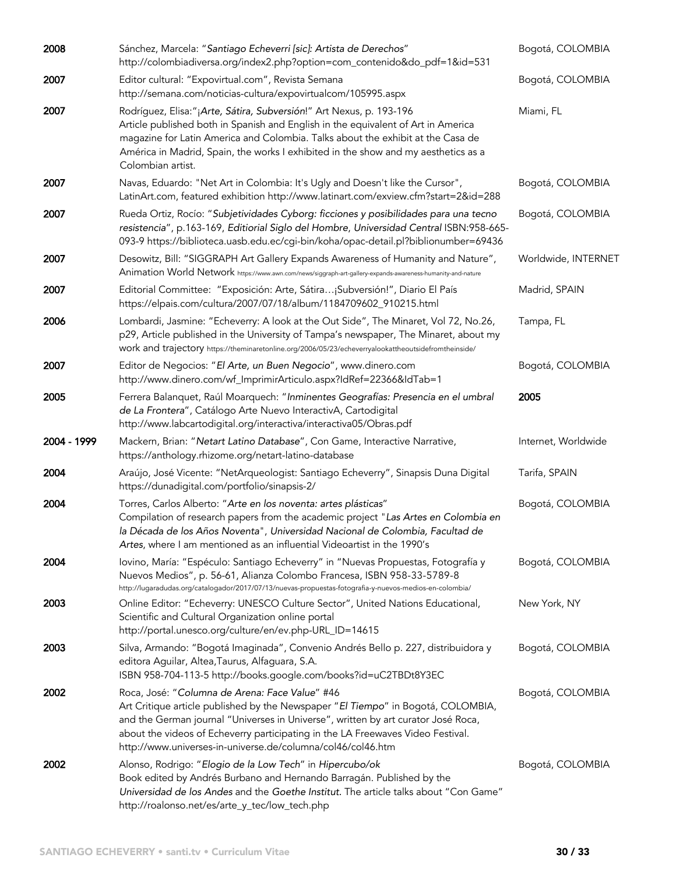| 2008        | Sánchez, Marcela: "Santiago Echeverri [sic]: Artista de Derechos"<br>http://colombiadiversa.org/index2.php?option=com_contenido&do_pdf=1&id=531                                                                                                                                                                                                                           | Bogotá, COLOMBIA    |
|-------------|---------------------------------------------------------------------------------------------------------------------------------------------------------------------------------------------------------------------------------------------------------------------------------------------------------------------------------------------------------------------------|---------------------|
| 2007        | Editor cultural: "Expovirtual.com", Revista Semana<br>http://semana.com/noticias-cultura/expovirtualcom/105995.aspx                                                                                                                                                                                                                                                       | Bogotá, COLOMBIA    |
| 2007        | Rodríguez, Elisa:"¡Arte, Sátira, Subversión!" Art Nexus, p. 193-196<br>Article published both in Spanish and English in the equivalent of Art in America<br>magazine for Latin America and Colombia. Talks about the exhibit at the Casa de<br>América in Madrid, Spain, the works I exhibited in the show and my aesthetics as a<br>Colombian artist.                    | Miami, FL           |
| 2007        | Navas, Eduardo: "Net Art in Colombia: It's Ugly and Doesn't like the Cursor",<br>LatinArt.com, featured exhibition http://www.latinart.com/exview.cfm?start=2&id=288                                                                                                                                                                                                      | Bogotá, COLOMBIA    |
| 2007        | Rueda Ortiz, Rocío: "Subjetividades Cyborg: ficciones y posibilidades para una tecno<br>resistencia", p.163-169, Editiorial Siglo del Hombre, Universidad Central ISBN:958-665-<br>093-9 https://biblioteca.uasb.edu.ec/cgi-bin/koha/opac-detail.pl?biblionumber=69436                                                                                                    | Bogotá, COLOMBIA    |
| 2007        | Desowitz, Bill: "SIGGRAPH Art Gallery Expands Awareness of Humanity and Nature",<br>Animation World Network https://www.awn.com/news/siggraph-art-gallery-expands-awareness-humanity-and-nature                                                                                                                                                                           | Worldwide, INTERNET |
| 2007        | Editorial Committee: "Exposición: Arte, Sátira¡Subversión!", Diario El País<br>https://elpais.com/cultura/2007/07/18/album/1184709602_910215.html                                                                                                                                                                                                                         | Madrid, SPAIN       |
| 2006        | Lombardi, Jasmine: "Echeverry: A look at the Out Side", The Minaret, Vol 72, No.26,<br>p29, Article published in the University of Tampa's newspaper, The Minaret, about my<br>work and trajectory https://theminaretonline.org/2006/05/23/echeverryalookattheoutsidefromtheinside/                                                                                       | Tampa, FL           |
| 2007        | Editor de Negocios: "El Arte, un Buen Negocio", www.dinero.com<br>http://www.dinero.com/wf_ImprimirArticulo.aspx?IdRef=22366&IdTab=1                                                                                                                                                                                                                                      | Bogotá, COLOMBIA    |
| 2005        | Ferrera Balanquet, Raúl Moarquech: "Inminentes Geografías: Presencia en el umbral<br>de La Frontera", Catálogo Arte Nuevo InteractivA, Cartodigital<br>http://www.labcartodigital.org/interactiva/interactiva05/Obras.pdf                                                                                                                                                 | 2005                |
| 2004 - 1999 | Mackern, Brian: "Netart Latino Database", Con Game, Interactive Narrative,<br>https://anthology.rhizome.org/netart-latino-database                                                                                                                                                                                                                                        | Internet, Worldwide |
| 2004        | Araújo, José Vicente: "NetArqueologist: Santiago Echeverry", Sinapsis Duna Digital<br>https://dunadigital.com/portfolio/sinapsis-2/                                                                                                                                                                                                                                       | Tarifa, SPAIN       |
| 2004        | Torres, Carlos Alberto: "Arte en los noventa: artes plásticas"<br>Compilation of research papers from the academic project "Las Artes en Colombia en<br>la Década de los Años Noventa", Universidad Nacional de Colombia, Facultad de<br>Artes, where I am mentioned as an influential Videoartist in the 1990's                                                          | Bogotá, COLOMBIA    |
| 2004        | Iovino, María: "Espéculo: Santiago Echeverry" in "Nuevas Propuestas, Fotografía y<br>Nuevos Medios", p. 56-61, Alianza Colombo Francesa, ISBN 958-33-5789-8<br>http://lugaradudas.org/catalogador/2017/07/13/nuevas-propuestas-fotografia-y-nuevos-medios-en-colombia/                                                                                                    | Bogotá, COLOMBIA    |
| 2003        | Online Editor: "Echeverry: UNESCO Culture Sector", United Nations Educational,<br>Scientific and Cultural Organization online portal<br>http://portal.unesco.org/culture/en/ev.php-URL_ID=14615                                                                                                                                                                           | New York, NY        |
| 2003        | Silva, Armando: "Bogotá Imaginada", Convenio Andrés Bello p. 227, distribuidora y<br>editora Aguilar, Altea, Taurus, Alfaguara, S.A.<br>ISBN 958-704-113-5 http://books.google.com/books?id=uC2TBDt8Y3EC                                                                                                                                                                  | Bogotá, COLOMBIA    |
| 2002        | Roca, José: "Columna de Arena: Face Value" #46<br>Art Critique article published by the Newspaper "El Tiempo" in Bogotá, COLOMBIA,<br>and the German journal "Universes in Universe", written by art curator José Roca,<br>about the videos of Echeverry participating in the LA Freewaves Video Festival.<br>http://www.universes-in-universe.de/columna/col46/col46.htm | Bogotá, COLOMBIA    |
| 2002        | Alonso, Rodrigo: "Elogio de la Low Tech" in Hipercubo/ok<br>Book edited by Andrés Burbano and Hernando Barragán. Published by the<br>Universidad de los Andes and the Goethe Institut. The article talks about "Con Game"<br>http://roalonso.net/es/arte_y_tec/low_tech.php                                                                                               | Bogotá, COLOMBIA    |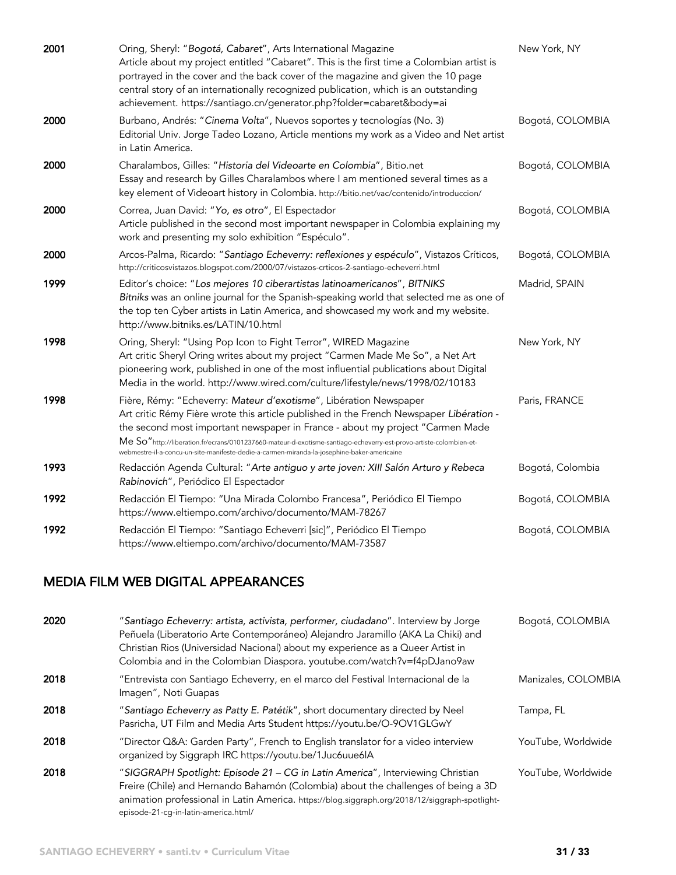| 2001 | Oring, Sheryl: "Bogotá, Cabaret", Arts International Magazine<br>Article about my project entitled "Cabaret". This is the first time a Colombian artist is<br>portrayed in the cover and the back cover of the magazine and given the 10 page<br>central story of an internationally recognized publication, which is an outstanding<br>achievement. https://santiago.cn/generator.php?folder=cabaret&body=ai                                                     | New York, NY     |
|------|-------------------------------------------------------------------------------------------------------------------------------------------------------------------------------------------------------------------------------------------------------------------------------------------------------------------------------------------------------------------------------------------------------------------------------------------------------------------|------------------|
| 2000 | Burbano, Andrés: "Cinema Volta", Nuevos soportes y tecnologías (No. 3)<br>Editorial Univ. Jorge Tadeo Lozano, Article mentions my work as a Video and Net artist<br>in Latin America.                                                                                                                                                                                                                                                                             | Bogotá, COLOMBIA |
| 2000 | Charalambos, Gilles: "Historia del Videoarte en Colombia", Bitio.net<br>Essay and research by Gilles Charalambos where I am mentioned several times as a<br>key element of Videoart history in Colombia. http://bitio.net/vac/contenido/introduccion/                                                                                                                                                                                                             | Bogotá, COLOMBIA |
| 2000 | Correa, Juan David: "Yo, es otro", El Espectador<br>Article published in the second most important newspaper in Colombia explaining my<br>work and presenting my solo exhibition "Espéculo".                                                                                                                                                                                                                                                                      | Bogotá, COLOMBIA |
| 2000 | Arcos-Palma, Ricardo: "Santiago Echeverry: reflexiones y espéculo", Vistazos Críticos,<br>http://criticosvistazos.blogspot.com/2000/07/vistazos-crticos-2-santiago-echeverri.html                                                                                                                                                                                                                                                                                 | Bogotá, COLOMBIA |
| 1999 | Editor's choice: "Los mejores 10 ciberartistas latinoamericanos", BITNIKS<br>Bitniks was an online journal for the Spanish-speaking world that selected me as one of<br>the top ten Cyber artists in Latin America, and showcased my work and my website.<br>http://www.bitniks.es/LATIN/10.html                                                                                                                                                                  | Madrid, SPAIN    |
| 1998 | Oring, Sheryl: "Using Pop Icon to Fight Terror", WIRED Magazine<br>Art critic Sheryl Oring writes about my project "Carmen Made Me So", a Net Art<br>pioneering work, published in one of the most influential publications about Digital<br>Media in the world. http://www.wired.com/culture/lifestyle/news/1998/02/10183                                                                                                                                        | New York, NY     |
| 1998 | Fière, Rémy: "Echeverry: Mateur d'exotisme", Libération Newspaper<br>Art critic Rémy Fière wrote this article published in the French Newspaper Libération -<br>the second most important newspaper in France - about my project "Carmen Made<br>Me So"http://liberation.fr/ecrans/0101237660-mateur-d-exotisme-santiago-echeverry-est-provo-artiste-colombien-et-<br>webmestre-il-a-concu-un-site-manifeste-dedie-a-carmen-miranda-la-josephine-baker-americaine | Paris, FRANCE    |
| 1993 | Redacción Agenda Cultural: "Arte antiguo y arte joven: XIII Salón Arturo y Rebeca<br>Rabinovich", Periódico El Espectador                                                                                                                                                                                                                                                                                                                                         | Bogotá, Colombia |
| 1992 | Redacción El Tiempo: "Una Mirada Colombo Francesa", Periódico El Tiempo<br>https://www.eltiempo.com/archivo/documento/MAM-78267                                                                                                                                                                                                                                                                                                                                   | Bogotá, COLOMBIA |
| 1992 | Redacción El Tiempo: "Santiago Echeverri [sic]", Periódico El Tiempo<br>https://www.eltiempo.com/archivo/documento/MAM-73587                                                                                                                                                                                                                                                                                                                                      | Bogotá, COLOMBIA |

## MEDIA FILM WEB DIGITAL APPEARANCES

| 2020 | "Santiago Echeverry: artista, activista, performer, ciudadano". Interview by Jorge<br>Peñuela (Liberatorio Arte Contemporáneo) Alejandro Jaramillo (AKA La Chiki) and<br>Christian Rios (Universidad Nacional) about my experience as a Queer Artist in<br>Colombia and in the Colombian Diaspora. youtube.com/watch?v=f4pDJano9aw | Bogotá, COLOMBIA    |
|------|------------------------------------------------------------------------------------------------------------------------------------------------------------------------------------------------------------------------------------------------------------------------------------------------------------------------------------|---------------------|
| 2018 | "Entrevista con Santiago Echeverry, en el marco del Festival Internacional de la<br>Imagen", Noti Guapas                                                                                                                                                                                                                           | Manizales, COLOMBIA |
| 2018 | "Santiago Echeverry as Patty E. Patétik", short documentary directed by Neel<br>Pasricha, UT Film and Media Arts Student https://youtu.be/O-9OV1GLGwY                                                                                                                                                                              | Tampa, FL           |
| 2018 | "Director Q&A: Garden Party", French to English translator for a video interview<br>organized by Siggraph IRC https://youtu.be/1Juc6uue6lA                                                                                                                                                                                         | YouTube, Worldwide  |
| 2018 | "SIGGRAPH Spotlight: Episode 21 - CG in Latin America", Interviewing Christian<br>Freire (Chile) and Hernando Bahamón (Colombia) about the challenges of being a 3D<br>animation professional in Latin America. https://blog.siggraph.org/2018/12/siggraph-spotlight-<br>episode-21-cq-in-latin-america.html/                      | YouTube, Worldwide  |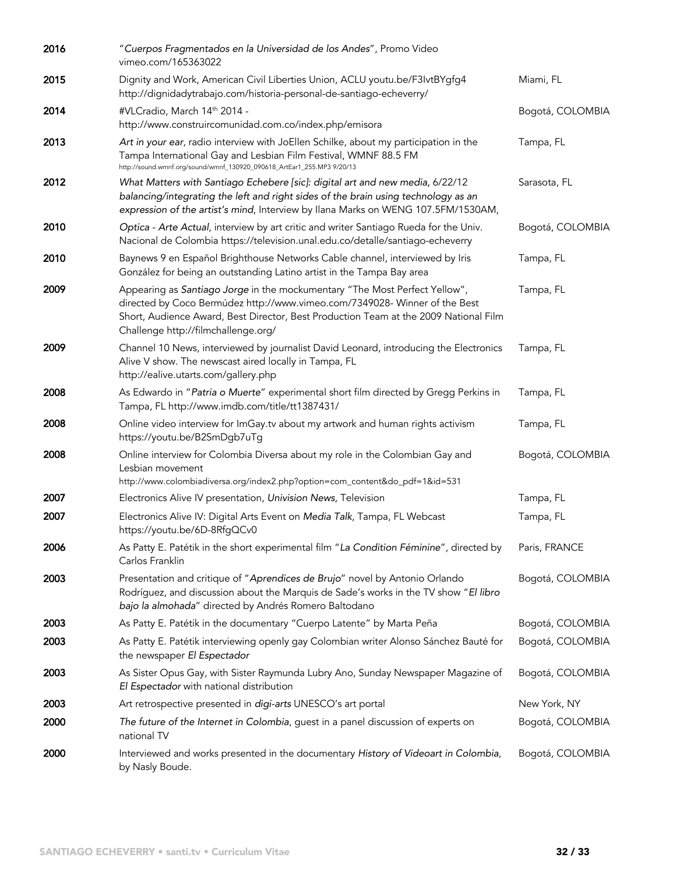| 2016 | "Cuerpos Fragmentados en la Universidad de los Andes", Promo Video<br>vimeo.com/165363022                                                                                                                                                                                               |                  |
|------|-----------------------------------------------------------------------------------------------------------------------------------------------------------------------------------------------------------------------------------------------------------------------------------------|------------------|
| 2015 | Dignity and Work, American Civil Liberties Union, ACLU youtu.be/F3IvtBYgfg4<br>http://dignidadytrabajo.com/historia-personal-de-santiago-echeverry/                                                                                                                                     | Miami, FL        |
| 2014 | #VLCradio, March 14th 2014 -<br>http://www.construircomunidad.com.co/index.php/emisora                                                                                                                                                                                                  | Bogotá, COLOMBIA |
| 2013 | Art in your ear, radio interview with JoEllen Schilke, about my participation in the<br>Tampa International Gay and Lesbian Film Festival, WMNF 88.5 FM<br>http://sound.wmnf.org/sound/wmnf_130920_090618_ArtEar1_255.MP3 9/20/13                                                       | Tampa, FL        |
| 2012 | What Matters with Santiago Echebere [sic]: digital art and new media, 6/22/12<br>balancing/integrating the left and right sides of the brain using technology as an<br>expression of the artist's mind, Interview by Ilana Marks on WENG 107.5FM/1530AM,                                | Sarasota, FL     |
| 2010 | Optica - Arte Actual, interview by art critic and writer Santiago Rueda for the Univ.<br>Nacional de Colombia https://television.unal.edu.co/detalle/santiago-echeverry                                                                                                                 | Bogotá, COLOMBIA |
| 2010 | Baynews 9 en Español Brighthouse Networks Cable channel, interviewed by Iris<br>González for being an outstanding Latino artist in the Tampa Bay area                                                                                                                                   | Tampa, FL        |
| 2009 | Appearing as Santiago Jorge in the mockumentary "The Most Perfect Yellow",<br>directed by Coco Bermúdez http://www.vimeo.com/7349028- Winner of the Best<br>Short, Audience Award, Best Director, Best Production Team at the 2009 National Film<br>Challenge http://filmchallenge.org/ | Tampa, FL        |
| 2009 | Channel 10 News, interviewed by journalist David Leonard, introducing the Electronics<br>Alive V show. The newscast aired locally in Tampa, FL<br>http://ealive.utarts.com/gallery.php                                                                                                  | Tampa, FL        |
| 2008 | As Edwardo in "Patria o Muerte" experimental short film directed by Gregg Perkins in<br>Tampa, FL http://www.imdb.com/title/tt1387431/                                                                                                                                                  | Tampa, FL        |
| 2008 | Online video interview for ImGay.tv about my artwork and human rights activism<br>https://youtu.be/B2SmDgb7uTg                                                                                                                                                                          | Tampa, FL        |
| 2008 | Online interview for Colombia Diversa about my role in the Colombian Gay and<br>Lesbian movement<br>http://www.colombiadiversa.org/index2.php?option=com_content&do_pdf=1&id=531                                                                                                        | Bogotá, COLOMBIA |
| 2007 | Electronics Alive IV presentation, Univision News, Television                                                                                                                                                                                                                           | Tampa, FL        |
| 2007 | Electronics Alive IV: Digital Arts Event on Media Talk, Tampa, FL Webcast<br>https://youtu.be/6D-8RfgQCv0                                                                                                                                                                               | Tampa, FL        |
| 2006 | As Patty E. Patétik in the short experimental film "La Condition Féminine", directed by<br>Carlos Franklin                                                                                                                                                                              | Paris, FRANCE    |
| 2003 | Presentation and critique of "Aprendices de Brujo" novel by Antonio Orlando<br>Rodríguez, and discussion about the Marquis de Sade's works in the TV show "El libro<br>bajo la almohada" directed by Andrés Romero Baltodano                                                            | Bogotá, COLOMBIA |
| 2003 | As Patty E. Patétik in the documentary "Cuerpo Latente" by Marta Peña                                                                                                                                                                                                                   | Bogotá, COLOMBIA |
| 2003 | As Patty E. Patétik interviewing openly gay Colombian writer Alonso Sánchez Bauté for<br>the newspaper El Espectador                                                                                                                                                                    | Bogotá, COLOMBIA |
| 2003 | As Sister Opus Gay, with Sister Raymunda Lubry Ano, Sunday Newspaper Magazine of<br>El Espectador with national distribution                                                                                                                                                            | Bogotá, COLOMBIA |
| 2003 | Art retrospective presented in digi-arts UNESCO's art portal                                                                                                                                                                                                                            | New York, NY     |
| 2000 | The future of the Internet in Colombia, guest in a panel discussion of experts on<br>national TV                                                                                                                                                                                        | Bogotá, COLOMBIA |
| 2000 | Interviewed and works presented in the documentary History of Videoart in Colombia,<br>by Nasly Boude.                                                                                                                                                                                  | Bogotá, COLOMBIA |